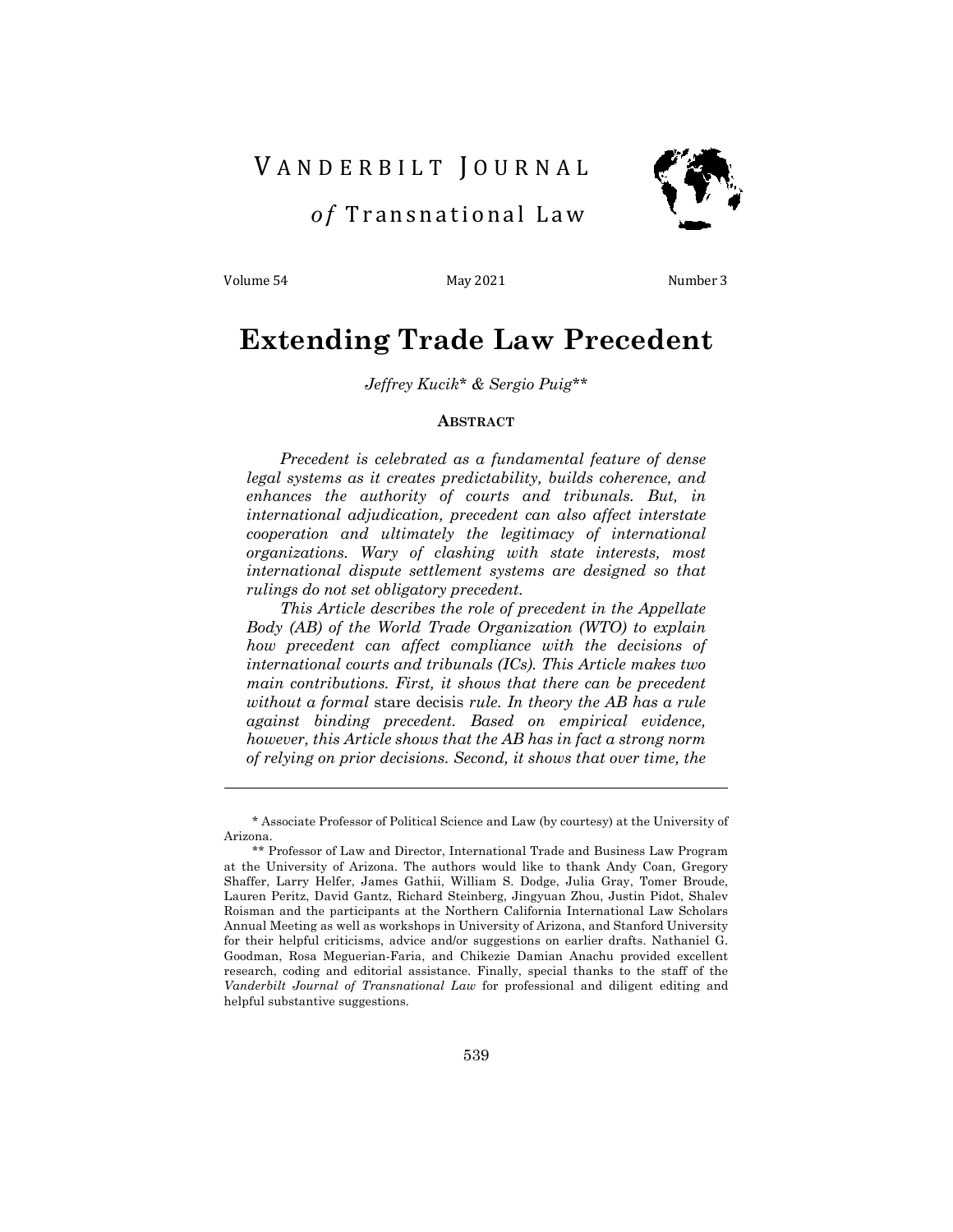# VANDERBILT JOURNAL



 *o f* Transnational Law

Volume 54 May 2021 May 2021 Number 3

# **Extending Trade Law Precedent**

*Jeffrey Kucik\* & Sergio Puig\*\**

## **ABSTRACT**

*Precedent is celebrated as a fundamental feature of dense legal systems as it creates predictability, builds coherence, and enhances the authority of courts and tribunals. But, in international adjudication, precedent can also affect interstate cooperation and ultimately the legitimacy of international organizations. Wary of clashing with state interests, most international dispute settlement systems are designed so that rulings do not set obligatory precedent.* 

*This Article describes the role of precedent in the Appellate Body (AB) of the World Trade Organization (WTO) to explain how precedent can affect compliance with the decisions of international courts and tribunals (ICs). This Article makes two main contributions. First, it shows that there can be precedent without a formal* stare decisis *rule. In theory the AB has a rule against binding precedent. Based on empirical evidence, however, this Article shows that the AB has in fact a strong norm of relying on prior decisions. Second, it shows that over time, the* 

<sup>\*</sup> Associate Professor of Political Science and Law (by courtesy) at the University of Arizona.

<sup>\*\*</sup> Professor of Law and Director, International Trade and Business Law Program at the University of Arizona. The authors would like to thank Andy Coan, Gregory Shaffer, Larry Helfer, James Gathii, William S. Dodge, Julia Gray, Tomer Broude, Lauren Peritz, David Gantz, Richard Steinberg, Jingyuan Zhou, Justin Pidot, Shalev Roisman and the participants at the Northern California International Law Scholars Annual Meeting as well as workshops in University of Arizona, and Stanford University for their helpful criticisms, advice and/or suggestions on earlier drafts. Nathaniel G. Goodman, Rosa Meguerian-Faria, and Chikezie Damian Anachu provided excellent research, coding and editorial assistance. Finally, special thanks to the staff of the *Vanderbilt Journal of Transnational Law* for professional and diligent editing and helpful substantive suggestions.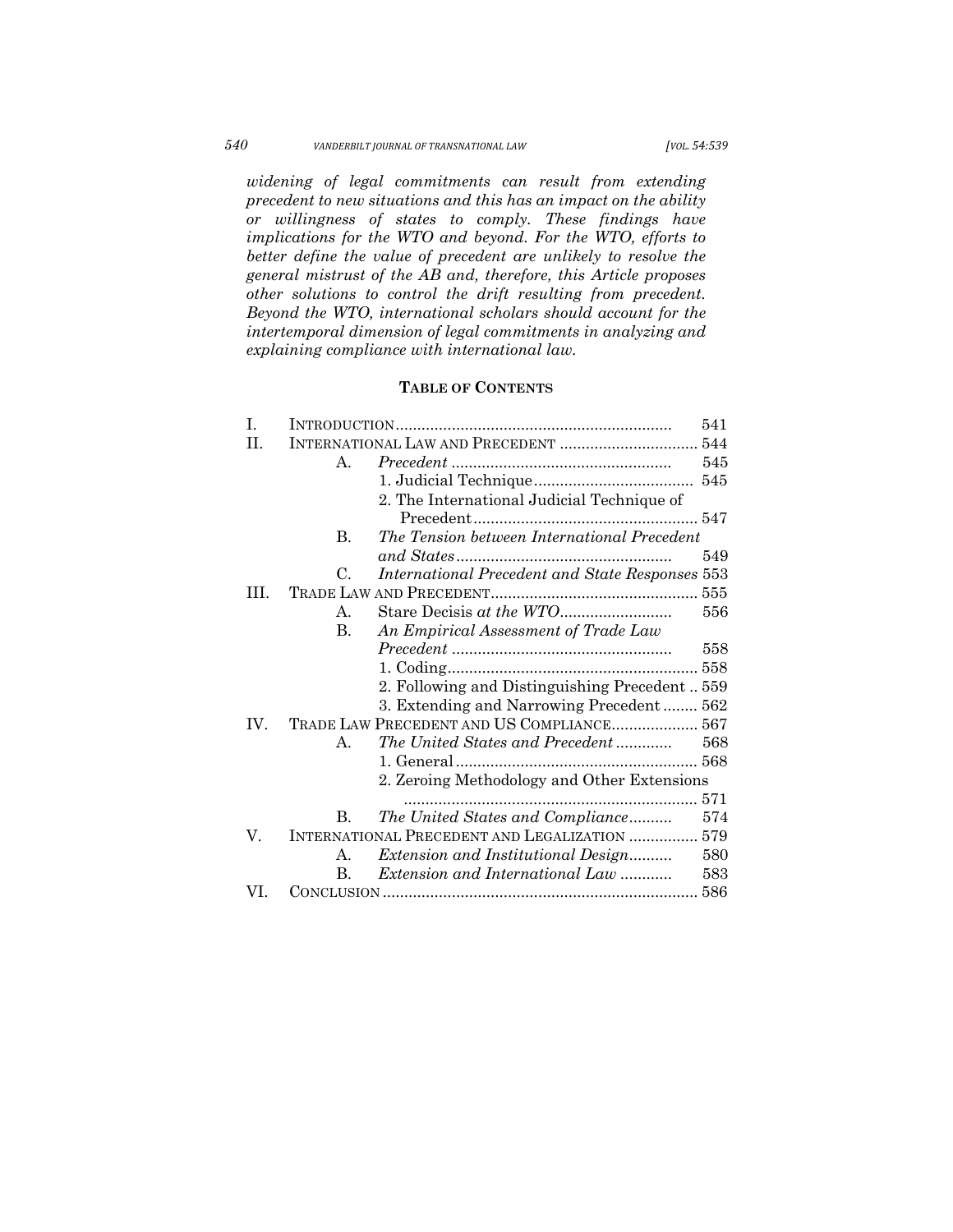# *540 VANDERBILT JOURNAL OF TRANSNATIONAL LAW [VOL. 54:539*

*widening of legal commitments can result from extending precedent to new situations and this has an impact on the ability or willingness of states to comply. These findings have implications for the WTO and beyond. For the WTO, efforts to better define the value of precedent are unlikely to resolve the general mistrust of the AB and, therefore, this Article proposes other solutions to control the drift resulting from precedent. Beyond the WTO, international scholars should account for the intertemporal dimension of legal commitments in analyzing and explaining compliance with international law.* 

# **TABLE OF CONTENTS**

| I.  |                                                       | 541 |
|-----|-------------------------------------------------------|-----|
| H.  | INTERNATIONAL LAW AND PRECEDENT  544                  |     |
|     | $\mathbf{A}$ .                                        | 545 |
|     |                                                       |     |
|     | 2. The International Judicial Technique of            |     |
|     |                                                       |     |
|     | The Tension between International Precedent<br>В.     |     |
|     |                                                       | 549 |
|     | International Precedent and State Responses 553<br>C. |     |
| HЕ. |                                                       |     |
|     | Α.                                                    | 556 |
|     | B.<br>An Empirical Assessment of Trade Law            |     |
|     |                                                       | 558 |
|     |                                                       |     |
|     | 2. Following and Distinguishing Precedent 559         |     |
|     | 3. Extending and Narrowing Precedent 562              |     |
| IV. | TRADE LAW PRECEDENT AND US COMPLIANCE 567             |     |
|     | The United States and Precedent<br>$\mathbf{A}$ .     | 568 |
|     |                                                       |     |
|     | 2. Zeroing Methodology and Other Extensions           |     |
|     |                                                       | 571 |
|     | The United States and Compliance<br>B.                | 574 |
| V.  | INTERNATIONAL PRECEDENT AND LEGALIZATION  579         |     |
|     | Extension and Institutional Design<br>А.              | 580 |
|     | B.<br><i>Extension and International Law </i>         | 583 |
| VI. |                                                       |     |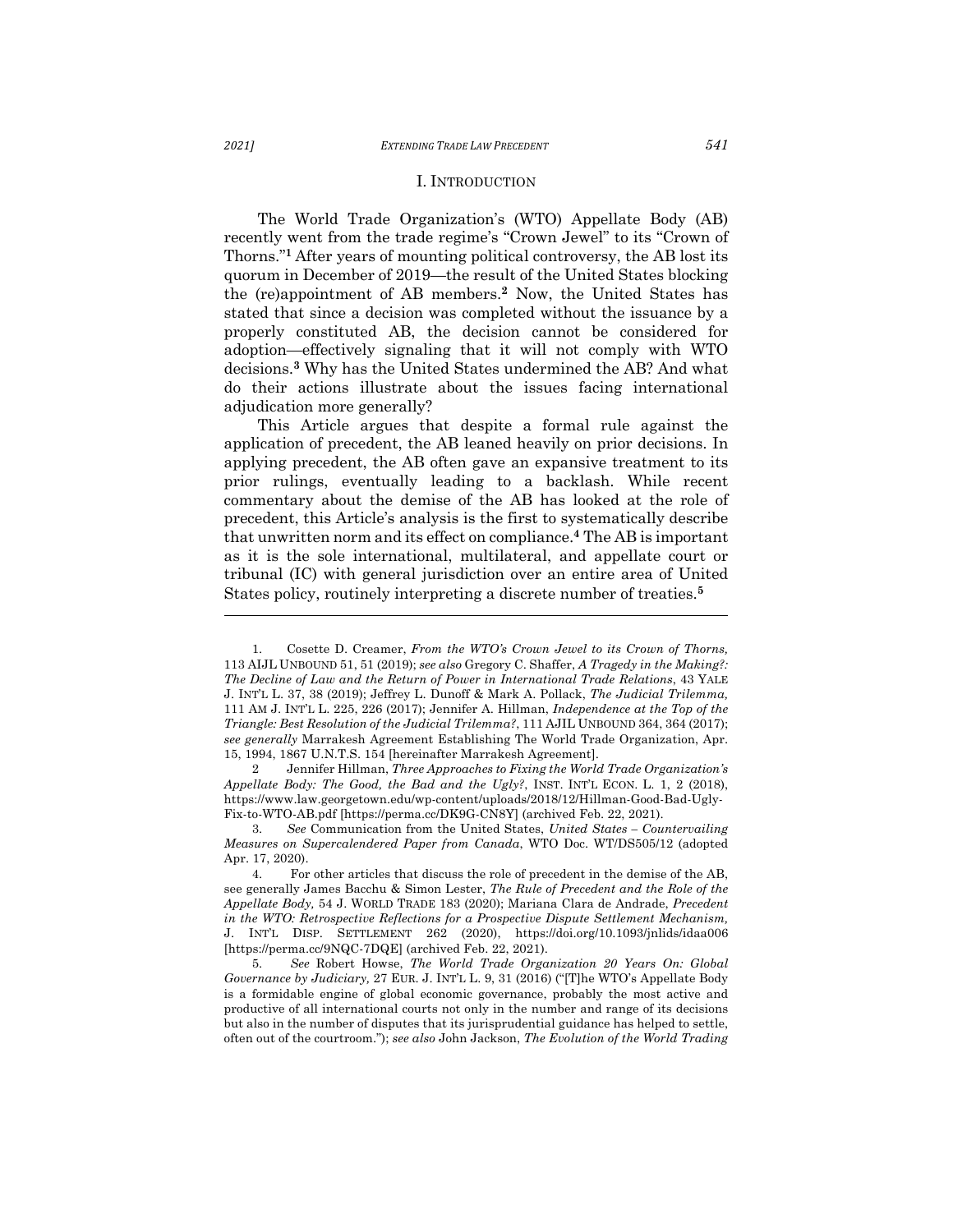#### I. INTRODUCTION

The World Trade Organization's (WTO) Appellate Body (AB) recently went from the trade regime's "Crown Jewel" to its "Crown of Thorns."**<sup>1</sup>** After years of mounting political controversy, the AB lost its quorum in December of 2019—the result of the United States blocking the (re)appointment of AB members.**<sup>2</sup>** Now, the United States has stated that since a decision was completed without the issuance by a properly constituted AB, the decision cannot be considered for adoption—effectively signaling that it will not comply with WTO decisions.**<sup>3</sup>** Why has the United States undermined the AB? And what do their actions illustrate about the issues facing international adjudication more generally?

This Article argues that despite a formal rule against the application of precedent, the AB leaned heavily on prior decisions. In applying precedent, the AB often gave an expansive treatment to its prior rulings, eventually leading to a backlash. While recent commentary about the demise of the AB has looked at the role of precedent, this Article's analysis is the first to systematically describe that unwritten norm and its effect on compliance. **<sup>4</sup>** The AB is important as it is the sole international, multilateral, and appellate court or tribunal (IC) with general jurisdiction over an entire area of United States policy, routinely interpreting a discrete number of treaties.**<sup>5</sup>**

2 Jennifer Hillman, *Three Approaches to Fixing the World Trade Organization's Appellate Body: The Good, the Bad and the Ugly?*, INST. INT'L ECON. L. 1, 2 (2018), https://www.law.georgetown.edu/wp-content/uploads/2018/12/Hillman-Good-Bad-Ugly-Fix-to-WTO-AB.pdf [https://perma.cc/DK9G-CN8Y] (archived Feb. 22, 2021).

3. *See* Communication from the United States, *United States – Countervailing Measures on Supercalendered Paper from Canada*, WTO Doc. WT/DS505/12 (adopted Apr. 17, 2020).

4. For other articles that discuss the role of precedent in the demise of the AB, see generally James Bacchu & Simon Lester, *The Rule of Precedent and the Role of the Appellate Body,* 54 J. WORLD TRADE 183 (2020); Mariana Clara de Andrade, *Precedent in the WTO: Retrospective Reflections for a Prospective Dispute Settlement Mechanism,* J. INT'L DISP. SETTLEMENT 262 (2020), https://doi.org/10.1093/jnlids/idaa006 [https://perma.cc/9NQC-7DQE] (archived Feb. 22, 2021).

5. *See* Robert Howse, *The World Trade Organization 20 Years On: Global Governance by Judiciary,* 27 EUR. J. INT'L L. 9, 31 (2016) ("[T]he WTO's Appellate Body is a formidable engine of global economic governance, probably the most active and productive of all international courts not only in the number and range of its decisions but also in the number of disputes that its jurisprudential guidance has helped to settle, often out of the courtroom."); *see also* John Jackson, *The Evolution of the World Trading* 

<sup>1.</sup> Cosette D. Creamer, *From the WTO's Crown Jewel to its Crown of Thorns,* 113 AIJL UNBOUND 51, 51 (2019); *see also* Gregory C. Shaffer, *A Tragedy in the Making?: The Decline of Law and the Return of Power in International Trade Relations*, 43 YALE J. INT'L L. 37, 38 (2019); Jeffrey L. Dunoff & Mark A. Pollack, *The Judicial Trilemma,* 111 AM J. INT'L L. 225, 226 (2017); Jennifer A. Hillman, *Independence at the Top of the Triangle: Best Resolution of the Judicial Trilemma?*, 111 AJIL UNBOUND 364, 364 (2017); *see generally* Marrakesh Agreement Establishing The World Trade Organization, Apr. 15, 1994, 1867 U.N.T.S. 154 [hereinafter Marrakesh Agreement].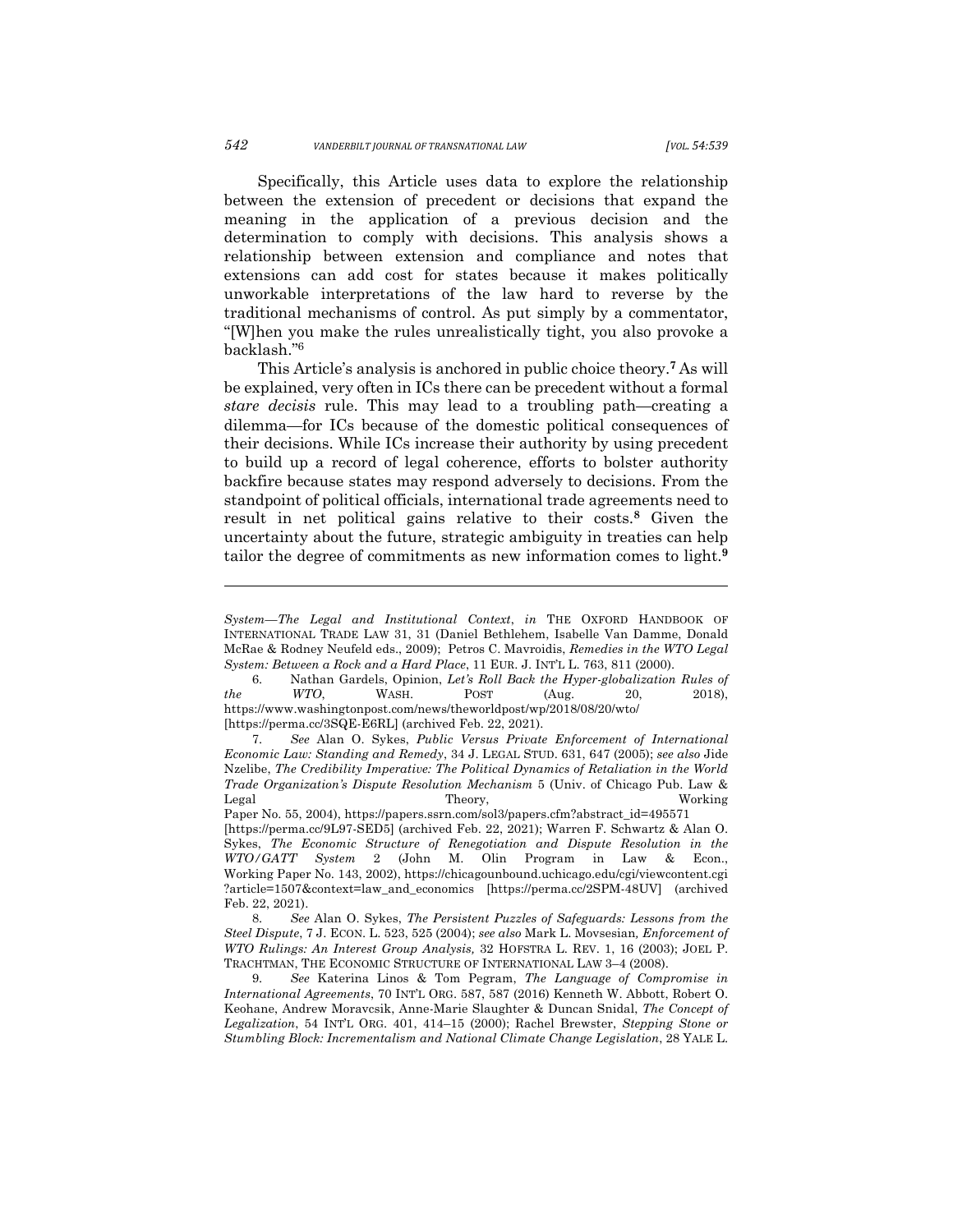Specifically, this Article uses data to explore the relationship between the extension of precedent or decisions that expand the meaning in the application of a previous decision and the determination to comply with decisions. This analysis shows a relationship between extension and compliance and notes that extensions can add cost for states because it makes politically unworkable interpretations of the law hard to reverse by the traditional mechanisms of control. As put simply by a commentator, "[W]hen you make the rules unrealistically tight, you also provoke a backlash."6

This Article's analysis is anchored in public choice theory.**<sup>7</sup>** As will be explained, very often in ICs there can be precedent without a formal *stare decisis* rule. This may lead to a troubling path—creating a dilemma—for ICs because of the domestic political consequences of their decisions. While ICs increase their authority by using precedent to build up a record of legal coherence, efforts to bolster authority backfire because states may respond adversely to decisions. From the standpoint of political officials, international trade agreements need to result in net political gains relative to their costs.**<sup>8</sup>** Given the uncertainty about the future, strategic ambiguity in treaties can help tailor the degree of commitments as new information comes to light.**<sup>9</sup>**

*System—The Legal and Institutional Context*, *in* THE OXFORD HANDBOOK OF INTERNATIONAL TRADE LAW 31, 31 (Daniel Bethlehem, Isabelle Van Damme, Donald McRae & Rodney Neufeld eds., 2009); Petros C. Mavroidis, *Remedies in the WTO Legal System: Between a Rock and a Hard Place*, 11 EUR. J. INT'L L. 763, 811 (2000).

<sup>6.</sup> Nathan Gardels, Opinion, *Let's Roll Back the Hyper-globalization Rules of the WTO*, WASH. POST (Aug. 20, 2018), https://www.washingtonpost.com/news/theworldpost/wp/2018/08/20/wto/ [https://perma.cc/3SQE-E6RL] (archived Feb. 22, 2021).

<sup>7.</sup> *See* Alan O. Sykes, *Public Versus Private Enforcement of International Economic Law: Standing and Remedy*, 34 J. LEGAL STUD. 631, 647 (2005); *see also* Jide Nzelibe, *The Credibility Imperative: The Political Dynamics of Retaliation in the World Trade Organization's Dispute Resolution Mechanism* 5 (Univ. of Chicago Pub. Law & Legal Theory, Working

Paper No. 55, 2004), https://papers.ssrn.com/sol3/papers.cfm?abstract\_id=495571 [https://perma.cc/9L97-SED5] (archived Feb. 22, 2021); Warren F. Schwartz & Alan O. Sykes, *The Economic Structure of Renegotiation and Dispute Resolution in the WTO/GATT System* 2 (John M. Olin Program in Law & Econ., Working Paper No. 143, 2002), https://chicagounbound.uchicago.edu/cgi/viewcontent.cgi ?article=1507&context=law\_and\_economics [https://perma.cc/2SPM-48UV] (archived Feb. 22, 2021).

<sup>8.</sup> *See* Alan O. Sykes, *The Persistent Puzzles of Safeguards: Lessons from the Steel Dispute*, 7 J. ECON. L. 523, 525 (2004); *see also* Mark L. Movsesian*, Enforcement of WTO Rulings: An Interest Group Analysis,* 32 HOFSTRA L. REV. 1, 16 (2003); JOEL P. TRACHTMAN, THE ECONOMIC STRUCTURE OF INTERNATIONAL LAW 3–4 (2008).

<sup>9.</sup> *See* Katerina Linos & Tom Pegram, *The Language of Compromise in International Agreements*, 70 INT'L ORG. 587, 587 (2016) Kenneth W. Abbott, Robert O. Keohane, Andrew Moravcsik, Anne-Marie Slaughter & Duncan Snidal, *The Concept of Legalization*, 54 INT'L ORG. 401, 414–15 (2000); Rachel Brewster, *Stepping Stone or Stumbling Block: Incrementalism and National Climate Change Legislation*, 28 YALE L.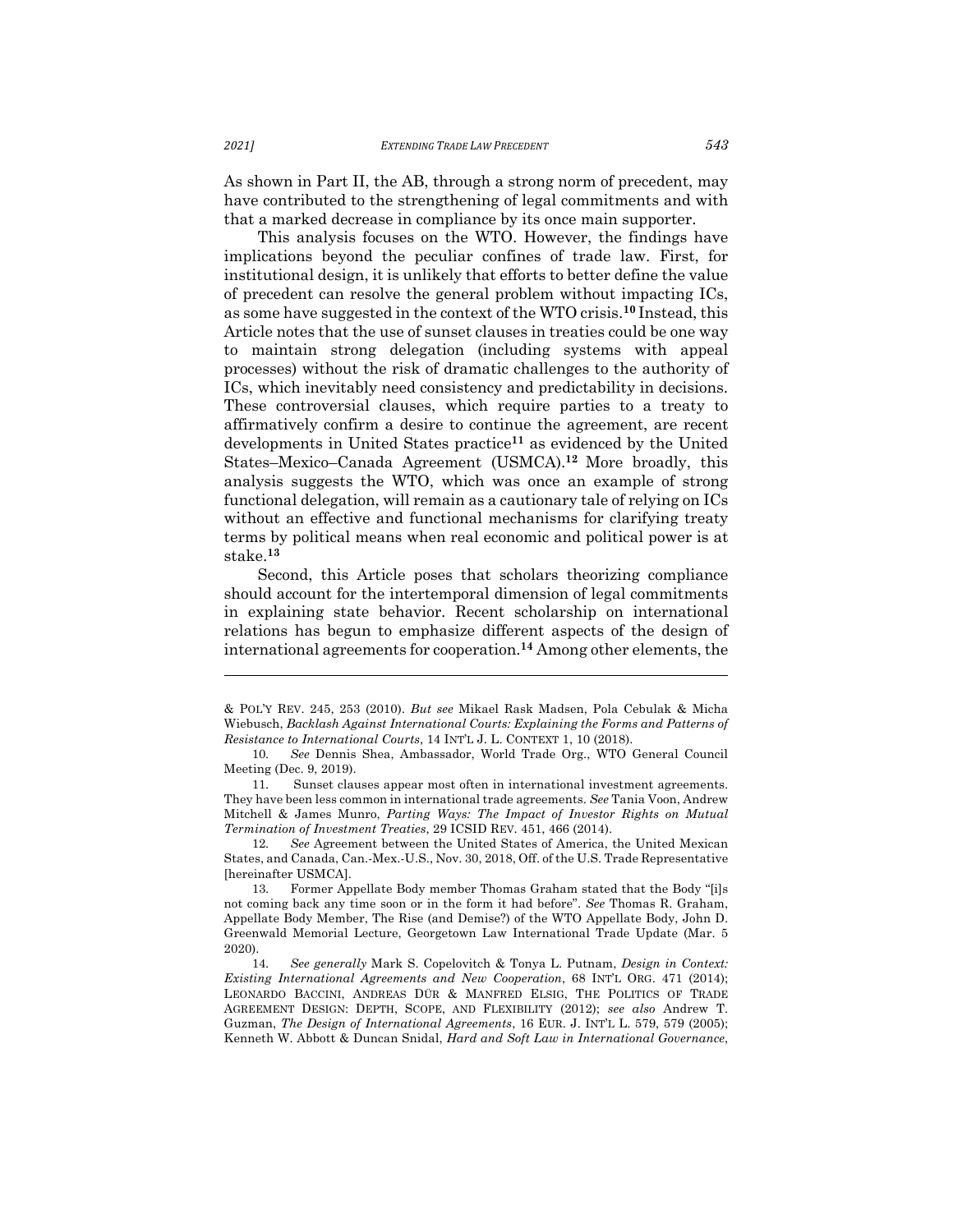As shown in Part II, the AB, through a strong norm of precedent, may have contributed to the strengthening of legal commitments and with that a marked decrease in compliance by its once main supporter.

This analysis focuses on the WTO. However, the findings have implications beyond the peculiar confines of trade law. First, for institutional design, it is unlikely that efforts to better define the value of precedent can resolve the general problem without impacting ICs, as some have suggested in the context of the WTO crisis. **<sup>10</sup>** Instead, this Article notes that the use of sunset clauses in treaties could be one way to maintain strong delegation (including systems with appeal processes) without the risk of dramatic challenges to the authority of ICs, which inevitably need consistency and predictability in decisions. These controversial clauses, which require parties to a treaty to affirmatively confirm a desire to continue the agreement, are recent developments in United States practice**<sup>11</sup>** as evidenced by the United States–Mexico–Canada Agreement (USMCA).**<sup>12</sup>** More broadly, this analysis suggests the WTO, which was once an example of strong functional delegation, will remain as a cautionary tale of relying on ICs without an effective and functional mechanisms for clarifying treaty terms by political means when real economic and political power is at stake. **13**

Second, this Article poses that scholars theorizing compliance should account for the intertemporal dimension of legal commitments in explaining state behavior. Recent scholarship on international relations has begun to emphasize different aspects of the design of international agreements for cooperation.**<sup>14</sup>** Among other elements, the

<sup>&</sup>amp; POL'Y REV. 245, 253 (2010). *But see* Mikael Rask Madsen, Pola Cebulak & Micha Wiebusch, *Backlash Against International Courts: Explaining the Forms and Patterns of Resistance to International Courts*, 14 INT'L J. L. CONTEXT 1, 10 (2018).

<sup>10.</sup> *See* Dennis Shea, Ambassador, World Trade Org., WTO General Council Meeting (Dec. 9, 2019).

<sup>11.</sup> Sunset clauses appear most often in international investment agreements. They have been less common in international trade agreements. *See* Tania Voon, Andrew Mitchell & James Munro, *Parting Ways: The Impact of Investor Rights on Mutual Termination of Investment Treaties*, 29 ICSID REV. 451, 466 (2014).

<sup>12.</sup> *See* Agreement between the United States of America, the United Mexican States, and Canada, Can.-Mex.-U.S., Nov. 30, 2018, Off. of the U.S. Trade Representative [hereinafter USMCA].

<sup>13.</sup> Former Appellate Body member Thomas Graham stated that the Body "[i]s not coming back any time soon or in the form it had before". *See* Thomas R. Graham, Appellate Body Member, The Rise (and Demise?) of the WTO Appellate Body, John D. Greenwald Memorial Lecture, Georgetown Law International Trade Update (Mar. 5 2020).

<sup>14.</sup> *See generally* Mark S. Copelovitch & Tonya L. Putnam, *Design in Context: Existing International Agreements and New Cooperation*, 68 INT'L ORG. 471 (2014); LEONARDO BACCINI, ANDREAS DÜR & MANFRED ELSIG, THE POLITICS OF TRADE AGREEMENT DESIGN: DEPTH, SCOPE, AND FLEXIBILITY (2012); *see also* Andrew T. Guzman, *The Design of International Agreements*, 16 EUR. J. INT'L L. 579, 579 (2005); Kenneth W. Abbott & Duncan Snidal, *Hard and Soft Law in International Governance*,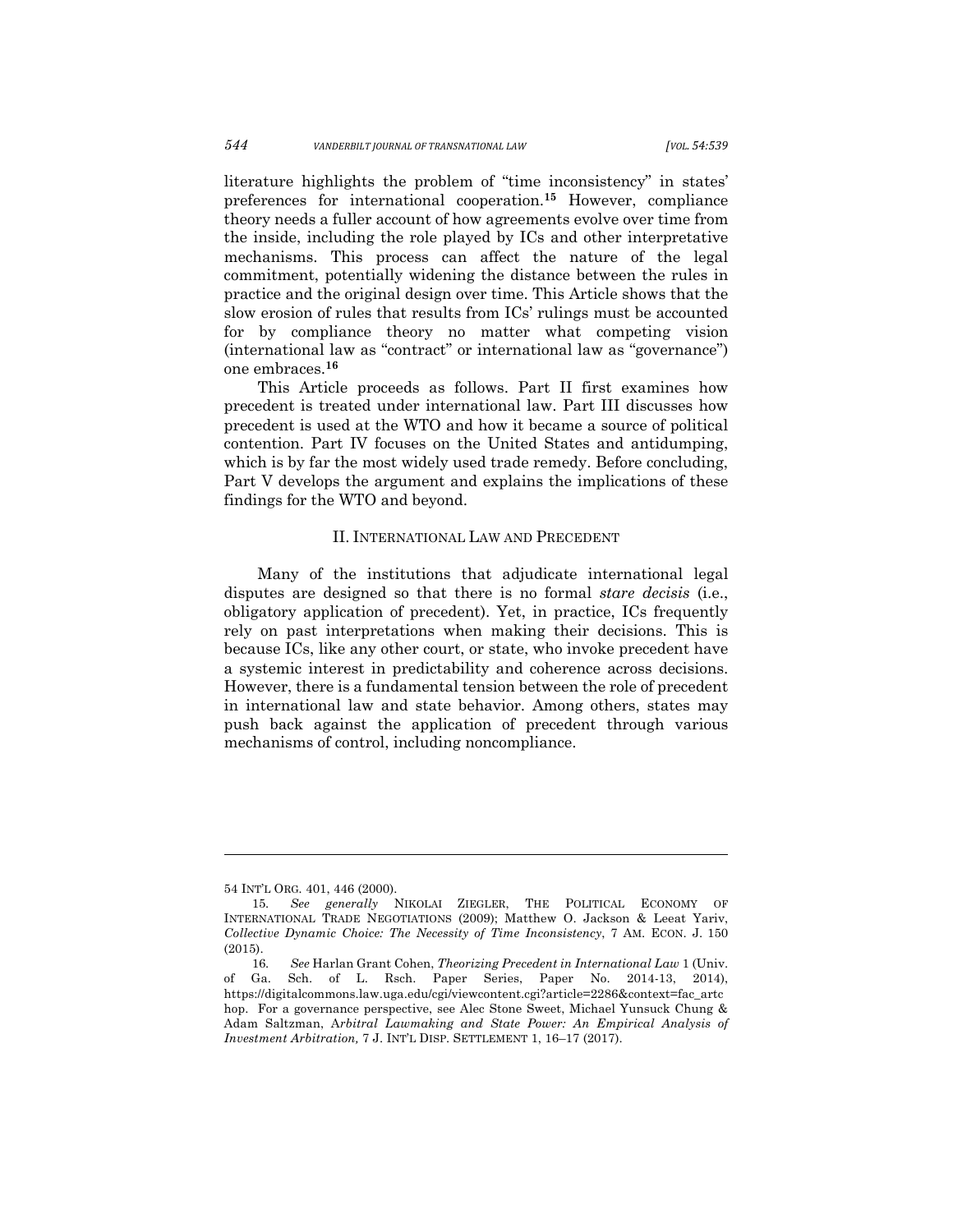literature highlights the problem of "time inconsistency" in states' preferences for international cooperation.**<sup>15</sup>** However, compliance theory needs a fuller account of how agreements evolve over time from the inside, including the role played by ICs and other interpretative mechanisms. This process can affect the nature of the legal commitment, potentially widening the distance between the rules in practice and the original design over time. This Article shows that the slow erosion of rules that results from ICs' rulings must be accounted for by compliance theory no matter what competing vision (international law as "contract" or international law as "governance") one embraces.**<sup>16</sup>**

This Article proceeds as follows. Part II first examines how precedent is treated under international law. Part III discusses how precedent is used at the WTO and how it became a source of political contention. Part IV focuses on the United States and antidumping, which is by far the most widely used trade remedy. Before concluding, Part V develops the argument and explains the implications of these findings for the WTO and beyond.

#### II. INTERNATIONAL LAW AND PRECEDENT

Many of the institutions that adjudicate international legal disputes are designed so that there is no formal *stare decisis* (i.e., obligatory application of precedent). Yet, in practice, ICs frequently rely on past interpretations when making their decisions. This is because ICs, like any other court, or state, who invoke precedent have a systemic interest in predictability and coherence across decisions. However, there is a fundamental tension between the role of precedent in international law and state behavior. Among others, states may push back against the application of precedent through various mechanisms of control, including noncompliance.

<sup>54</sup> INT'L ORG*.* 401, 446 (2000).

<sup>15.</sup> *See generally* NIKOLAI ZIEGLER, THE POLITICAL ECONOMY OF INTERNATIONAL TRADE NEGOTIATIONS (2009); Matthew O. Jackson & Leeat Yariv, *Collective Dynamic Choice: The Necessity of Time Inconsistency*, 7 AM. ECON. J. 150 (2015).

<sup>16.</sup> *See* Harlan Grant Cohen, *Theorizing Precedent in International Law* 1 (Univ. of Ga. Sch. of L. Rsch. Paper Series, Paper No. 2014-13, 2014), https://digitalcommons.law.uga.edu/cgi/viewcontent.cgi?article=2286&context=fac\_artc hop. For a governance perspective, see Alec Stone Sweet, Michael Yunsuck Chung & Adam Saltzman, A*rbitral Lawmaking and State Power: An Empirical Analysis of Investment Arbitration,* 7 J. INT'L DISP. SETTLEMENT 1, 16–17 (2017).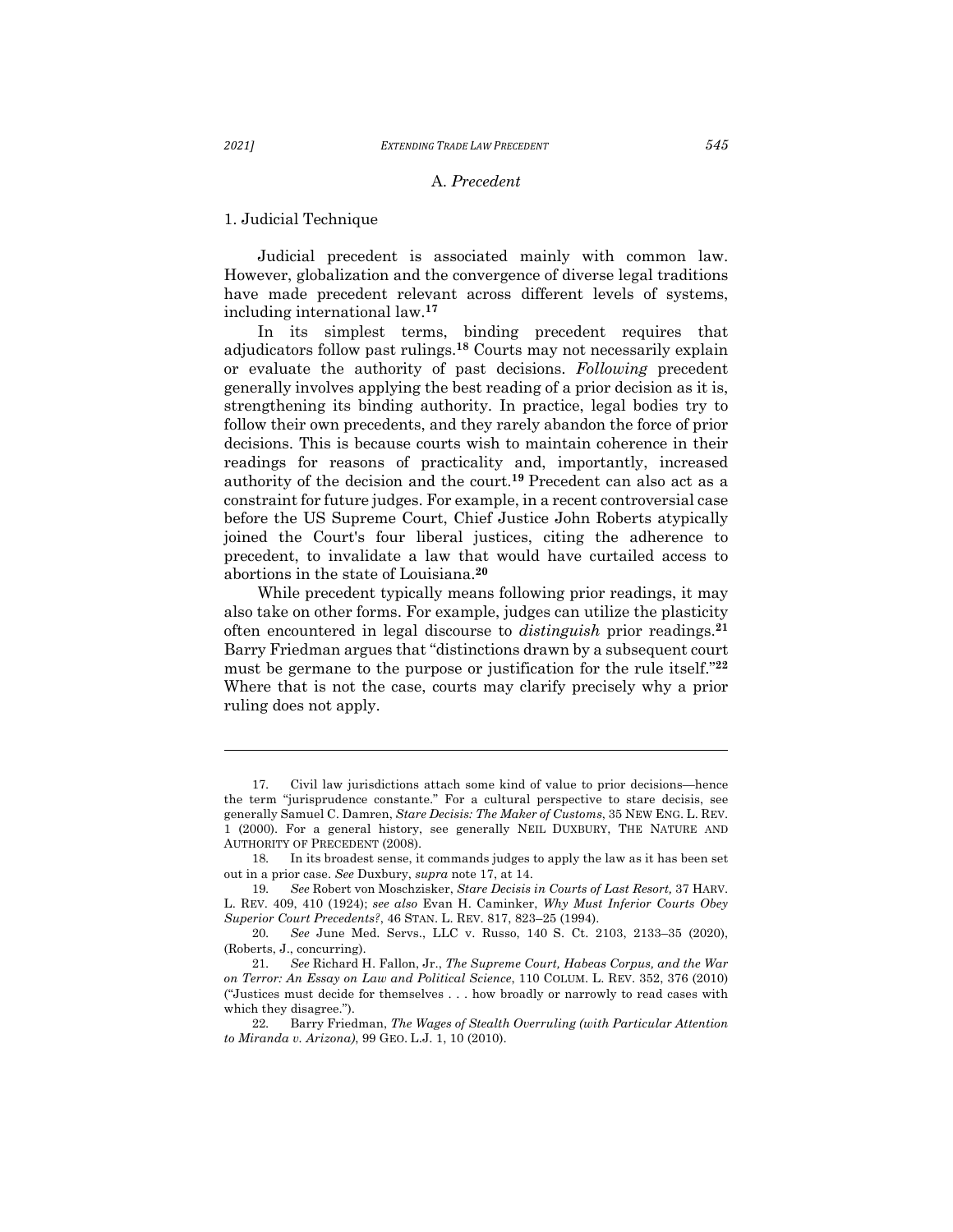# A. *Precedent*

# 1. Judicial Technique

Judicial precedent is associated mainly with common law. However, globalization and the convergence of diverse legal traditions have made precedent relevant across different levels of systems, including international law.**<sup>17</sup>**

In its simplest terms, binding precedent requires that adjudicators follow past rulings. **<sup>18</sup>** Courts may not necessarily explain or evaluate the authority of past decisions. *Following* precedent generally involves applying the best reading of a prior decision as it is, strengthening its binding authority. In practice, legal bodies try to follow their own precedents, and they rarely abandon the force of prior decisions. This is because courts wish to maintain coherence in their readings for reasons of practicality and, importantly, increased authority of the decision and the court.**<sup>19</sup>** Precedent can also act as a constraint for future judges. For example, in a recent controversial case before the US Supreme Court, Chief Justice John Roberts atypically joined the Court's four liberal justices, citing the adherence to precedent, to invalidate a law that would have curtailed access to abortions in the state of Louisiana. **20**

While precedent typically means following prior readings, it may also take on other forms. For example, judges can utilize the plasticity often encountered in legal discourse to *distinguish* prior readings. **21** Barry Friedman argues that "distinctions drawn by a subsequent court must be germane to the purpose or justification for the rule itself."**<sup>22</sup>** Where that is not the case, courts may clarify precisely why a prior ruling does not apply.

<sup>17.</sup> Civil law jurisdictions attach some kind of value to prior decisions—hence the term "jurisprudence constante." For a cultural perspective to stare decisis, see generally Samuel C. Damren, *Stare Decisis: The Maker of Customs*, 35 NEW ENG. L. REV. 1 (2000). For a general history, see generally NEIL DUXBURY, THE NATURE AND AUTHORITY OF PRECEDENT (2008).

<sup>18.</sup> In its broadest sense, it commands judges to apply the law as it has been set out in a prior case. *See* Duxbury, *supra* note 17, at 14.

<sup>19.</sup> *See* Robert von Moschzisker, *Stare Decisis in Courts of Last Resort,* 37 HARV. L. REV. 409, 410 (1924); *see also* Evan H. Caminker, *Why Must Inferior Courts Obey Superior Court Precedents?*, 46 STAN. L. REV. 817, 823–25 (1994).

<sup>20.</sup> *See* June Med. Servs., LLC v. Russo, 140 S. Ct. 2103, 2133–35 (2020), (Roberts, J., concurring).

<sup>21.</sup> *See* Richard H. Fallon, Jr., *The Supreme Court, Habeas Corpus, and the War on Terror: An Essay on Law and Political Science*, 110 COLUM. L. REV. 352, 376 (2010) ("Justices must decide for themselves . . . how broadly or narrowly to read cases with which they disagree.").

<sup>22.</sup> Barry Friedman, *The Wages of Stealth Overruling (with Particular Attention to Miranda v. Arizona)*, 99 GEO. L.J. 1, 10 (2010).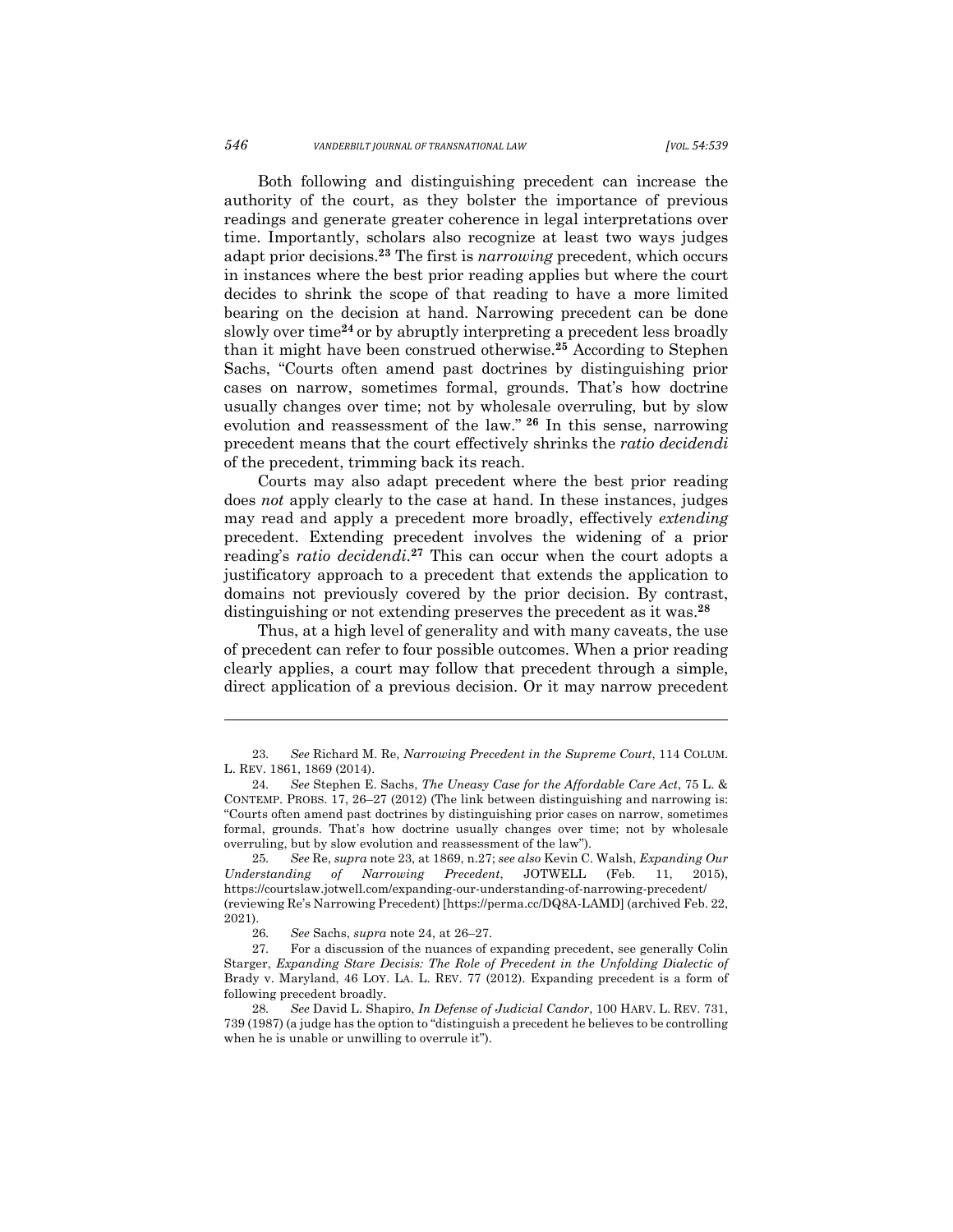Both following and distinguishing precedent can increase the authority of the court, as they bolster the importance of previous readings and generate greater coherence in legal interpretations over time. Importantly, scholars also recognize at least two ways judges adapt prior decisions. **<sup>23</sup>** The first is *narrowing* precedent, which occurs in instances where the best prior reading applies but where the court decides to shrink the scope of that reading to have a more limited bearing on the decision at hand. Narrowing precedent can be done slowly over time**<sup>24</sup>** or by abruptly interpreting a precedent less broadly than it might have been construed otherwise.**<sup>25</sup>** According to Stephen Sachs, "Courts often amend past doctrines by distinguishing prior cases on narrow, sometimes formal, grounds. That's how doctrine usually changes over time; not by wholesale overruling, but by slow evolution and reassessment of the law." **<sup>26</sup>** In this sense, narrowing precedent means that the court effectively shrinks the *ratio decidendi*  of the precedent, trimming back its reach.

Courts may also adapt precedent where the best prior reading does *not* apply clearly to the case at hand. In these instances, judges may read and apply a precedent more broadly, effectively *extending* precedent. Extending precedent involves the widening of a prior reading's *ratio decidendi*. **<sup>27</sup>** This can occur when the court adopts a justificatory approach to a precedent that extends the application to domains not previously covered by the prior decision. By contrast, distinguishing or not extending preserves the precedent as it was.**<sup>28</sup>**

Thus, at a high level of generality and with many caveats, the use of precedent can refer to four possible outcomes. When a prior reading clearly applies, a court may follow that precedent through a simple, direct application of a previous decision. Or it may narrow precedent

<sup>23.</sup> *See* Richard M. Re, *Narrowing Precedent in the Supreme Court*, 114 COLUM. L. REV. 1861, 1869 (2014).

<sup>24.</sup> *See* Stephen E. Sachs, *The Uneasy Case for the Affordable Care Act*, 75 L. & CONTEMP. PROBS. 17, 26–27 (2012) (The link between distinguishing and narrowing is: "Courts often amend past doctrines by distinguishing prior cases on narrow, sometimes formal, grounds. That's how doctrine usually changes over time; not by wholesale overruling, but by slow evolution and reassessment of the law").

<sup>25.</sup> *See* Re, *supra* note 23, at 1869, n.27; *see also* Kevin C. Walsh, *Expanding Our Understanding of Narrowing Precedent*, JOTWELL (Feb. 11, 2015), https://courtslaw.jotwell.com/expanding-our-understanding-of-narrowing-precedent/ (reviewing Re's Narrowing Precedent) [https://perma.cc/DQ8A-LAMD] (archived Feb. 22, 2021).

<sup>26.</sup> *See* Sachs, *supra* note 24, at 26–27.

<sup>27.</sup> For a discussion of the nuances of expanding precedent, see generally Colin Starger, *Expanding Stare Decisis: The Role of Precedent in the Unfolding Dialectic of*  Brady v. Maryland, 46 LOY. LA. L. REV. 77 (2012). Expanding precedent is a form of following precedent broadly.

<sup>28.</sup> *See* David L. Shapiro, *In Defense of Judicial Candor*, 100 HARV. L. REV. 731, 739 (1987) (a judge has the option to "distinguish a precedent he believes to be controlling when he is unable or unwilling to overrule it").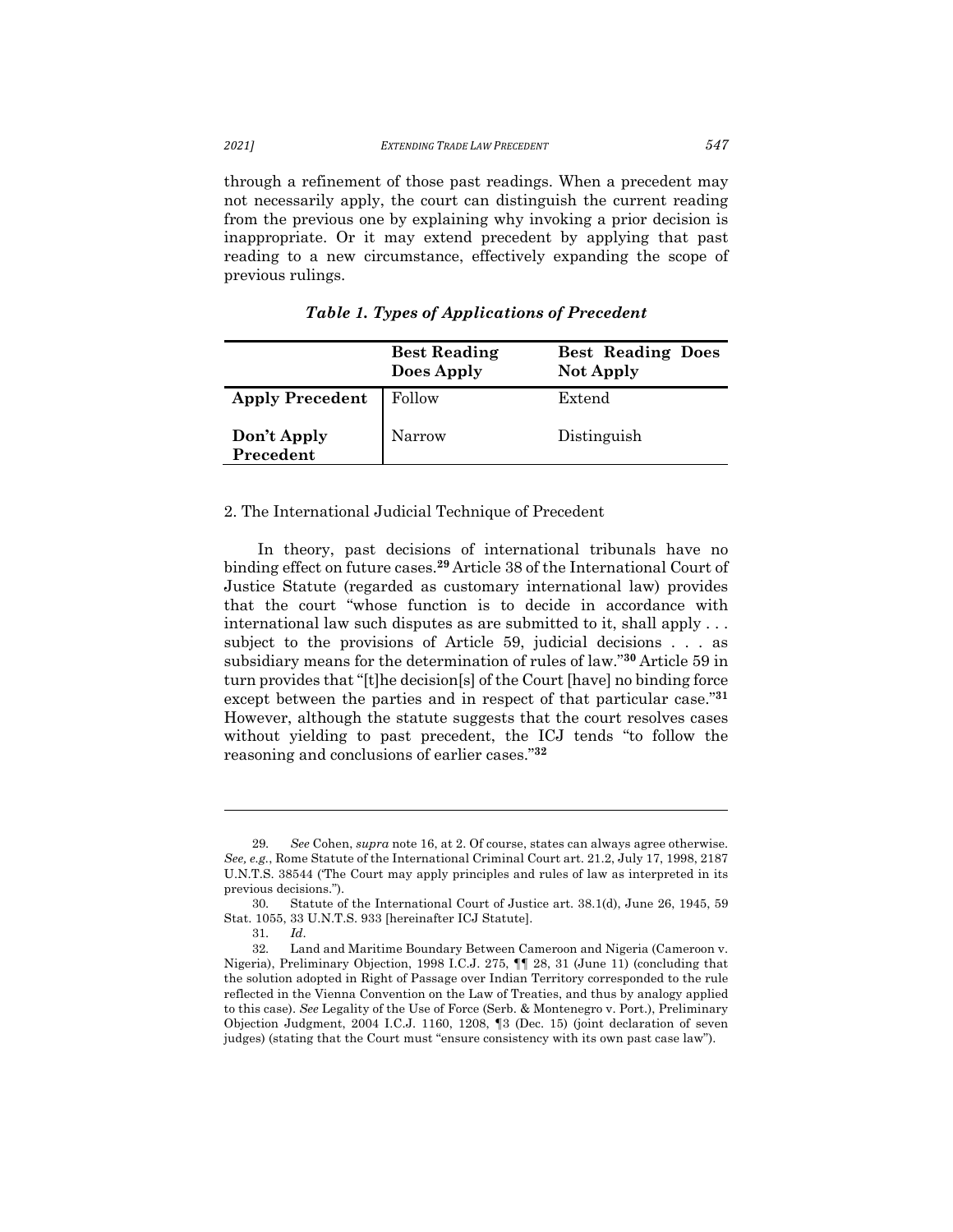through a refinement of those past readings. When a precedent may not necessarily apply, the court can distinguish the current reading from the previous one by explaining why invoking a prior decision is inappropriate. Or it may extend precedent by applying that past reading to a new circumstance, effectively expanding the scope of previous rulings.

|                          | <b>Best Reading</b><br>Does Apply | <b>Best Reading Does</b><br><b>Not Apply</b> |
|--------------------------|-----------------------------------|----------------------------------------------|
| <b>Apply Precedent</b>   | Follow                            | Extend                                       |
| Don't Apply<br>Precedent | Narrow                            | Distinguish                                  |

*Table 1. Types of Applications of Precedent*

## 2. The International Judicial Technique of Precedent

In theory, past decisions of international tribunals have no binding effect on future cases. **<sup>29</sup>** Article 38 of the International Court of Justice Statute (regarded as customary international law) provides that the court "whose function is to decide in accordance with international law such disputes as are submitted to it, shall apply . . . subject to the provisions of Article 59, judicial decisions . . . as subsidiary means for the determination of rules of law."**<sup>30</sup>** Article 59 in turn provides that "[t]he decision[s] of the Court [have] no binding force except between the parties and in respect of that particular case."**<sup>31</sup>** However, although the statute suggests that the court resolves cases without yielding to past precedent, the ICJ tends "to follow the reasoning and conclusions of earlier cases."**<sup>32</sup>**

<sup>29.</sup> *See* Cohen, *supra* note 16, at 2. Of course, states can always agree otherwise. *See, e.g.*, Rome Statute of the International Criminal Court art. 21.2, July 17, 1998, 2187 U.N.T.S. 38544 ('The Court may apply principles and rules of law as interpreted in its previous decisions.").

<sup>30.</sup> Statute of the International Court of Justice art. 38.1(d), June 26, 1945, 59 Stat. 1055, 33 U.N.T.S. 933 [hereinafter ICJ Statute].

<sup>31.</sup> *Id*.

<sup>32.</sup> Land and Maritime Boundary Between Cameroon and Nigeria (Cameroon v. Nigeria), Preliminary Objection, 1998 I.C.J. 275, ¶¶ 28, 31 (June 11) (concluding that the solution adopted in Right of Passage over Indian Territory corresponded to the rule reflected in the Vienna Convention on the Law of Treaties, and thus by analogy applied to this case). *See* Legality of the Use of Force (Serb. & Montenegro v. Port.), Preliminary Objection Judgment, 2004 I.C.J. 1160, 1208, ¶3 (Dec. 15) (joint declaration of seven judges) (stating that the Court must "ensure consistency with its own past case law").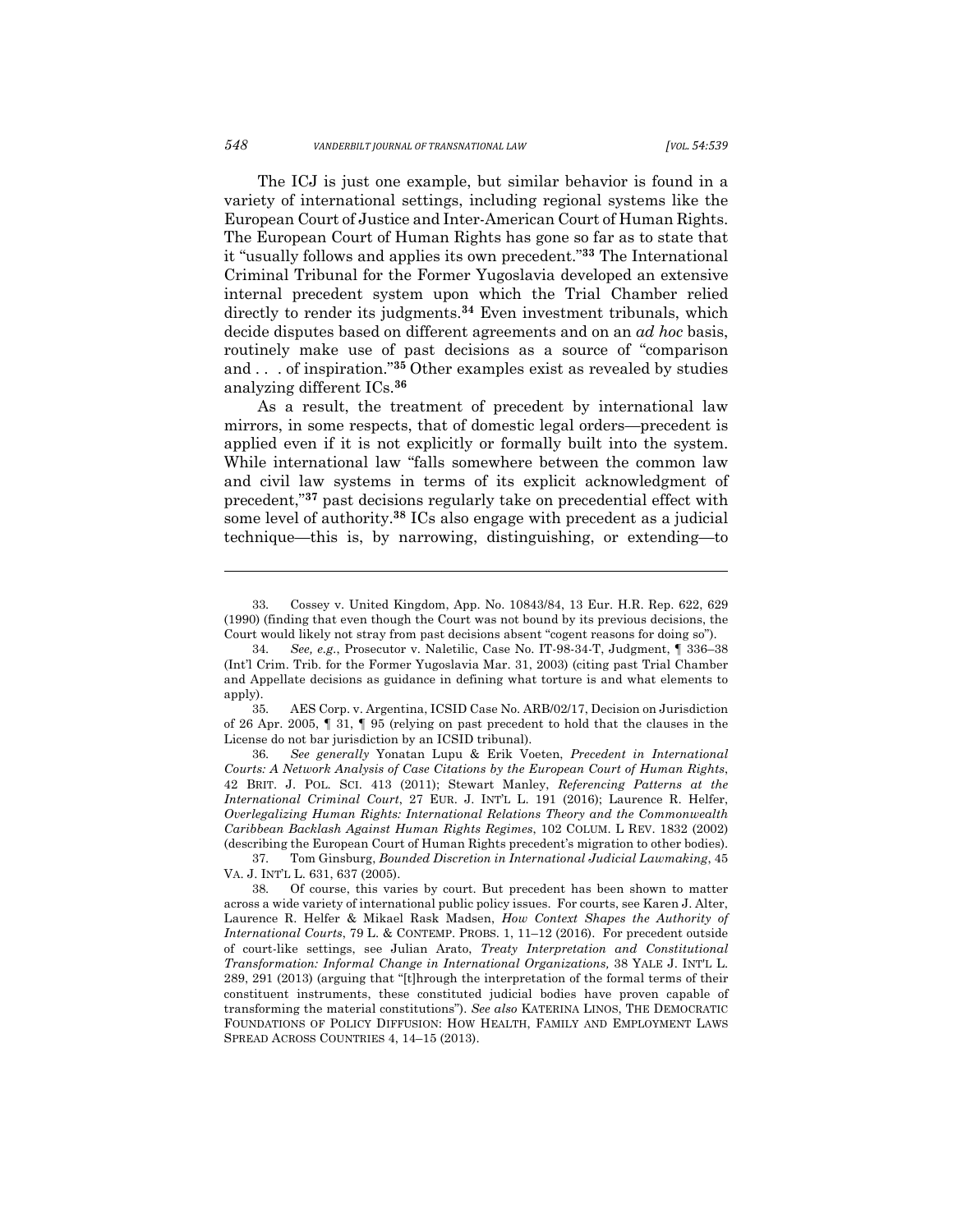The ICJ is just one example, but similar behavior is found in a variety of international settings, including regional systems like the European Court of Justice and Inter-American Court of Human Rights. The European Court of Human Rights has gone so far as to state that it "usually follows and applies its own precedent."**<sup>33</sup>** The International Criminal Tribunal for the Former Yugoslavia developed an extensive internal precedent system upon which the Trial Chamber relied directly to render its judgments.**<sup>34</sup>** Even investment tribunals, which decide disputes based on different agreements and on an *ad hoc* basis, routinely make use of past decisions as a source of "comparison and . . . of inspiration."**<sup>35</sup>** Other examples exist as revealed by studies analyzing different ICs. **36**

As a result, the treatment of precedent by international law mirrors, in some respects, that of domestic legal orders—precedent is applied even if it is not explicitly or formally built into the system. While international law "falls somewhere between the common law and civil law systems in terms of its explicit acknowledgment of precedent,"**<sup>37</sup>** past decisions regularly take on precedential effect with some level of authority.**<sup>38</sup>** ICs also engage with precedent as a judicial technique—this is, by narrowing, distinguishing, or extending—to

<sup>33.</sup> Cossey v. United Kingdom, App. No. 10843/84, 13 Eur. H.R. Rep. 622, 629 (1990) (finding that even though the Court was not bound by its previous decisions, the Court would likely not stray from past decisions absent "cogent reasons for doing so").

<sup>34.</sup> *See, e.g.*, Prosecutor v. Naletilic, Case No. IT-98-34-T, Judgment, ¶ 336–38 (Int'l Crim. Trib. for the Former Yugoslavia Mar. 31, 2003) (citing past Trial Chamber and Appellate decisions as guidance in defining what torture is and what elements to apply).

<sup>35.</sup> AES Corp. v. Argentina, ICSID Case No. ARB/02/17, Decision on Jurisdiction of 26 Apr. 2005, ¶ 31, ¶ 95 (relying on past precedent to hold that the clauses in the License do not bar jurisdiction by an ICSID tribunal).

<sup>36.</sup> *See generally* Yonatan Lupu & Erik Voeten, *Precedent in International Courts: A Network Analysis of Case Citations by the European Court of Human Rights*, 42 BRIT. J. POL. SCI. 413 (2011); Stewart Manley, *Referencing Patterns at the International Criminal Court*, 27 EUR. J. INT'L L. 191 (2016); Laurence R. Helfer, *Overlegalizing Human Rights: International Relations Theory and the Commonwealth Caribbean Backlash Against Human Rights Regimes*, 102 COLUM. L REV. 1832 (2002) (describing the European Court of Human Rights precedent's migration to other bodies).

<sup>37.</sup> Tom Ginsburg, *Bounded Discretion in International Judicial Lawmaking*, 45 VA. J. INT'L L. 631, 637 (2005).

<sup>38.</sup> Of course, this varies by court. But precedent has been shown to matter across a wide variety of international public policy issues. For courts, see Karen J. Alter, Laurence R. Helfer & Mikael Rask Madsen, *How Context Shapes the Authority of International Courts*, 79 L. & CONTEMP. PROBS. 1, 11–12 (2016). For precedent outside of court-like settings, see Julian Arato, *Treaty Interpretation and Constitutional Transformation: Informal Change in International Organizations,* 38 YALE J. INT'L L. 289, 291 (2013) (arguing that "[t]hrough the interpretation of the formal terms of their constituent instruments, these constituted judicial bodies have proven capable of transforming the material constitutions"). *See also* KATERINA LINOS, THE DEMOCRATIC FOUNDATIONS OF POLICY DIFFUSION: HOW HEALTH, FAMILY AND EMPLOYMENT LAWS SPREAD ACROSS COUNTRIES 4, 14–15 (2013).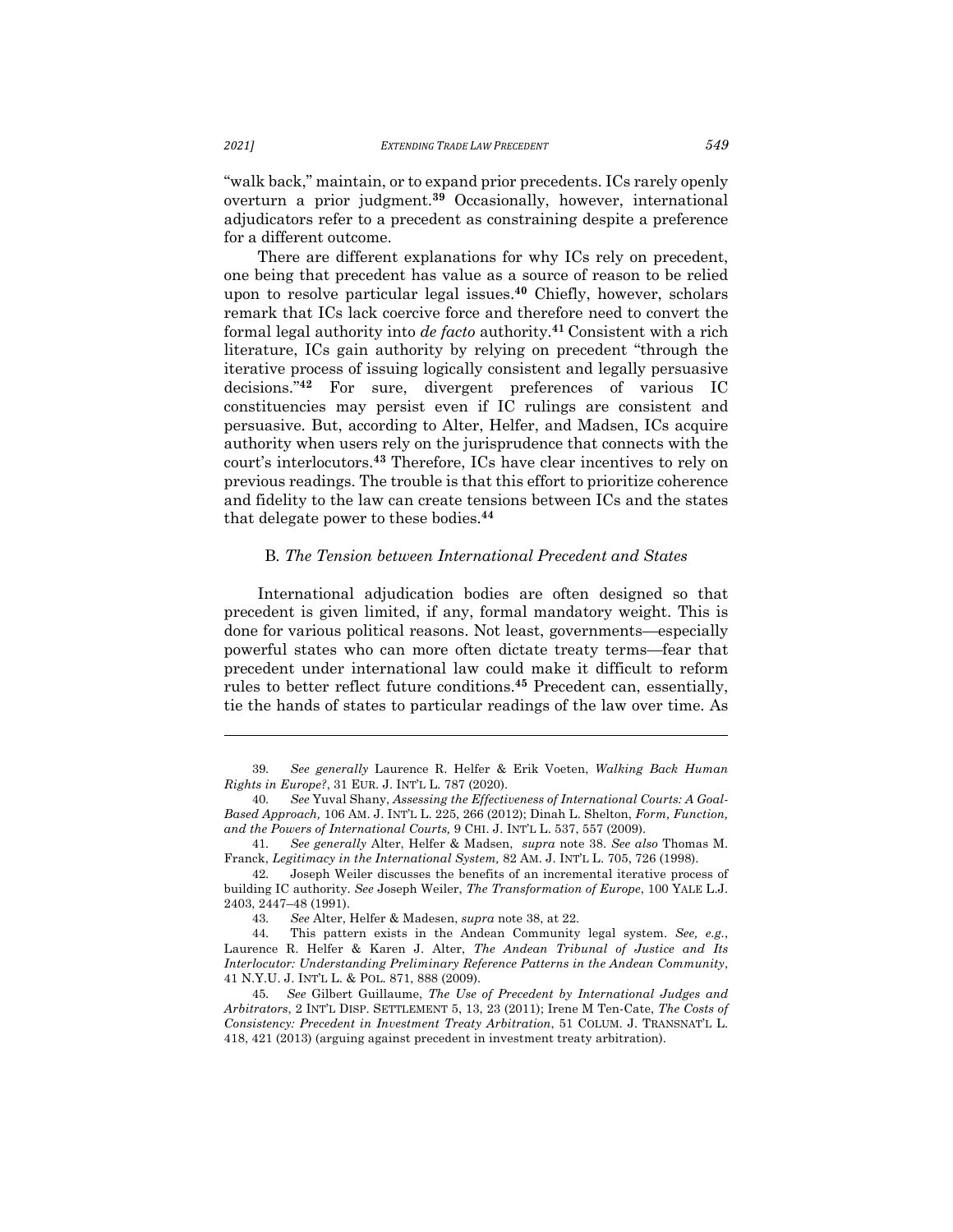"walk back," maintain, or to expand prior precedents. ICs rarely openly overturn a prior judgment. **<sup>39</sup>** Occasionally, however, international adjudicators refer to a precedent as constraining despite a preference for a different outcome.

There are different explanations for why ICs rely on precedent, one being that precedent has value as a source of reason to be relied upon to resolve particular legal issues. **<sup>40</sup>** Chiefly, however, scholars remark that ICs lack coercive force and therefore need to convert the formal legal authority into *de facto* authority.**<sup>41</sup>** Consistent with a rich literature, ICs gain authority by relying on precedent "through the iterative process of issuing logically consistent and legally persuasive decisions."**<sup>42</sup>** For sure, divergent preferences of various IC constituencies may persist even if IC rulings are consistent and persuasive. But, according to Alter, Helfer, and Madsen, ICs acquire authority when users rely on the jurisprudence that connects with the court's interlocutors.**<sup>43</sup>** Therefore, ICs have clear incentives to rely on previous readings. The trouble is that this effort to prioritize coherence and fidelity to the law can create tensions between ICs and the states that delegate power to these bodies. **44**

# B*. The Tension between International Precedent and States*

International adjudication bodies are often designed so that precedent is given limited, if any, formal mandatory weight. This is done for various political reasons. Not least, governments—especially powerful states who can more often dictate treaty terms—fear that precedent under international law could make it difficult to reform rules to better reflect future conditions. **<sup>45</sup>** Precedent can, essentially, tie the hands of states to particular readings of the law over time. As

<sup>39.</sup> *See generally* Laurence R. Helfer & Erik Voeten, *Walking Back Human Rights in Europe?*, 31 EUR. J. INT'L L. 787 (2020).

<sup>40.</sup> *See* Yuval Shany, *Assessing the Effectiveness of International Courts: A Goal-Based Approach,* 106 AM. J. INT'L L. 225, 266 (2012); Dinah L. Shelton, *Form, Function, and the Powers of International Courts,* 9 CHI. J. INT'L L. 537, 557 (2009).

<sup>41.</sup> *See generally* Alter, Helfer & Madsen, *supra* note 38. *See also* Thomas M. Franck, *Legitimacy in the International System,* 82 AM. J. INT'L L. 705, 726 (1998).

<sup>42.</sup> Joseph Weiler discusses the benefits of an incremental iterative process of building IC authority. *See* Joseph Weiler, *The Transformation of Europe*, 100 YALE L.J. 2403, 2447–48 (1991).

<sup>43.</sup> *See* Alter, Helfer & Madesen, *supra* note 38, at 22.

<sup>44.</sup> This pattern exists in the Andean Community legal system. *See, e.g.*, Laurence R. Helfer & Karen J. Alter, *The Andean Tribunal of Justice and Its Interlocutor: Understanding Preliminary Reference Patterns in the Andean Community*, 41 N.Y.U. J. INT'L L. & POL. 871, 888 (2009).

<sup>45.</sup> *See* Gilbert Guillaume, *The Use of Precedent by International Judges and Arbitrators*, 2 INT'L DISP. SETTLEMENT 5, 13, 23 (2011); Irene M Ten-Cate, *The Costs of Consistency: Precedent in Investment Treaty Arbitration*, 51 COLUM. J. TRANSNAT'L L. 418, 421 (2013) (arguing against precedent in investment treaty arbitration).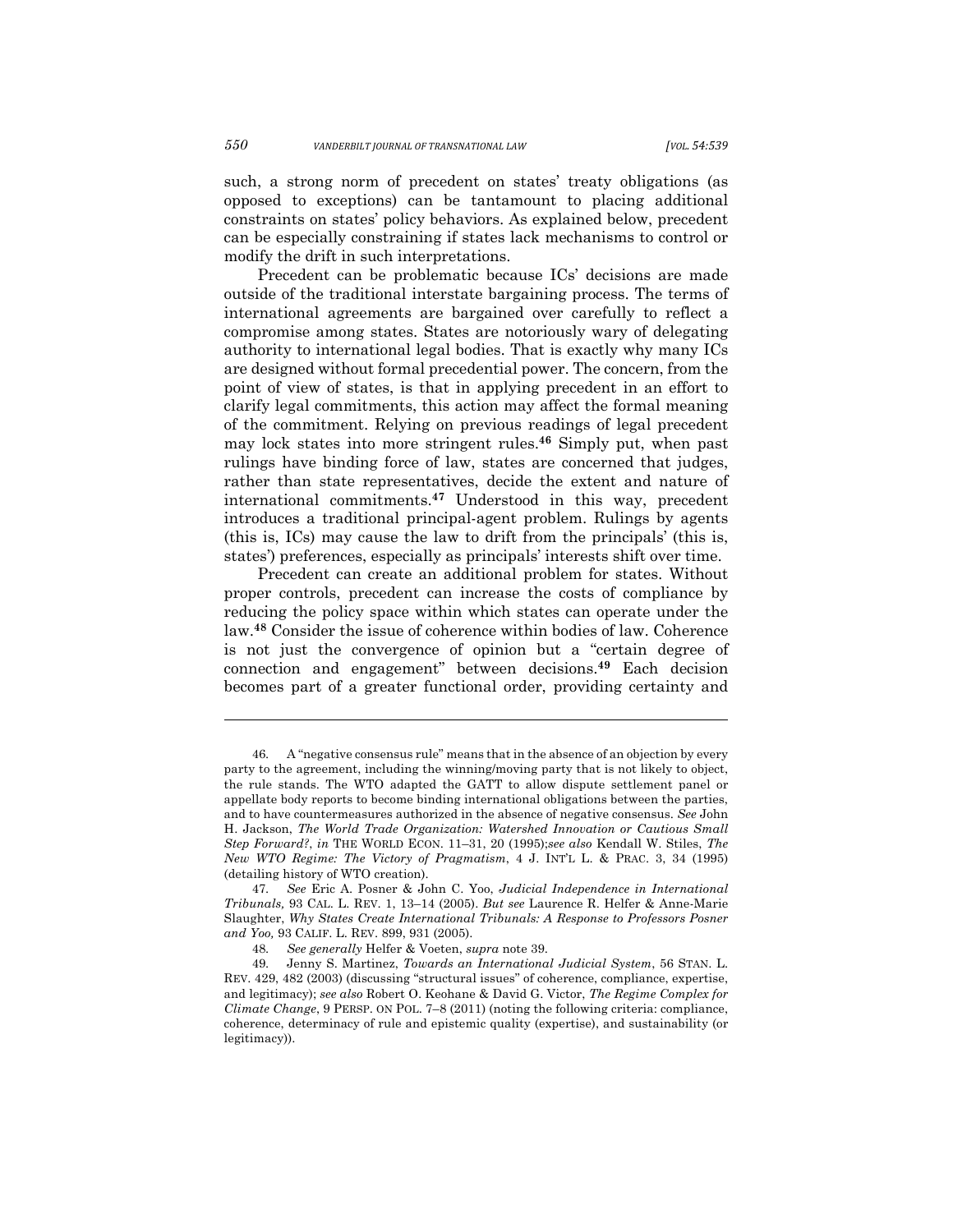such, a strong norm of precedent on states' treaty obligations (as opposed to exceptions) can be tantamount to placing additional constraints on states' policy behaviors. As explained below, precedent can be especially constraining if states lack mechanisms to control or modify the drift in such interpretations.

Precedent can be problematic because ICs' decisions are made outside of the traditional interstate bargaining process. The terms of international agreements are bargained over carefully to reflect a compromise among states. States are notoriously wary of delegating authority to international legal bodies. That is exactly why many ICs are designed without formal precedential power. The concern, from the point of view of states, is that in applying precedent in an effort to clarify legal commitments, this action may affect the formal meaning of the commitment. Relying on previous readings of legal precedent may lock states into more stringent rules. **<sup>46</sup>** Simply put, when past rulings have binding force of law, states are concerned that judges, rather than state representatives, decide the extent and nature of international commitments.**<sup>47</sup>** Understood in this way, precedent introduces a traditional principal-agent problem. Rulings by agents (this is, ICs) may cause the law to drift from the principals' (this is, states') preferences, especially as principals' interests shift over time.

Precedent can create an additional problem for states. Without proper controls, precedent can increase the costs of compliance by reducing the policy space within which states can operate under the law.**<sup>48</sup>** Consider the issue of coherence within bodies of law. Coherence is not just the convergence of opinion but a "certain degree of connection and engagement" between decisions.**<sup>49</sup>** Each decision becomes part of a greater functional order, providing certainty and

<sup>46.</sup> A "negative consensus rule" means that in the absence of an objection by every party to the agreement, including the winning/moving party that is not likely to object, the rule stands. The WTO adapted the GATT to allow dispute settlement panel or appellate body reports to become binding international obligations between the parties, and to have countermeasures authorized in the absence of negative consensus. *See* John H. Jackson, *The World Trade Organization: Watershed Innovation or Cautious Small Step Forward?*, *in* THE WORLD ECON. 11–31, 20 (1995);*see also* Kendall W. Stiles, *The New WTO Regime: The Victory of Pragmatism*, 4 J. INT'L L. & PRAC. 3, 34 (1995) (detailing history of WTO creation).

<sup>47.</sup> *See* Eric A. Posner & John C. Yoo, *Judicial Independence in International Tribunals,* 93 CAL. L. REV. 1, 13–14 (2005). *But see* Laurence R. Helfer & Anne-Marie Slaughter, *Why States Create International Tribunals: A Response to Professors Posner and Yoo,* 93 CALIF. L. REV. 899, 931 (2005).

<sup>48.</sup> *See generally* Helfer & Voeten, *supra* note 39.

<sup>49.</sup> Jenny S. Martinez, *Towards an International Judicial System*, 56 STAN. L. REV. 429, 482 (2003) (discussing "structural issues" of coherence, compliance, expertise, and legitimacy); *see also* Robert O. Keohane & David G. Victor, *The Regime Complex for Climate Change*, 9 PERSP. ON POL. 7–8 (2011) (noting the following criteria: compliance, coherence, determinacy of rule and epistemic quality (expertise), and sustainability (or legitimacy)).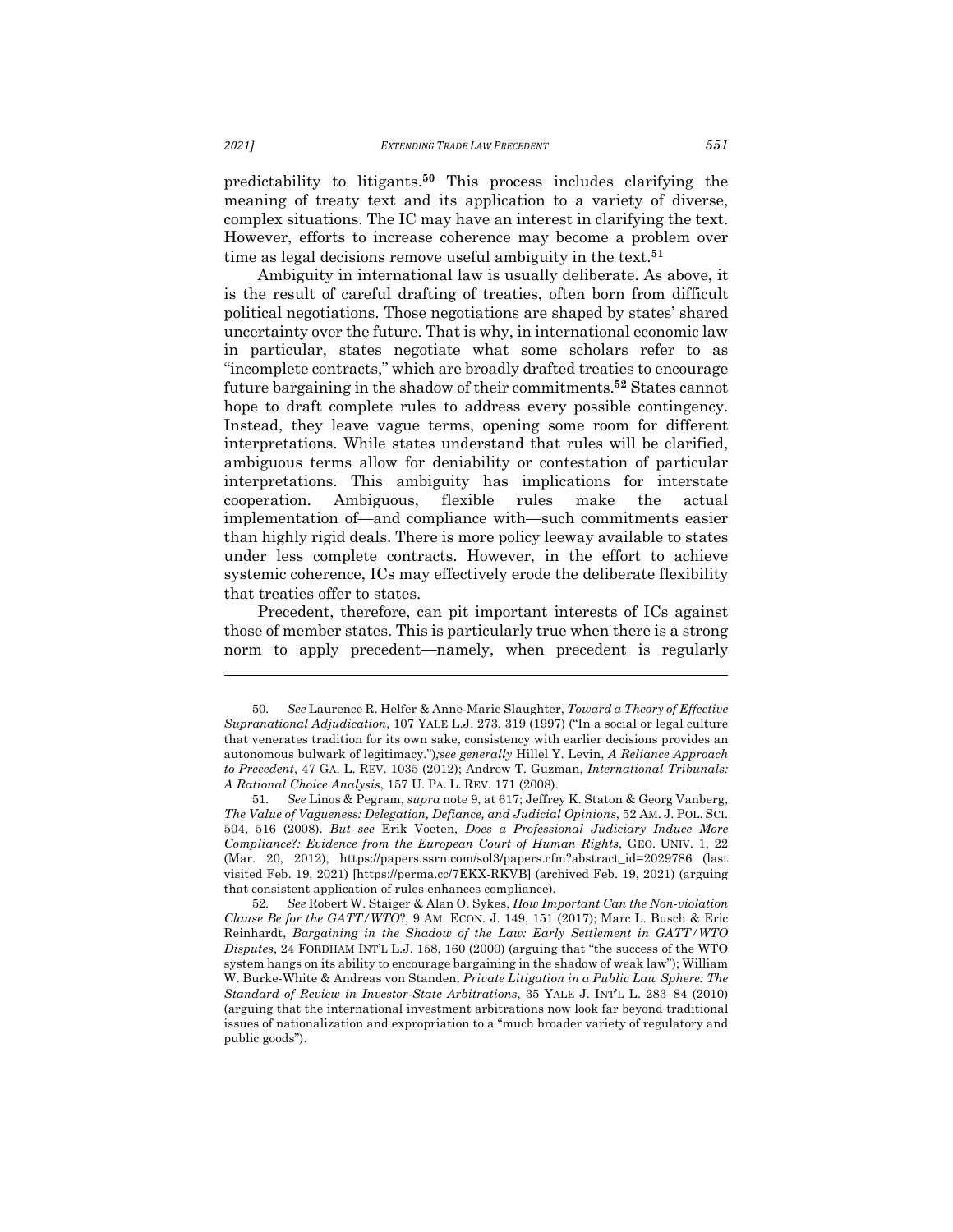predictability to litigants.**<sup>50</sup>** This process includes clarifying the meaning of treaty text and its application to a variety of diverse, complex situations. The IC may have an interest in clarifying the text. However, efforts to increase coherence may become a problem over time as legal decisions remove useful ambiguity in the text.**<sup>51</sup>**

Ambiguity in international law is usually deliberate. As above, it is the result of careful drafting of treaties, often born from difficult political negotiations. Those negotiations are shaped by states' shared uncertainty over the future. That is why, in international economic law in particular, states negotiate what some scholars refer to as "incomplete contracts," which are broadly drafted treaties to encourage future bargaining in the shadow of their commitments.**<sup>52</sup>** States cannot hope to draft complete rules to address every possible contingency. Instead, they leave vague terms, opening some room for different interpretations. While states understand that rules will be clarified, ambiguous terms allow for deniability or contestation of particular interpretations. This ambiguity has implications for interstate cooperation. Ambiguous, flexible rules make the actual implementation of—and compliance with—such commitments easier than highly rigid deals. There is more policy leeway available to states under less complete contracts. However, in the effort to achieve systemic coherence, ICs may effectively erode the deliberate flexibility that treaties offer to states.

Precedent, therefore, can pit important interests of ICs against those of member states. This is particularly true when there is a strong norm to apply precedent—namely, when precedent is regularly

<sup>50.</sup> *See* Laurence R. Helfer & Anne-Marie Slaughter, *Toward a Theory of Effective Supranational Adjudication*, 107 YALE L.J. 273, 319 (1997) ("In a social or legal culture that venerates tradition for its own sake, consistency with earlier decisions provides an autonomous bulwark of legitimacy.")*;see generally* Hillel Y. Levin, *A Reliance Approach to Precedent*, 47 GA. L. REV. 1035 (2012); Andrew T. Guzman, *International Tribunals: A Rational Choice Analysis*, 157 U. PA. L. REV. 171 (2008).

<sup>51.</sup> *See* Linos & Pegram, *supra* note 9, at 617; Jeffrey K. Staton & Georg Vanberg, *The Value of Vagueness: Delegation, Defiance, and Judicial Opinions*, 52 AM. J. POL. SCI. 504, 516 (2008). *But see* Erik Voeten, *Does a Professional Judiciary Induce More Compliance?: Evidence from the European Court of Human Rights*, GEO. UNIV. 1, 22 (Mar. 20, 2012), https://papers.ssrn.com/sol3/papers.cfm?abstract\_id=2029786 (last visited Feb. 19, 2021) [https://perma.cc/7EKX-RKVB] (archived Feb. 19, 2021) (arguing that consistent application of rules enhances compliance).

<sup>52.</sup> *See* Robert W. Staiger & Alan O. Sykes, *How Important Can the Non-violation Clause Be for the GATT/WTO*?, 9 AM. ECON. J. 149, 151 (2017); Marc L. Busch & Eric Reinhardt, *Bargaining in the Shadow of the Law: Early Settlement in GATT/WTO Disputes*, 24 FORDHAM INT'L L.J. 158, 160 (2000) (arguing that "the success of the WTO system hangs on its ability to encourage bargaining in the shadow of weak law"); William W. Burke-White & Andreas von Standen, *Private Litigation in a Public Law Sphere: The Standard of Review in Investor-State Arbitrations*, 35 YALE J. INT'L L. 283–84 (2010) (arguing that the international investment arbitrations now look far beyond traditional issues of nationalization and expropriation to a "much broader variety of regulatory and public goods").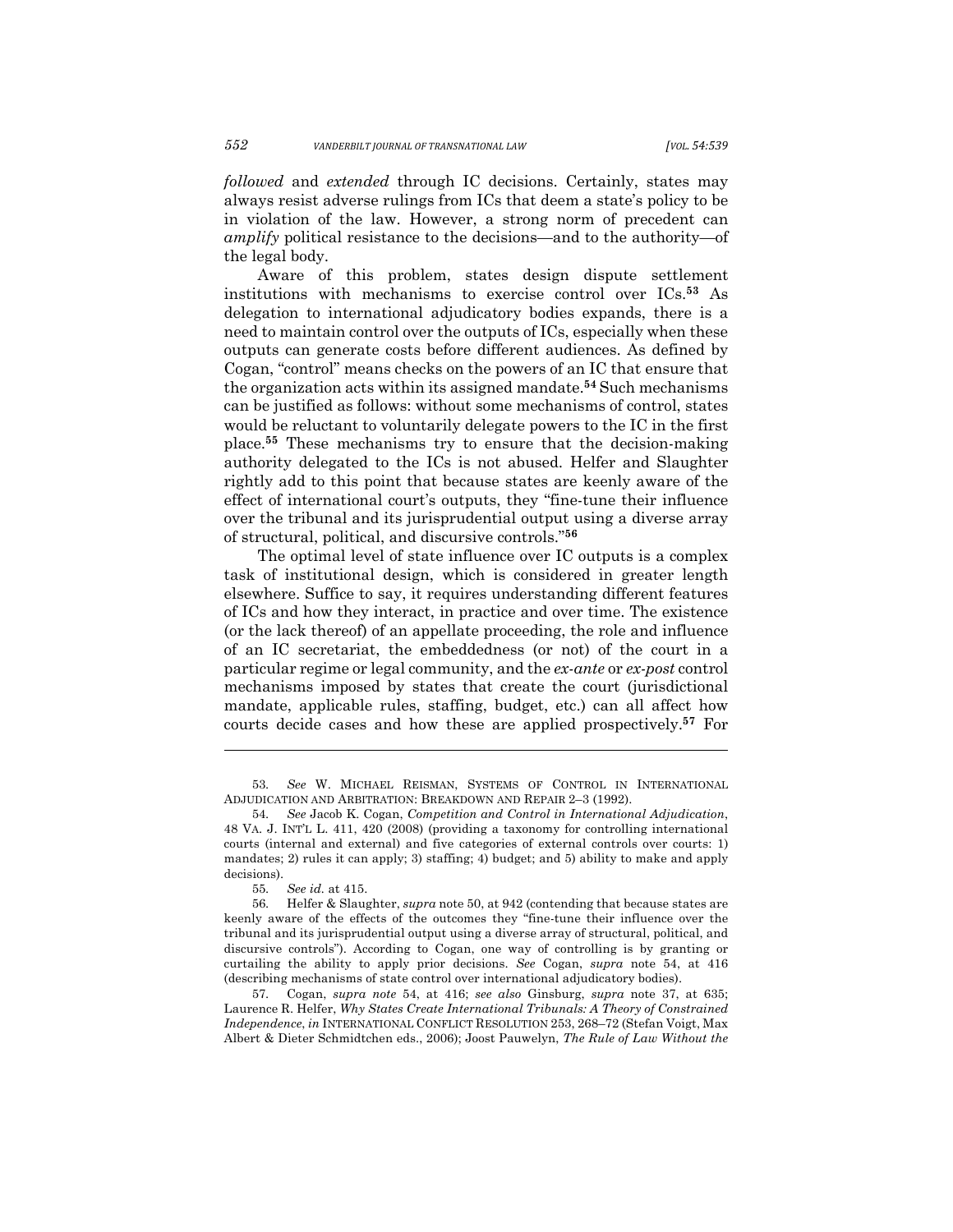*followed* and *extended* through IC decisions. Certainly, states may always resist adverse rulings from ICs that deem a state's policy to be in violation of the law. However, a strong norm of precedent can *amplify* political resistance to the decisions—and to the authority—of the legal body.

Aware of this problem, states design dispute settlement institutions with mechanisms to exercise control over ICs.**<sup>53</sup>** As delegation to international adjudicatory bodies expands, there is a need to maintain control over the outputs of ICs, especially when these outputs can generate costs before different audiences. As defined by Cogan, "control" means checks on the powers of an IC that ensure that the organization acts within its assigned mandate.**<sup>54</sup>** Such mechanisms can be justified as follows: without some mechanisms of control, states would be reluctant to voluntarily delegate powers to the IC in the first place.**<sup>55</sup>** These mechanisms try to ensure that the decision-making authority delegated to the ICs is not abused. Helfer and Slaughter rightly add to this point that because states are keenly aware of the effect of international court's outputs, they "fine-tune their influence over the tribunal and its jurisprudential output using a diverse array of structural, political, and discursive controls."**<sup>56</sup>**

The optimal level of state influence over IC outputs is a complex task of institutional design, which is considered in greater length elsewhere. Suffice to say, it requires understanding different features of ICs and how they interact, in practice and over time. The existence (or the lack thereof) of an appellate proceeding, the role and influence of an IC secretariat, the embeddedness (or not) of the court in a particular regime or legal community, and the *ex-ante* or *ex-post* control mechanisms imposed by states that create the court (jurisdictional mandate, applicable rules, staffing, budget, etc.) can all affect how courts decide cases and how these are applied prospectively.**<sup>57</sup>** For

53. *See* W. MICHAEL REISMAN, SYSTEMS OF CONTROL IN INTERNATIONAL ADJUDICATION AND ARBITRATION: BREAKDOWN AND REPAIR 2–3 (1992).

<sup>54.</sup> *See* Jacob K. Cogan, *Competition and Control in International Adjudication*, 48 VA. J. INT'L L. 411, 420 (2008) (providing a taxonomy for controlling international courts (internal and external) and five categories of external controls over courts: 1) mandates; 2) rules it can apply; 3) staffing; 4) budget; and 5) ability to make and apply decisions).

<sup>55.</sup> *See id.* at 415.

<sup>56.</sup> Helfer & Slaughter, *supra* note 50, at 942 (contending that because states are keenly aware of the effects of the outcomes they "fine-tune their influence over the tribunal and its jurisprudential output using a diverse array of structural, political, and discursive controls"). According to Cogan, one way of controlling is by granting or curtailing the ability to apply prior decisions. *See* Cogan, *supra* note 54, at 416 (describing mechanisms of state control over international adjudicatory bodies).

<sup>57.</sup> Cogan, *supra note* 54, at 416; *see also* Ginsburg, *supra* note 37, at 635; Laurence R. Helfer, *Why States Create International Tribunals: A Theory of Constrained Independence*, *in* INTERNATIONAL CONFLICT RESOLUTION 253, 268–72 (Stefan Voigt, Max Albert & Dieter Schmidtchen eds., 2006); Joost Pauwelyn, *The Rule of Law Without the*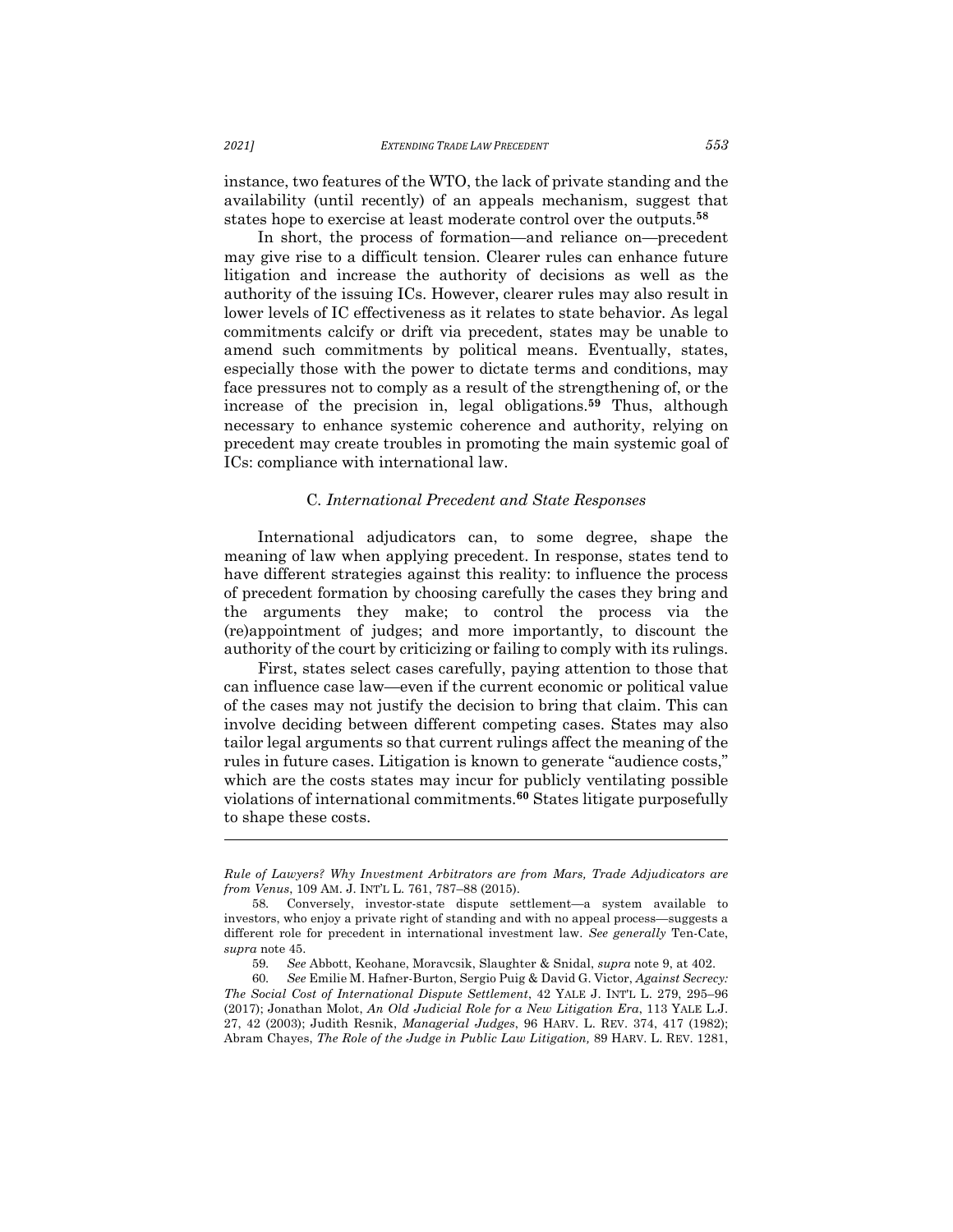instance, two features of the WTO, the lack of private standing and the availability (until recently) of an appeals mechanism, suggest that states hope to exercise at least moderate control over the outputs.**<sup>58</sup>**

In short, the process of formation—and reliance on—precedent may give rise to a difficult tension. Clearer rules can enhance future litigation and increase the authority of decisions as well as the authority of the issuing ICs. However, clearer rules may also result in lower levels of IC effectiveness as it relates to state behavior. As legal commitments calcify or drift via precedent, states may be unable to amend such commitments by political means. Eventually, states, especially those with the power to dictate terms and conditions, may face pressures not to comply as a result of the strengthening of, or the increase of the precision in, legal obligations. **<sup>59</sup>** Thus, although necessary to enhance systemic coherence and authority, relying on precedent may create troubles in promoting the main systemic goal of ICs: compliance with international law.

#### C*. International Precedent and State Responses*

International adjudicators can, to some degree, shape the meaning of law when applying precedent. In response, states tend to have different strategies against this reality: to influence the process of precedent formation by choosing carefully the cases they bring and the arguments they make; to control the process via the (re)appointment of judges; and more importantly, to discount the authority of the court by criticizing or failing to comply with its rulings.

First, states select cases carefully, paying attention to those that can influence case law—even if the current economic or political value of the cases may not justify the decision to bring that claim. This can involve deciding between different competing cases. States may also tailor legal arguments so that current rulings affect the meaning of the rules in future cases. Litigation is known to generate "audience costs," which are the costs states may incur for publicly ventilating possible violations of international commitments. **<sup>60</sup>** States litigate purposefully to shape these costs.

*Rule of Lawyers? Why Investment Arbitrators are from Mars, Trade Adjudicators are from Venus*, 109 AM. J. INT'L L. 761, 787–88 (2015).

<sup>58.</sup> Conversely, investor-state dispute settlement—a system available to investors, who enjoy a private right of standing and with no appeal process—suggests a different role for precedent in international investment law. *See generally* Ten-Cate, *supra* note 45.

<sup>59.</sup> *See* Abbott, Keohane, Moravcsik, Slaughter & Snidal, *supra* note 9, at 402.

<sup>60.</sup> *See* Emilie M. Hafner-Burton, Sergio Puig & David G. Victor, *Against Secrecy: The Social Cost of International Dispute Settlement*, 42 YALE J. INT'L L. 279, 295–96 (2017); Jonathan Molot, *An Old Judicial Role for a New Litigation Era*, 113 YALE L.J. 27, 42 (2003); Judith Resnik, *Managerial Judges*, 96 HARV. L. REV. 374, 417 (1982); Abram Chayes, *The Role of the Judge in Public Law Litigation,* 89 HARV. L. REV. 1281,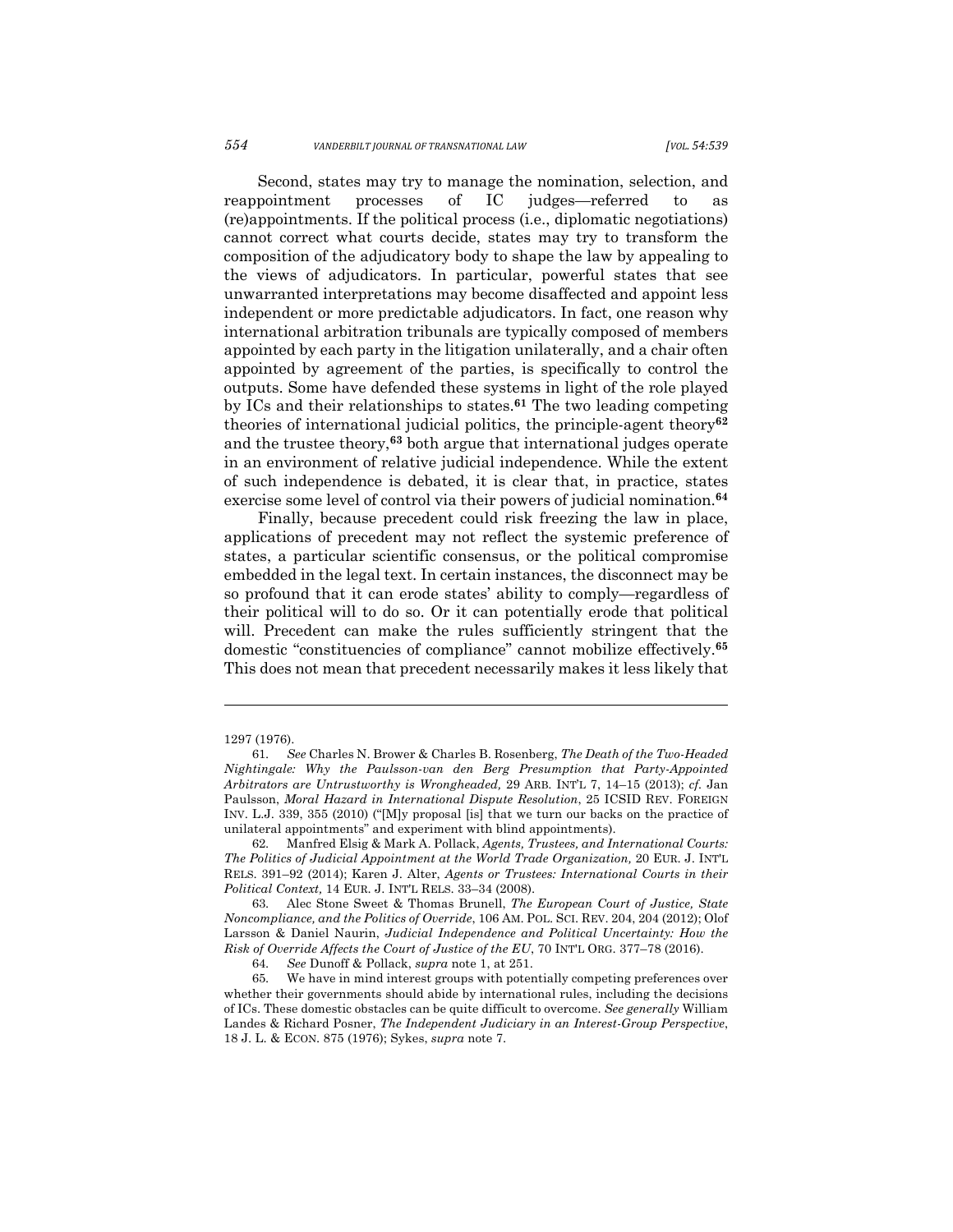Second, states may try to manage the nomination, selection, and reappointment processes of IC judges—referred to as (re)appointments. If the political process (i.e., diplomatic negotiations) cannot correct what courts decide, states may try to transform the composition of the adjudicatory body to shape the law by appealing to the views of adjudicators. In particular, powerful states that see unwarranted interpretations may become disaffected and appoint less independent or more predictable adjudicators. In fact, one reason why international arbitration tribunals are typically composed of members appointed by each party in the litigation unilaterally, and a chair often appointed by agreement of the parties, is specifically to control the outputs. Some have defended these systems in light of the role played by ICs and their relationships to states. **<sup>61</sup>** The two leading competing theories of international judicial politics, the principle-agent theory**<sup>62</sup>** and the trustee theory,**<sup>63</sup>** both argue that international judges operate in an environment of relative judicial independence. While the extent of such independence is debated, it is clear that, in practice, states exercise some level of control via their powers of judicial nomination.**<sup>64</sup>**

Finally, because precedent could risk freezing the law in place, applications of precedent may not reflect the systemic preference of states, a particular scientific consensus, or the political compromise embedded in the legal text. In certain instances, the disconnect may be so profound that it can erode states' ability to comply—regardless of their political will to do so. Or it can potentially erode that political will. Precedent can make the rules sufficiently stringent that the domestic "constituencies of compliance" cannot mobilize effectively.**<sup>65</sup>** This does not mean that precedent necessarily makes it less likely that

<sup>1297 (1976).</sup>

<sup>61.</sup> *See* Charles N. Brower & Charles B. Rosenberg, *The Death of the Two-Headed Nightingale: Why the Paulsson-van den Berg Presumption that Party-Appointed Arbitrators are Untrustworthy is Wrongheaded,* 29 ARB. INT'L 7, 14–15 (2013); *cf.* Jan Paulsson, *Moral Hazard in International Dispute Resolution*, 25 ICSID REV. FOREIGN INV. L.J. 339, 355 (2010) ("[M]y proposal [is] that we turn our backs on the practice of unilateral appointments" and experiment with blind appointments).

<sup>62.</sup> Manfred Elsig & Mark A. Pollack, *Agents, Trustees, and International Courts: The Politics of Judicial Appointment at the World Trade Organization,* 20 EUR. J. INT'L RELS. 391–92 (2014); Karen J. Alter, *Agents or Trustees: International Courts in their Political Context,* 14 EUR. J. INT'L RELS. 33–34 (2008).

<sup>63.</sup> Alec Stone Sweet & Thomas Brunell, *The European Court of Justice, State Noncompliance, and the Politics of Override*, 106 AM. POL. SCI. REV. 204, 204 (2012); Olof Larsson & Daniel Naurin, *Judicial Independence and Political Uncertainty: How the Risk of Override Affects the Court of Justice of the EU*, 70 INT'L ORG. 377–78 (2016).

<sup>64.</sup> *See* Dunoff & Pollack, *supra* note 1, at 251.

<sup>65.</sup> We have in mind interest groups with potentially competing preferences over whether their governments should abide by international rules, including the decisions of ICs. These domestic obstacles can be quite difficult to overcome. *See generally* William Landes & Richard Posner, *The Independent Judiciary in an Interest-Group Perspective*, 18 J. L. & ECON. 875 (1976); Sykes, *supra* note 7.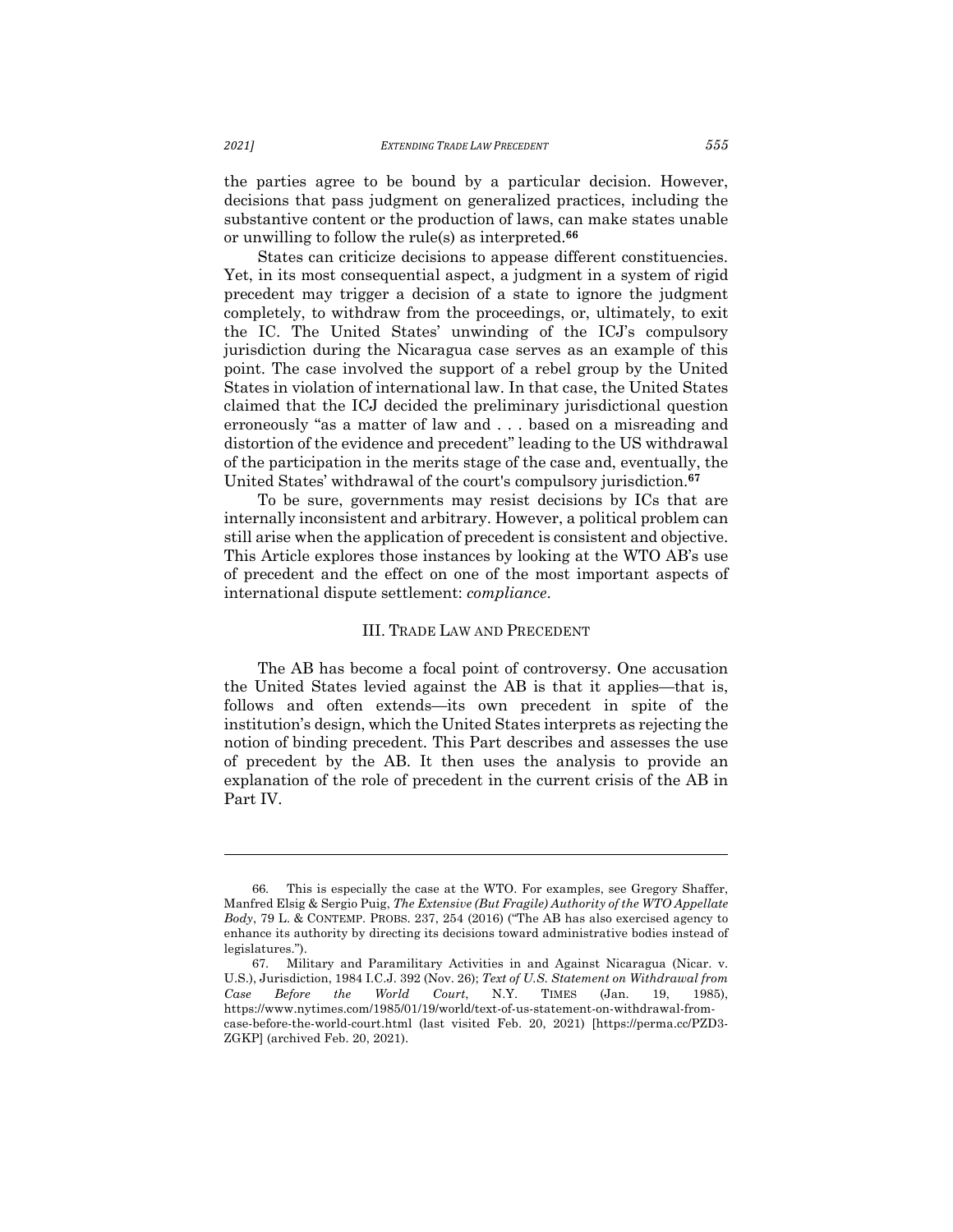the parties agree to be bound by a particular decision. However, decisions that pass judgment on generalized practices, including the substantive content or the production of laws, can make states unable or unwilling to follow the rule(s) as interpreted.**<sup>66</sup>**

States can criticize decisions to appease different constituencies. Yet, in its most consequential aspect, a judgment in a system of rigid precedent may trigger a decision of a state to ignore the judgment completely, to withdraw from the proceedings, or, ultimately, to exit the IC. The United States' unwinding of the ICJ's compulsory jurisdiction during the Nicaragua case serves as an example of this point. The case involved the support of a rebel group by the United States in violation of international law. In that case, the United States claimed that the ICJ decided the preliminary jurisdictional question erroneously "as a matter of law and . . . based on a misreading and distortion of the evidence and precedent" leading to the US withdrawal of the participation in the merits stage of the case and, eventually, the United States' withdrawal of the court's compulsory jurisdiction.**<sup>67</sup>**

To be sure, governments may resist decisions by ICs that are internally inconsistent and arbitrary. However, a political problem can still arise when the application of precedent is consistent and objective. This Article explores those instances by looking at the WTO AB's use of precedent and the effect on one of the most important aspects of international dispute settlement: *compliance*.

#### III. TRADE LAW AND PRECEDENT

The AB has become a focal point of controversy. One accusation the United States levied against the AB is that it applies—that is, follows and often extends—its own precedent in spite of the institution's design, which the United States interprets as rejecting the notion of binding precedent. This Part describes and assesses the use of precedent by the AB. It then uses the analysis to provide an explanation of the role of precedent in the current crisis of the AB in Part IV.

<sup>66.</sup> This is especially the case at the WTO. For examples, see Gregory Shaffer, Manfred Elsig & Sergio Puig, *The Extensive (But Fragile) Authority of the WTO Appellate Body*, 79 L. & CONTEMP. PROBS. 237, 254 (2016) ("The AB has also exercised agency to enhance its authority by directing its decisions toward administrative bodies instead of legislatures.").

<sup>67.</sup> Military and Paramilitary Activities in and Against Nicaragua (Nicar. v. U.S.), Jurisdiction, 1984 I.C.J. 392 (Nov. 26); *Text of U.S. Statement on Withdrawal from Case Before the World Court*, N.Y. TIMES (Jan. 19, 1985), https://www.nytimes.com/1985/01/19/world/text-of-us-statement-on-withdrawal-fromcase-before-the-world-court.html (last visited Feb. 20, 2021) [https://perma.cc/PZD3- ZGKP] (archived Feb. 20, 2021).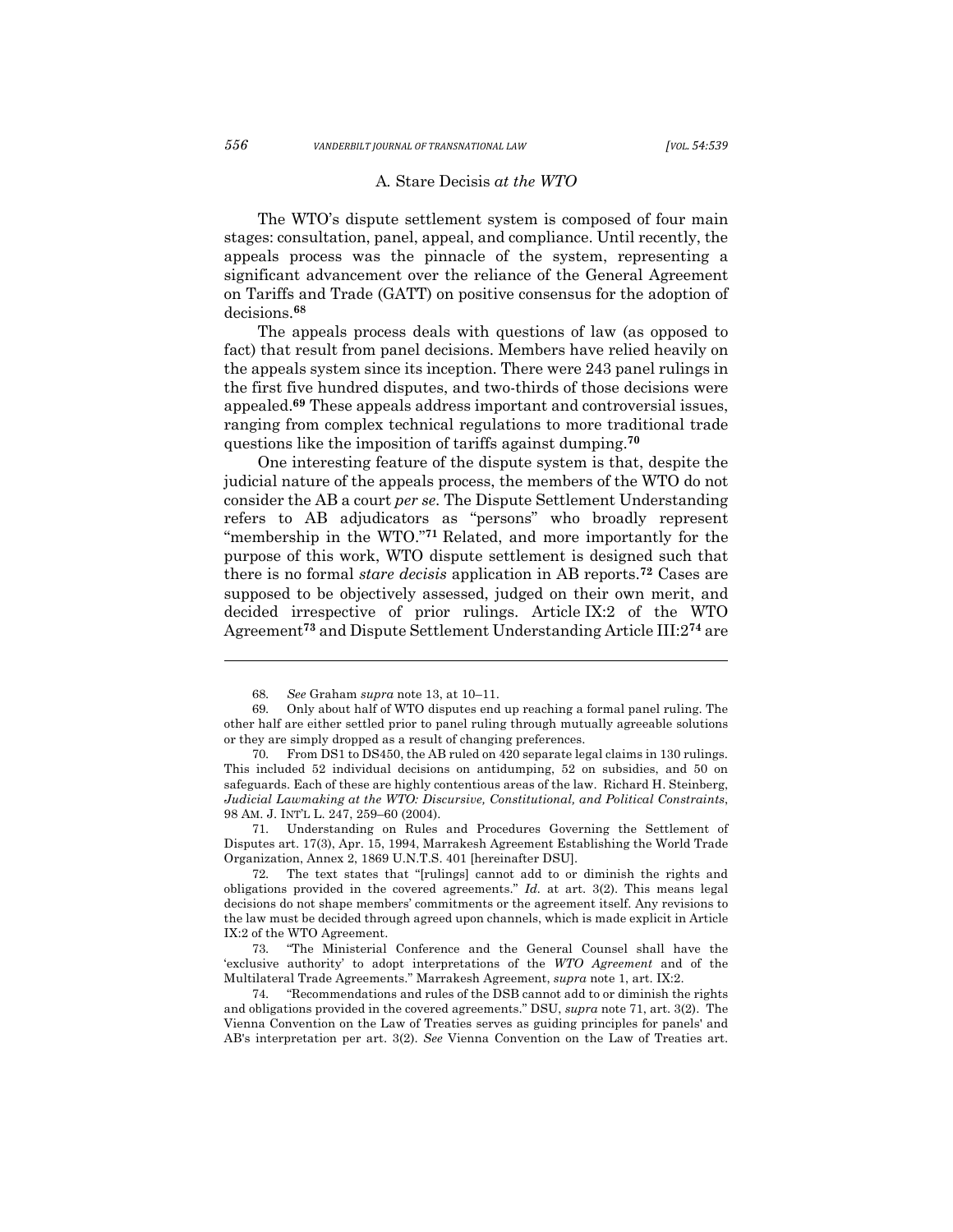### A*.* Stare Decisis *at the WTO*

The WTO's dispute settlement system is composed of four main stages: consultation, panel, appeal, and compliance. Until recently, the appeals process was the pinnacle of the system, representing a significant advancement over the reliance of the General Agreement on Tariffs and Trade (GATT) on positive consensus for the adoption of decisions.**<sup>68</sup>**

The appeals process deals with questions of law (as opposed to fact) that result from panel decisions. Members have relied heavily on the appeals system since its inception. There were 243 panel rulings in the first five hundred disputes, and two-thirds of those decisions were appealed.**<sup>69</sup>** These appeals address important and controversial issues, ranging from complex technical regulations to more traditional trade questions like the imposition of tariffs against dumping.**<sup>70</sup>**

One interesting feature of the dispute system is that, despite the judicial nature of the appeals process, the members of the WTO do not consider the AB a court *per se*. The Dispute Settlement Understanding refers to AB adjudicators as "persons" who broadly represent "membership in the WTO."**<sup>71</sup>** Related, and more importantly for the purpose of this work, WTO dispute settlement is designed such that there is no formal *stare decisis* application in AB reports.**<sup>72</sup>** Cases are supposed to be objectively assessed, judged on their own merit, and decided irrespective of prior rulings. Article IX:2 of the WTO Agreement**<sup>73</sup>** and Dispute Settlement Understanding Article III:2**<sup>74</sup>** are

71. Understanding on Rules and Procedures Governing the Settlement of Disputes art. 17(3), Apr. 15, 1994, Marrakesh Agreement Establishing the World Trade Organization, Annex 2, 1869 U.N.T.S. 401 [hereinafter DSU].

<sup>68.</sup> *See* Graham *supra* note 13, at 10–11.

<sup>69.</sup> Only about half of WTO disputes end up reaching a formal panel ruling. The other half are either settled prior to panel ruling through mutually agreeable solutions or they are simply dropped as a result of changing preferences.

<sup>70.</sup> From DS1 to DS450, the AB ruled on 420 separate legal claims in 130 rulings. This included 52 individual decisions on antidumping, 52 on subsidies, and 50 on safeguards. Each of these are highly contentious areas of the law. Richard H. Steinberg, *Judicial Lawmaking at the WTO: Discursive, Constitutional, and Political Constraints*, 98 AM. J. INT'L L. 247, 259–60 (2004).

<sup>72.</sup> The text states that "[rulings] cannot add to or diminish the rights and obligations provided in the covered agreements." *Id.* at art. 3(2). This means legal decisions do not shape members' commitments or the agreement itself. Any revisions to the law must be decided through agreed upon channels, which is made explicit in Article IX:2 of the WTO Agreement.

<sup>73.</sup> "The Ministerial Conference and the General Counsel shall have the 'exclusive authority' to adopt interpretations of the *WTO Agreement* and of the Multilateral Trade Agreements." Marrakesh Agreement, *supra* note 1, art. IX:2.

<sup>&</sup>quot;Recommendations and rules of the DSB cannot add to or diminish the rights and obligations provided in the covered agreements." DSU, *supra* note 71, art. 3(2). The Vienna Convention on the Law of Treaties serves as guiding principles for panels' and AB's interpretation per art. 3(2). *See* Vienna Convention on the Law of Treaties art.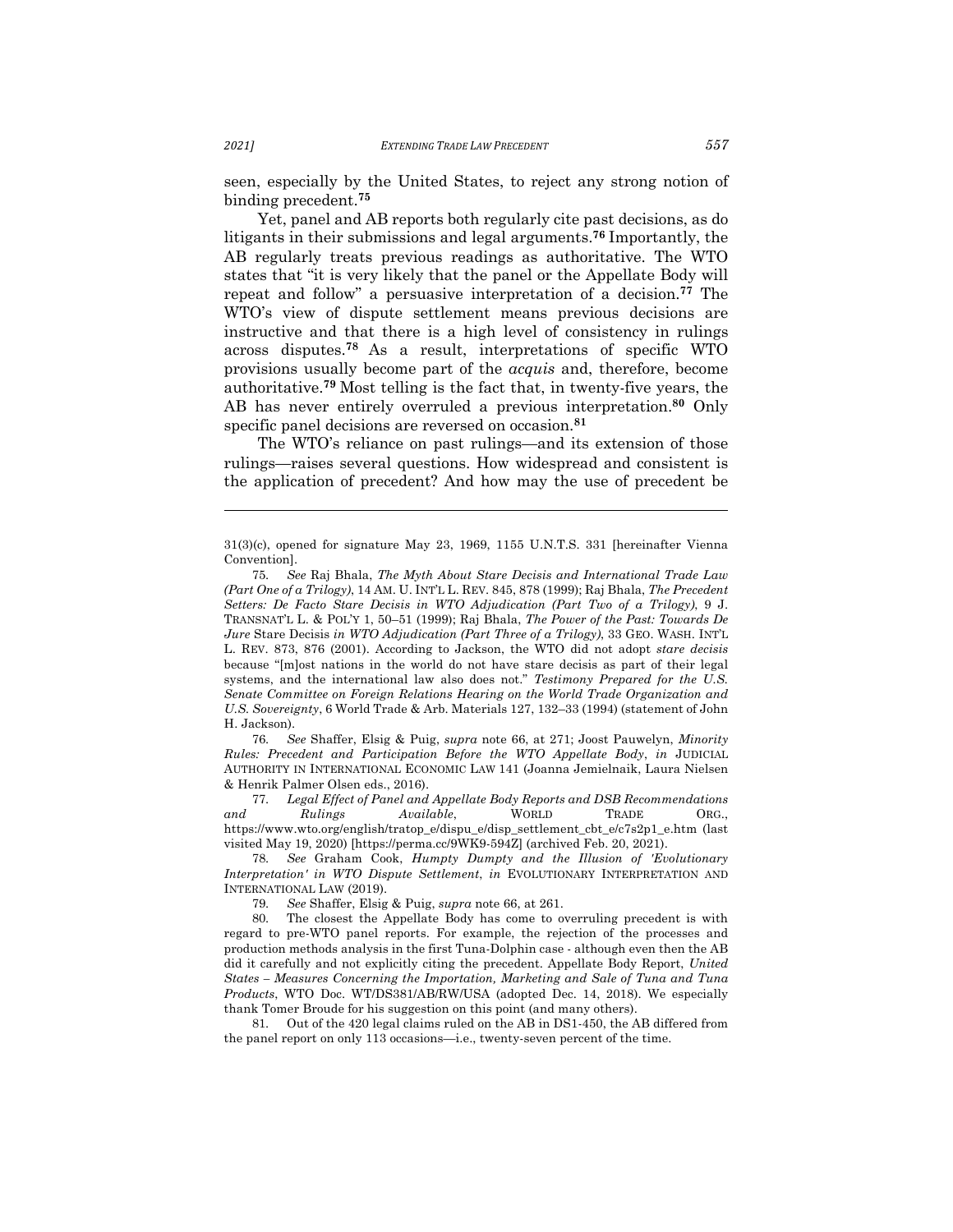seen, especially by the United States, to reject any strong notion of binding precedent.**<sup>75</sup>**

Yet, panel and AB reports both regularly cite past decisions, as do litigants in their submissions and legal arguments.**<sup>76</sup>** Importantly, the AB regularly treats previous readings as authoritative. The WTO states that "it is very likely that the panel or the Appellate Body will repeat and follow" a persuasive interpretation of a decision.**<sup>77</sup>** The WTO's view of dispute settlement means previous decisions are instructive and that there is a high level of consistency in rulings across disputes.**<sup>78</sup>** As a result, interpretations of specific WTO provisions usually become part of the *acquis* and, therefore, become authoritative.**<sup>79</sup>** Most telling is the fact that, in twenty-five years, the AB has never entirely overruled a previous interpretation.**<sup>80</sup>** Only specific panel decisions are reversed on occasion.**<sup>81</sup>**

The WTO's reliance on past rulings—and its extension of those rulings—raises several questions. How widespread and consistent is the application of precedent? And how may the use of precedent be

76. *See* Shaffer, Elsig & Puig, *supra* note 66, at 271; Joost Pauwelyn, *Minority Rules: Precedent and Participation Before the WTO Appellate Body*, *in* JUDICIAL AUTHORITY IN INTERNATIONAL ECONOMIC LAW 141 (Joanna Jemielnaik, Laura Nielsen & Henrik Palmer Olsen eds., 2016).

77. *Legal Effect of Panel and Appellate Body Reports and DSB Recommendations and Rulings Available*, WORLD TRADE ORG., https://www.wto.org/english/tratop\_e/dispu\_e/disp\_settlement\_cbt\_e/c7s2p1\_e.htm (last visited May 19, 2020) [https://perma.cc/9WK9-594Z] (archived Feb. 20, 2021).

78. *See* Graham Cook, *Humpty Dumpty and the Illusion of 'Evolutionary Interpretation' in WTO Dispute Settlement*, *in* EVOLUTIONARY INTERPRETATION AND INTERNATIONAL LAW (2019).

79. *See* Shaffer, Elsig & Puig, *supra* note 66, at 261.

80. The closest the Appellate Body has come to overruling precedent is with regard to pre-WTO panel reports. For example, the rejection of the processes and production methods analysis in the first Tuna-Dolphin case - although even then the AB did it carefully and not explicitly citing the precedent. Appellate Body Report, *United States – Measures Concerning the Importation, Marketing and Sale of Tuna and Tuna Products*, WTO Doc. WT/DS381/AB/RW/USA (adopted Dec. 14, 2018). We especially thank Tomer Broude for his suggestion on this point (and many others).

81. Out of the 420 legal claims ruled on the AB in DS1-450, the AB differed from the panel report on only 113 occasions—i.e., twenty-seven percent of the time.

<sup>31(3)(</sup>c), opened for signature May 23, 1969, 1155 U.N.T.S. 331 [hereinafter Vienna Convention].

<sup>75.</sup> *See* Raj Bhala, *The Myth About Stare Decisis and International Trade Law (Part One of a Trilogy)*, 14 AM. U. INT'L L. REV. 845, 878 (1999); Raj Bhala, *The Precedent Setters: De Facto Stare Decisis in WTO Adjudication (Part Two of a Trilogy)*, 9 J. TRANSNAT'L L. & POL'Y 1, 50–51 (1999); Raj Bhala, *The Power of the Past: Towards De Jure* Stare Decisis *in WTO Adjudication (Part Three of a Trilogy)*, 33 GEO. WASH. INT'L L. REV. 873, 876 (2001). According to Jackson, the WTO did not adopt *stare decisis*  because "[m]ost nations in the world do not have stare decisis as part of their legal systems, and the international law also does not." *Testimony Prepared for the U.S. Senate Committee on Foreign Relations Hearing on the World Trade Organization and U.S. Sovereignty*, 6 World Trade & Arb. Materials 127, 132–33 (1994) (statement of John H. Jackson).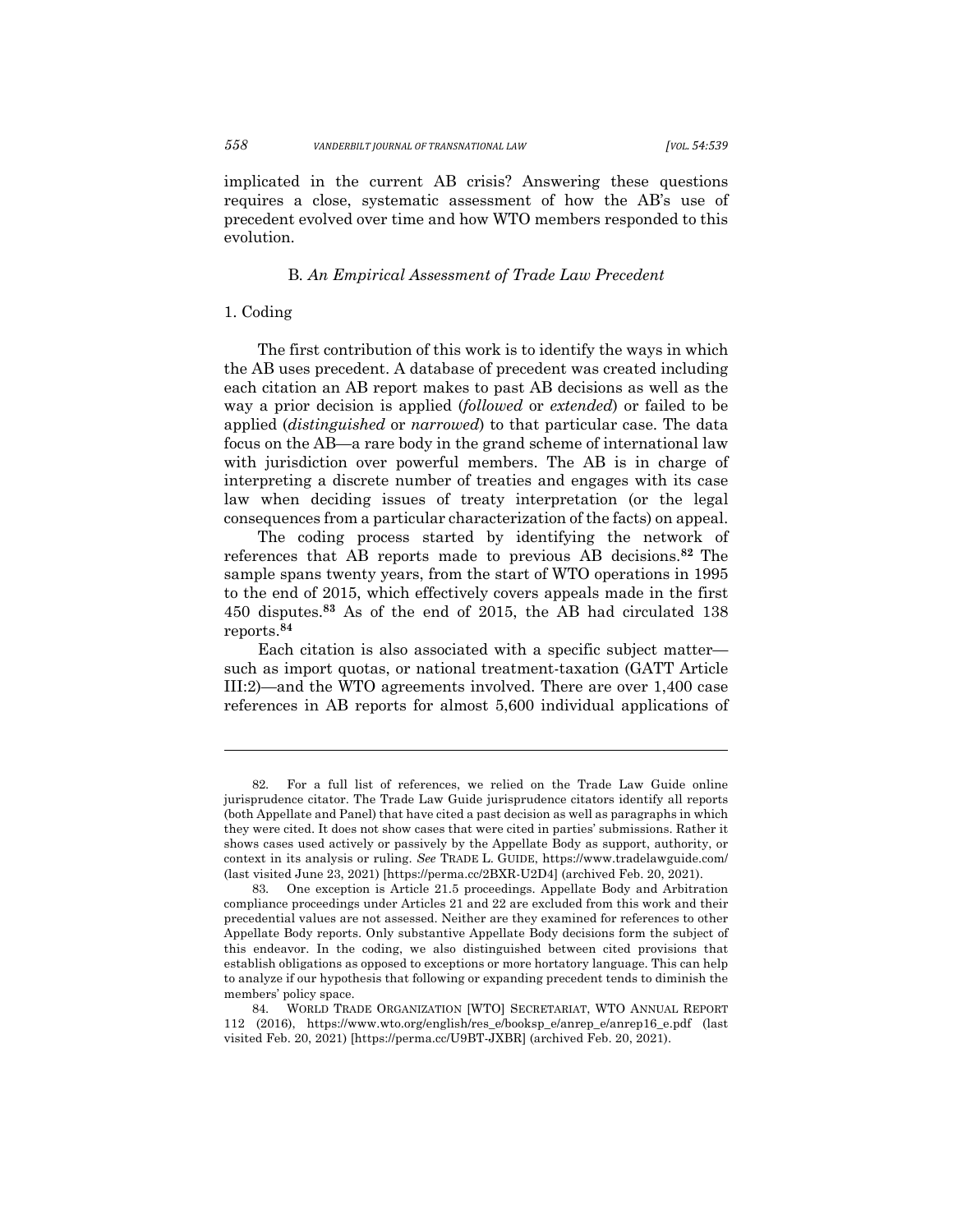implicated in the current AB crisis? Answering these questions requires a close, systematic assessment of how the AB's use of precedent evolved over time and how WTO members responded to this evolution.

## B*. An Empirical Assessment of Trade Law Precedent*

#### 1. Coding

The first contribution of this work is to identify the ways in which the AB uses precedent. A database of precedent was created including each citation an AB report makes to past AB decisions as well as the way a prior decision is applied (*followed* or *extended*) or failed to be applied (*distinguished* or *narrowed*) to that particular case. The data focus on the AB—a rare body in the grand scheme of international law with jurisdiction over powerful members. The AB is in charge of interpreting a discrete number of treaties and engages with its case law when deciding issues of treaty interpretation (or the legal consequences from a particular characterization of the facts) on appeal.

The coding process started by identifying the network of references that AB reports made to previous AB decisions.**<sup>82</sup>** The sample spans twenty years, from the start of WTO operations in 1995 to the end of 2015, which effectively covers appeals made in the first 450 disputes.**<sup>83</sup>** As of the end of 2015, the AB had circulated 138 reports.**<sup>84</sup>**

Each citation is also associated with a specific subject matter such as import quotas, or national treatment-taxation (GATT Article III:2)—and the WTO agreements involved. There are over 1,400 case references in AB reports for almost 5,600 individual applications of

<sup>82.</sup> For a full list of references, we relied on the Trade Law Guide online jurisprudence citator. The Trade Law Guide jurisprudence citators identify all reports (both Appellate and Panel) that have cited a past decision as well as paragraphs in which they were cited. It does not show cases that were cited in parties' submissions. Rather it shows cases used actively or passively by the Appellate Body as support, authority, or context in its analysis or ruling. *See* TRADE L. GUIDE, https://www.tradelawguide.com/ (last visited June 23, 2021) [https://perma.cc/2BXR-U2D4] (archived Feb. 20, 2021).

<sup>83.</sup> One exception is Article 21.5 proceedings. Appellate Body and Arbitration compliance proceedings under Articles 21 and 22 are excluded from this work and their precedential values are not assessed. Neither are they examined for references to other Appellate Body reports. Only substantive Appellate Body decisions form the subject of this endeavor. In the coding, we also distinguished between cited provisions that establish obligations as opposed to exceptions or more hortatory language. This can help to analyze if our hypothesis that following or expanding precedent tends to diminish the members' policy space.

<sup>84.</sup> WORLD TRADE ORGANIZATION [WTO] SECRETARIAT, WTO ANNUAL REPORT 112 (2016), https://www.wto.org/english/res\_e/booksp\_e/anrep\_e/anrep16\_e.pdf (last visited Feb. 20, 2021) [https://perma.cc/U9BT-JXBR] (archived Feb. 20, 2021).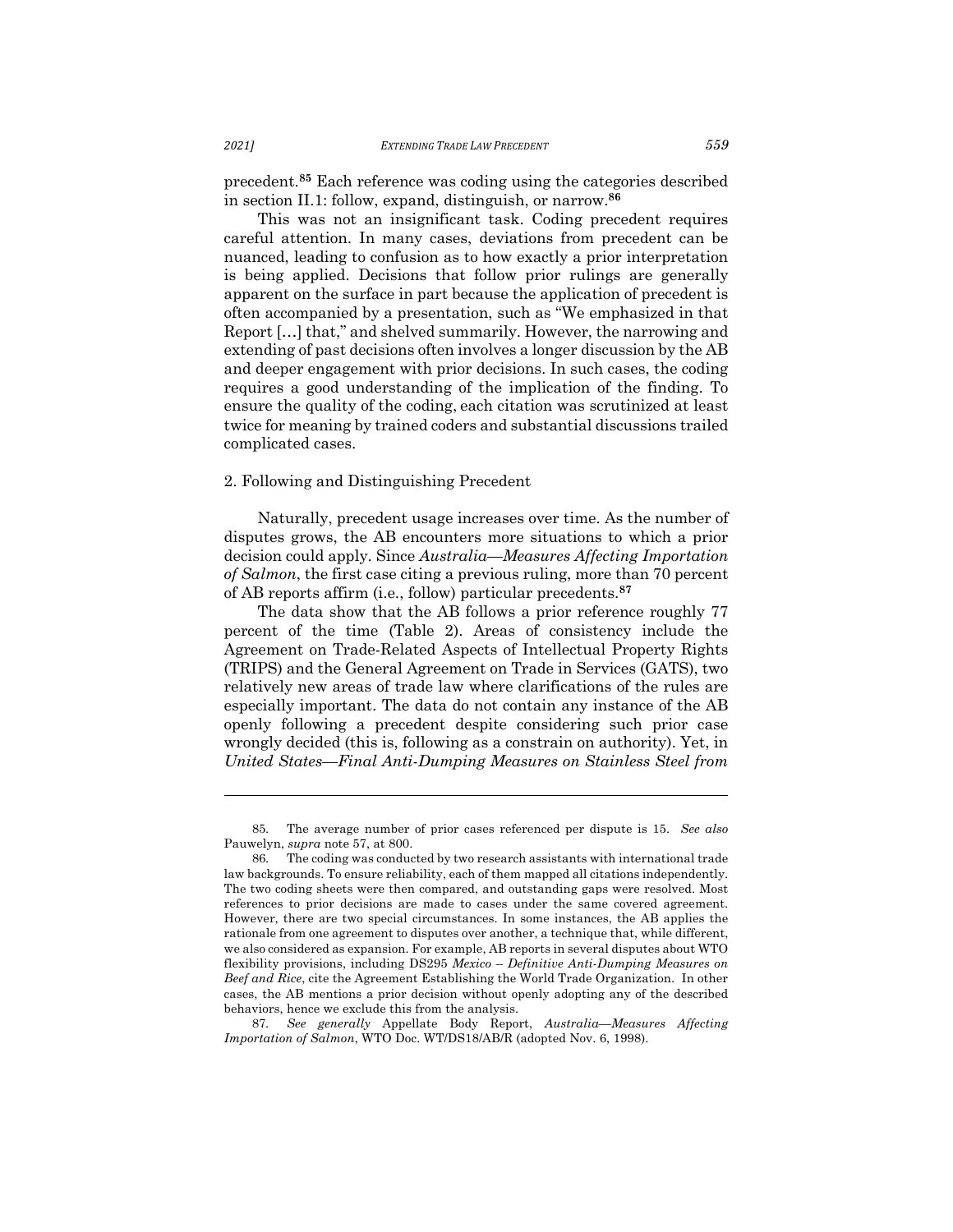precedent.**<sup>85</sup>** Each reference was coding using the categories described in section II.1: follow, expand, distinguish, or narrow.**<sup>86</sup>**

This was not an insignificant task. Coding precedent requires careful attention. In many cases, deviations from precedent can be nuanced, leading to confusion as to how exactly a prior interpretation is being applied. Decisions that follow prior rulings are generally apparent on the surface in part because the application of precedent is often accompanied by a presentation, such as "We emphasized in that Report […] that," and shelved summarily. However, the narrowing and extending of past decisions often involves a longer discussion by the AB and deeper engagement with prior decisions. In such cases, the coding requires a good understanding of the implication of the finding. To ensure the quality of the coding, each citation was scrutinized at least twice for meaning by trained coders and substantial discussions trailed complicated cases.

#### 2. Following and Distinguishing Precedent

Naturally, precedent usage increases over time. As the number of disputes grows, the AB encounters more situations to which a prior decision could apply. Since *Australia––Measures Affecting Importation of Salmon*, the first case citing a previous ruling, more than 70 percent of AB reports affirm (i.e., follow) particular precedents.**<sup>87</sup>**

The data show that the AB follows a prior reference roughly 77 percent of the time (Table 2). Areas of consistency include the Agreement on Trade-Related Aspects of Intellectual Property Rights (TRIPS) and the General Agreement on Trade in Services (GATS), two relatively new areas of trade law where clarifications of the rules are especially important. The data do not contain any instance of the AB openly following a precedent despite considering such prior case wrongly decided (this is, following as a constrain on authority). Yet, in *United States––Final Anti-Dumping Measures on Stainless Steel from* 

<sup>85.</sup> The average number of prior cases referenced per dispute is 15. *See also* Pauwelyn, *supra* note 57, at 800.

<sup>86.</sup> The coding was conducted by two research assistants with international trade law backgrounds. To ensure reliability, each of them mapped all citations independently. The two coding sheets were then compared, and outstanding gaps were resolved. Most references to prior decisions are made to cases under the same covered agreement. However, there are two special circumstances. In some instances, the AB applies the rationale from one agreement to disputes over another, a technique that, while different, we also considered as expansion. For example, AB reports in several disputes about WTO flexibility provisions, including DS295 *Mexico* – *Definitive Anti-Dumping Measures on Beef and Rice*, cite the Agreement Establishing the World Trade Organization. In other cases, the AB mentions a prior decision without openly adopting any of the described behaviors, hence we exclude this from the analysis.

<sup>87.</sup> *See generally* Appellate Body Report, *Australia*—*Measures Affecting Importation of Salmon*, WTO Doc. WT/DS18/AB/R (adopted Nov. 6, 1998).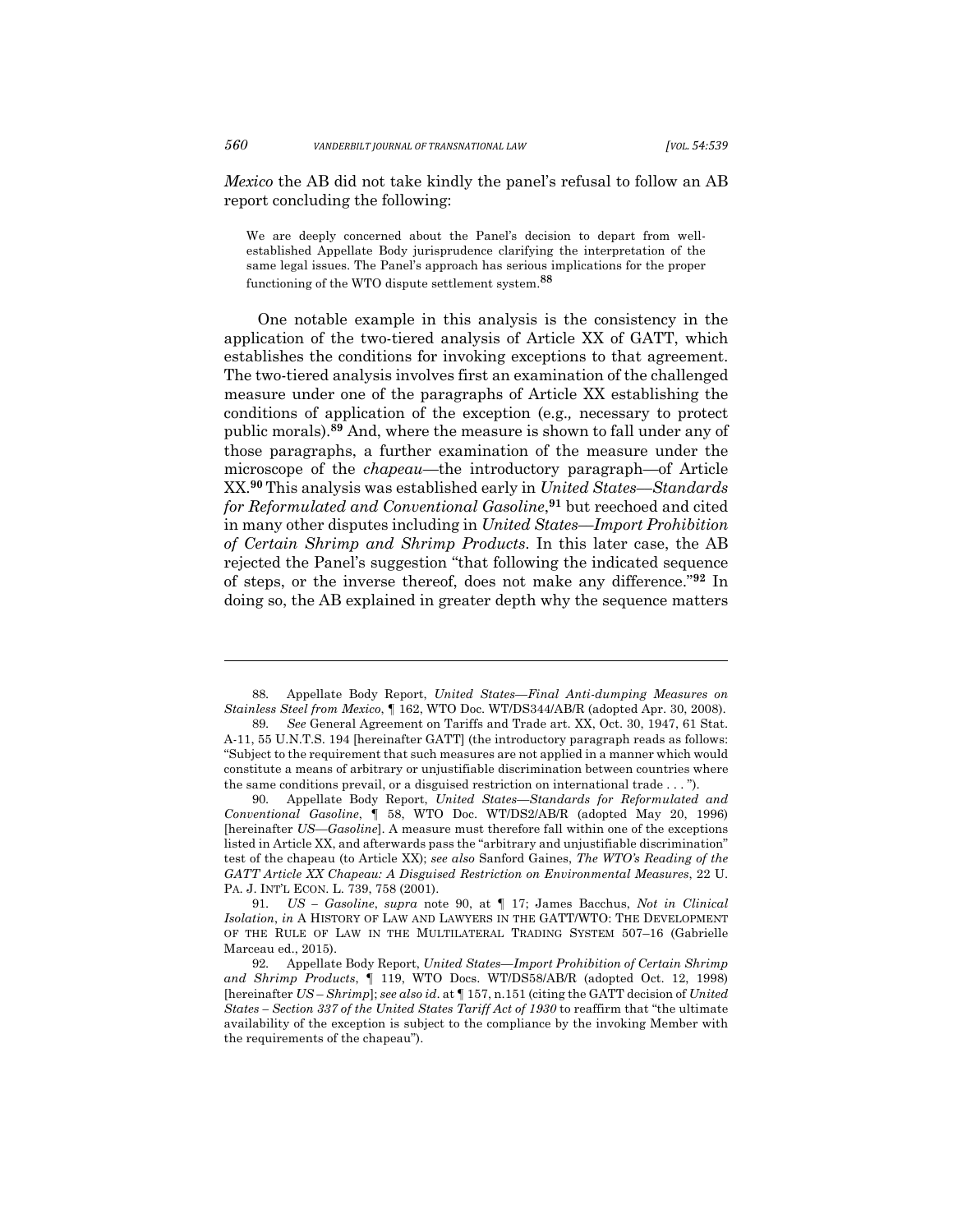*Mexico* the AB did not take kindly the panel's refusal to follow an AB report concluding the following:

We are deeply concerned about the Panel's decision to depart from wellestablished Appellate Body jurisprudence clarifying the interpretation of the same legal issues. The Panel's approach has serious implications for the proper functioning of the WTO dispute settlement system. **88**

One notable example in this analysis is the consistency in the application of the two-tiered analysis of Article XX of GATT, which establishes the conditions for invoking exceptions to that agreement. The two-tiered analysis involves first an examination of the challenged measure under one of the paragraphs of Article XX establishing the conditions of application of the exception (e.g.*,* necessary to protect public morals).**<sup>89</sup>** And, where the measure is shown to fall under any of those paragraphs, a further examination of the measure under the microscope of the *chapeau*—the introductory paragraph—of Article XX.**<sup>90</sup>** This analysis was established early in *United States––Standards for Reformulated and Conventional Gasoline*, **<sup>91</sup>** but reechoed and cited in many other disputes including in *United States––Import Prohibition of Certain Shrimp and Shrimp Products*. In this later case, the AB rejected the Panel's suggestion "that following the indicated sequence of steps, or the inverse thereof, does not make any difference."**<sup>92</sup>** In doing so, the AB explained in greater depth why the sequence matters

<sup>88.</sup> Appellate Body Report, *United States—Final Anti-dumping Measures on Stainless Steel from Mexico*, ¶ 162, WTO Doc. WT/DS344/AB/R (adopted Apr. 30, 2008).

<sup>89.</sup> *See* General Agreement on Tariffs and Trade art. XX, Oct. 30, 1947, 61 Stat. A-11, 55 U.N.T.S. 194 [hereinafter GATT] (the introductory paragraph reads as follows: "Subject to the requirement that such measures are not applied in a manner which would constitute a means of arbitrary or unjustifiable discrimination between countries where the same conditions prevail, or a disguised restriction on international trade . . . ").

<sup>90.</sup> Appellate Body Report, *United States—Standards for Reformulated and Conventional Gasoline*, ¶ 58, WTO Doc. WT/DS2/AB/R (adopted May 20, 1996) [hereinafter *US*—*Gasoline*]. A measure must therefore fall within one of the exceptions listed in Article XX, and afterwards pass the "arbitrary and unjustifiable discrimination" test of the chapeau (to Article XX); *see also* Sanford Gaines, *The WTO's Reading of the GATT Article XX Chapeau: A Disguised Restriction on Environmental Measures*, 22 U. PA. J. INT'L ECON. L. 739, 758 (2001).

<sup>91.</sup> *US – Gasoline*, *supra* note 90, at ¶ 17; James Bacchus, *Not in Clinical Isolation*, *in* A HISTORY OF LAW AND LAWYERS IN THE GATT/WTO: THE DEVELOPMENT OF THE RULE OF LAW IN THE MULTILATERAL TRADING SYSTEM 507–16 (Gabrielle Marceau ed., 2015).

<sup>92.</sup> Appellate Body Report, *United States*—*Import Prohibition of Certain Shrimp and Shrimp Products*, ¶ 119, WTO Docs. WT/DS58/AB/R (adopted Oct. 12, 1998) [hereinafter *US* – *Shrimp*]; *see also id*. at ¶ 157, n.151 (citing the GATT decision of *United States – Section 337 of the United States Tariff Act of 1930* to reaffirm that "the ultimate availability of the exception is subject to the compliance by the invoking Member with the requirements of the chapeau").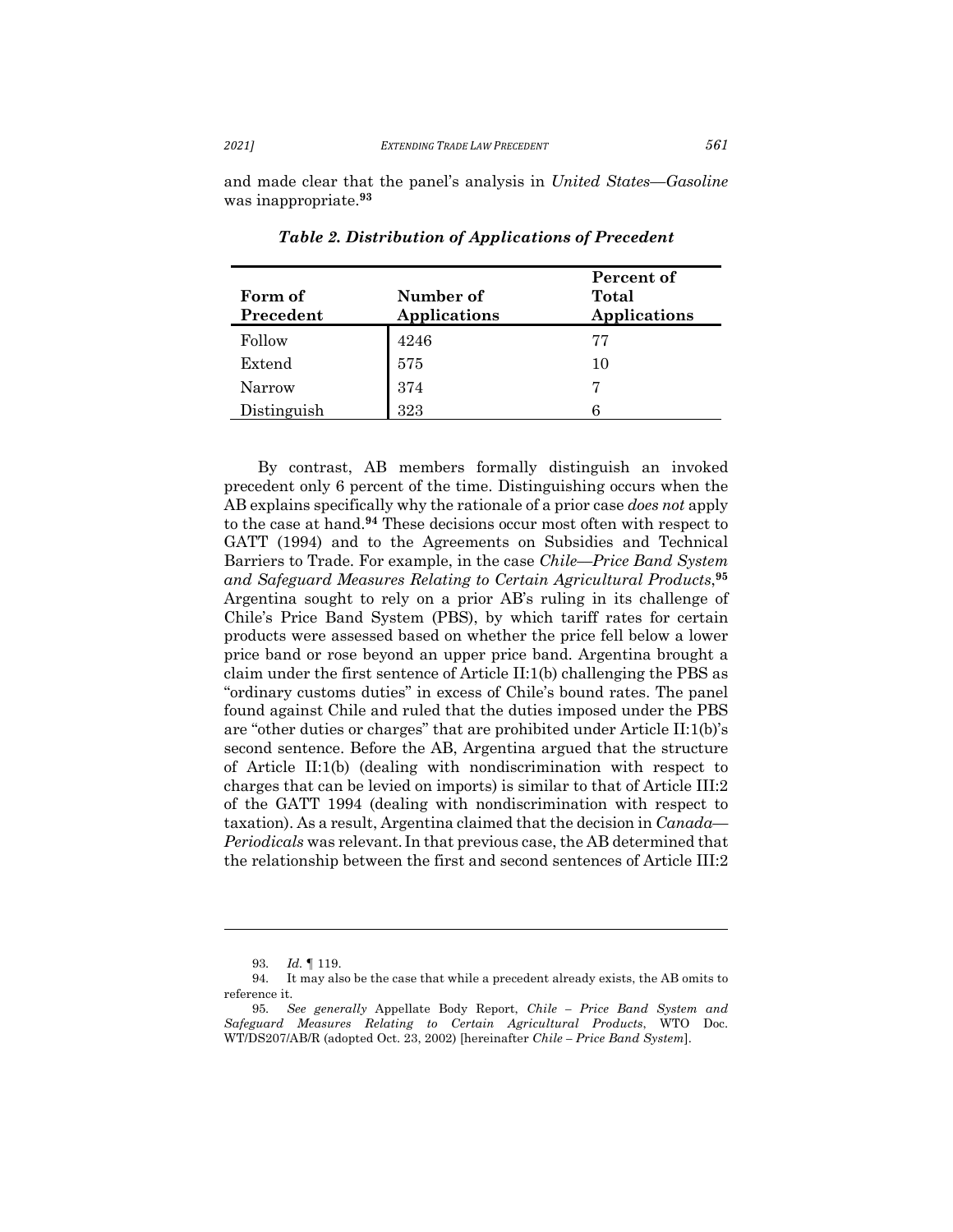and made clear that the panel's analysis in *United States––Gasoline*  was inappropriate.**<sup>93</sup>**

| Form of<br>Precedent | Number of<br>Applications | Percent of<br>Total<br>Applications |
|----------------------|---------------------------|-------------------------------------|
| Follow               | 4246                      | 77                                  |
| Extend               | 575                       | 10                                  |
| Narrow               | 374                       | 7                                   |
| Distinguish          | 323                       |                                     |

*Table 2. Distribution of Applications of Precedent*

By contrast, AB members formally distinguish an invoked precedent only 6 percent of the time. Distinguishing occurs when the AB explains specifically why the rationale of a prior case *does not* apply to the case at hand.**<sup>94</sup>** These decisions occur most often with respect to GATT (1994) and to the Agreements on Subsidies and Technical Barriers to Trade. For example, in the case *Chile––Price Band System and Safeguard Measures Relating to Certain Agricultural Products*, **95** Argentina sought to rely on a prior AB's ruling in its challenge of Chile's Price Band System (PBS), by which tariff rates for certain products were assessed based on whether the price fell below a lower price band or rose beyond an upper price band. Argentina brought a claim under the first sentence of Article II:1(b) challenging the PBS as "ordinary customs duties" in excess of Chile's bound rates. The panel found against Chile and ruled that the duties imposed under the PBS are "other duties or charges" that are prohibited under Article II:1(b)'s second sentence. Before the AB, Argentina argued that the structure of Article II:1(b) (dealing with nondiscrimination with respect to charges that can be levied on imports) is similar to that of Article III:2 of the GATT 1994 (dealing with nondiscrimination with respect to taxation). As a result, Argentina claimed that the decision in *Canada— Periodicals* was relevant. In that previous case, the AB determined that the relationship between the first and second sentences of Article III:2

<sup>93.</sup> *Id.* ¶ 119.

<sup>94.</sup> It may also be the case that while a precedent already exists, the AB omits to reference it.

<sup>95.</sup> *See generally* Appellate Body Report, *Chile – Price Band System and Safeguard Measures Relating to Certain Agricultural Products*, WTO Doc. WT/DS207/AB/R (adopted Oct. 23, 2002) [hereinafter *Chile – Price Band System*].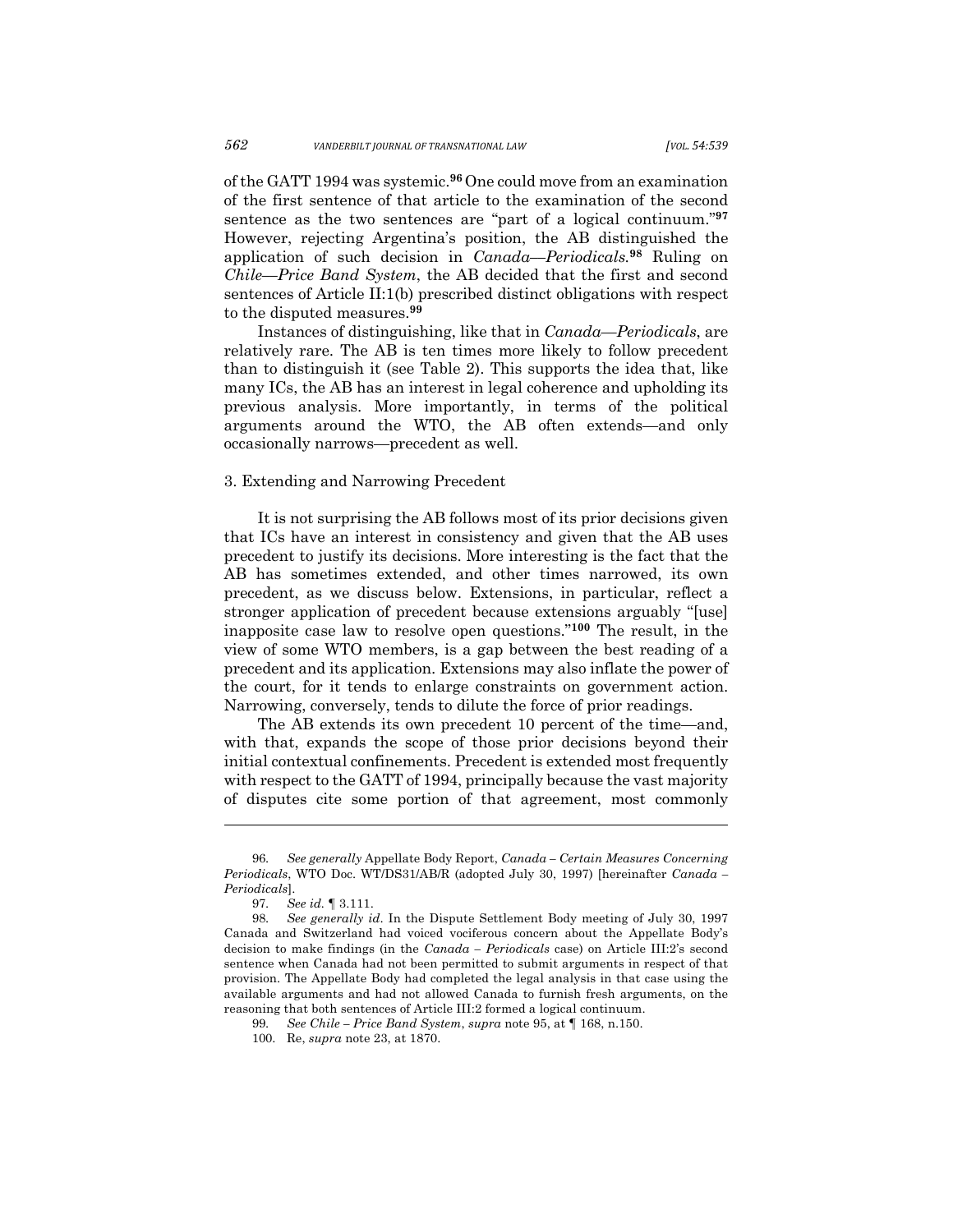of the GATT 1994 was systemic.**<sup>96</sup>**One could move from an examination of the first sentence of that article to the examination of the second sentence as the two sentences are "part of a logical continuum."**<sup>97</sup>** However, rejecting Argentina's position, the AB distinguished the application of such decision in *Canada––Periodicals.***<sup>98</sup>** Ruling on *Chile––Price Band System*, the AB decided that the first and second sentences of Article II:1(b) prescribed distinct obligations with respect to the disputed measures.**<sup>99</sup>**

Instances of distinguishing, like that in *Canada––Periodicals*, are relatively rare. The AB is ten times more likely to follow precedent than to distinguish it (see Table 2). This supports the idea that, like many ICs, the AB has an interest in legal coherence and upholding its previous analysis. More importantly, in terms of the political arguments around the WTO, the AB often extends—and only occasionally narrows—precedent as well.

#### 3. Extending and Narrowing Precedent

It is not surprising the AB follows most of its prior decisions given that ICs have an interest in consistency and given that the AB uses precedent to justify its decisions. More interesting is the fact that the AB has sometimes extended, and other times narrowed, its own precedent, as we discuss below. Extensions, in particular, reflect a stronger application of precedent because extensions arguably "[use] inapposite case law to resolve open questions."**<sup>100</sup>** The result, in the view of some WTO members, is a gap between the best reading of a precedent and its application. Extensions may also inflate the power of the court, for it tends to enlarge constraints on government action. Narrowing, conversely, tends to dilute the force of prior readings.

The AB extends its own precedent 10 percent of the time—and, with that, expands the scope of those prior decisions beyond their initial contextual confinements. Precedent is extended most frequently with respect to the GATT of 1994, principally because the vast majority of disputes cite some portion of that agreement, most commonly

<sup>96.</sup> *See generally* Appellate Body Report, *Canada – Certain Measures Concerning Periodicals*, WTO Doc. WT/DS31/AB/R (adopted July 30, 1997) [hereinafter *Canada – Periodicals*].

<sup>97.</sup> *See id.* ¶ 3.111.

<sup>98.</sup> *See generally id*. In the Dispute Settlement Body meeting of July 30, 1997 Canada and Switzerland had voiced vociferous concern about the Appellate Body's decision to make findings (in the *Canada – Periodicals* case) on Article III:2's second sentence when Canada had not been permitted to submit arguments in respect of that provision. The Appellate Body had completed the legal analysis in that case using the available arguments and had not allowed Canada to furnish fresh arguments, on the reasoning that both sentences of Article III:2 formed a logical continuum.

<sup>99.</sup> *See Chile – Price Band System*, *supra* note 95, at ¶ 168, n.150.

<sup>100.</sup> Re, *supra* note 23, at 1870.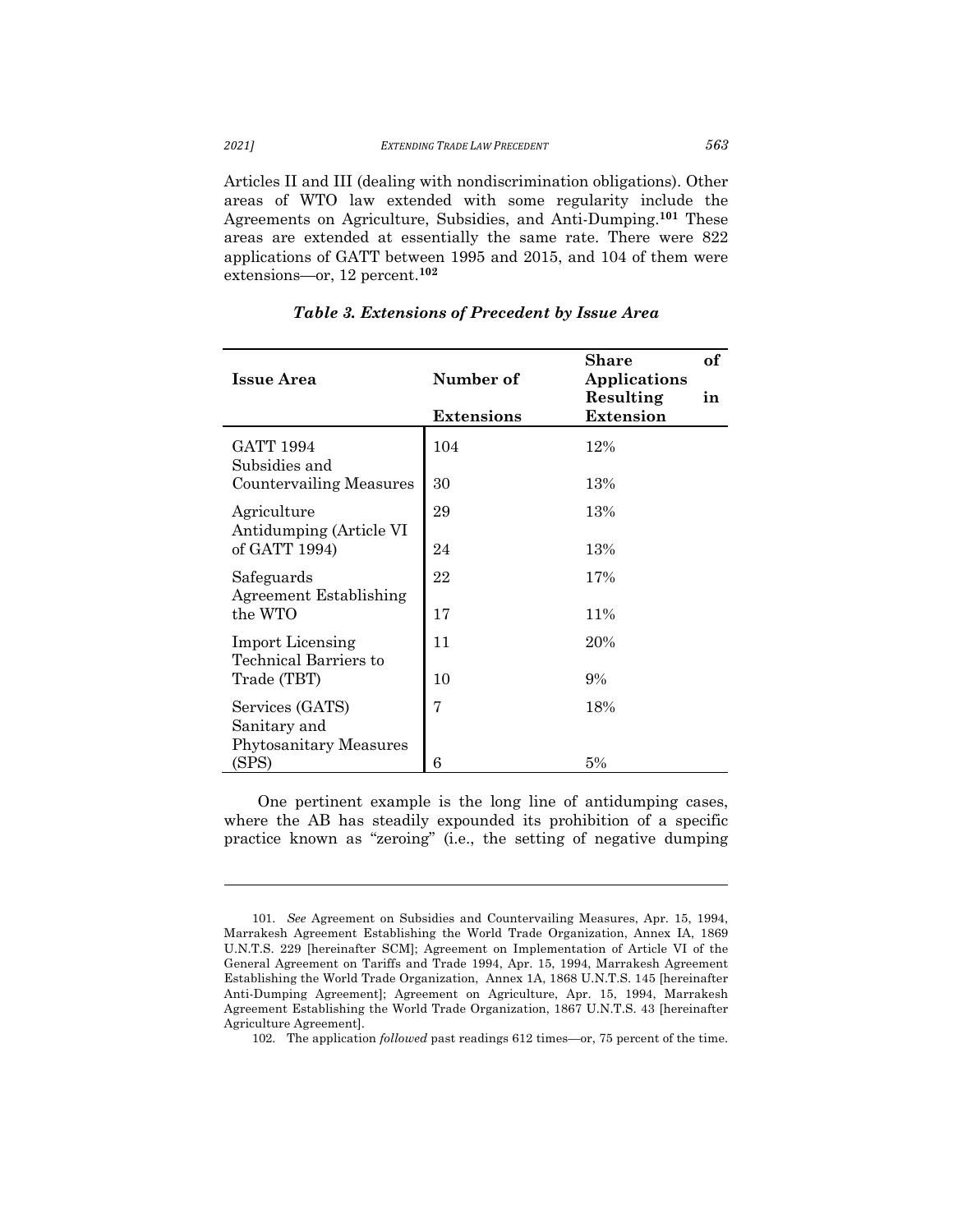Articles II and III (dealing with nondiscrimination obligations). Other areas of WTO law extended with some regularity include the Agreements on Agriculture, Subsidies, and Anti-Dumping.**<sup>101</sup>** These areas are extended at essentially the same rate. There were 822 applications of GATT between 1995 and 2015, and 104 of them were extensions—or, 12 percent.**<sup>102</sup>**

| <b>Issue Area</b>                                | Number of         | <b>of</b><br>Share<br><b>Applications</b> |  |
|--------------------------------------------------|-------------------|-------------------------------------------|--|
|                                                  | <b>Extensions</b> | Resulting<br>in<br><b>Extension</b>       |  |
| GATT 1994<br>Subsidies and                       | 104               | 12%                                       |  |
| Countervailing Measures                          | 30                | 13%                                       |  |
| Agriculture<br>Antidumping (Article VI           | 29                | 13%                                       |  |
| of GATT 1994)                                    | 24                | 13%                                       |  |
| Safeguards<br>Agreement Establishing             | 22                | 17%                                       |  |
| the WTO                                          | 17                | 11%                                       |  |
| <b>Import Licensing</b><br>Technical Barriers to | 11                | 20%                                       |  |
| Trade (TBT)                                      | 10                | 9%                                        |  |
| Services (GATS)<br>Sanitary and                  | 7                 | 18%                                       |  |
| <b>Phytosanitary Measures</b><br>(SPS)           | 6                 | 5%                                        |  |
|                                                  |                   |                                           |  |

# *Table 3. Extensions of Precedent by Issue Area*

One pertinent example is the long line of antidumping cases, where the AB has steadily expounded its prohibition of a specific practice known as "zeroing" (i.e., the setting of negative dumping

102. The application *followed* past readings 612 times—or, 75 percent of the time.

<sup>101.</sup> *See* Agreement on Subsidies and Countervailing Measures, Apr. 15, 1994, Marrakesh Agreement Establishing the World Trade Organization, Annex IA, 1869 U.N.T.S. 229 [hereinafter SCM]; Agreement on Implementation of Article VI of the General Agreement on Tariffs and Trade 1994, Apr. 15, 1994, Marrakesh Agreement Establishing the World Trade Organization, Annex 1A, 1868 U.N.T.S. 145 [hereinafter Anti-Dumping Agreement]; Agreement on Agriculture, Apr. 15, 1994, Marrakesh Agreement Establishing the World Trade Organization, 1867 U.N.T.S. 43 [hereinafter Agriculture Agreement].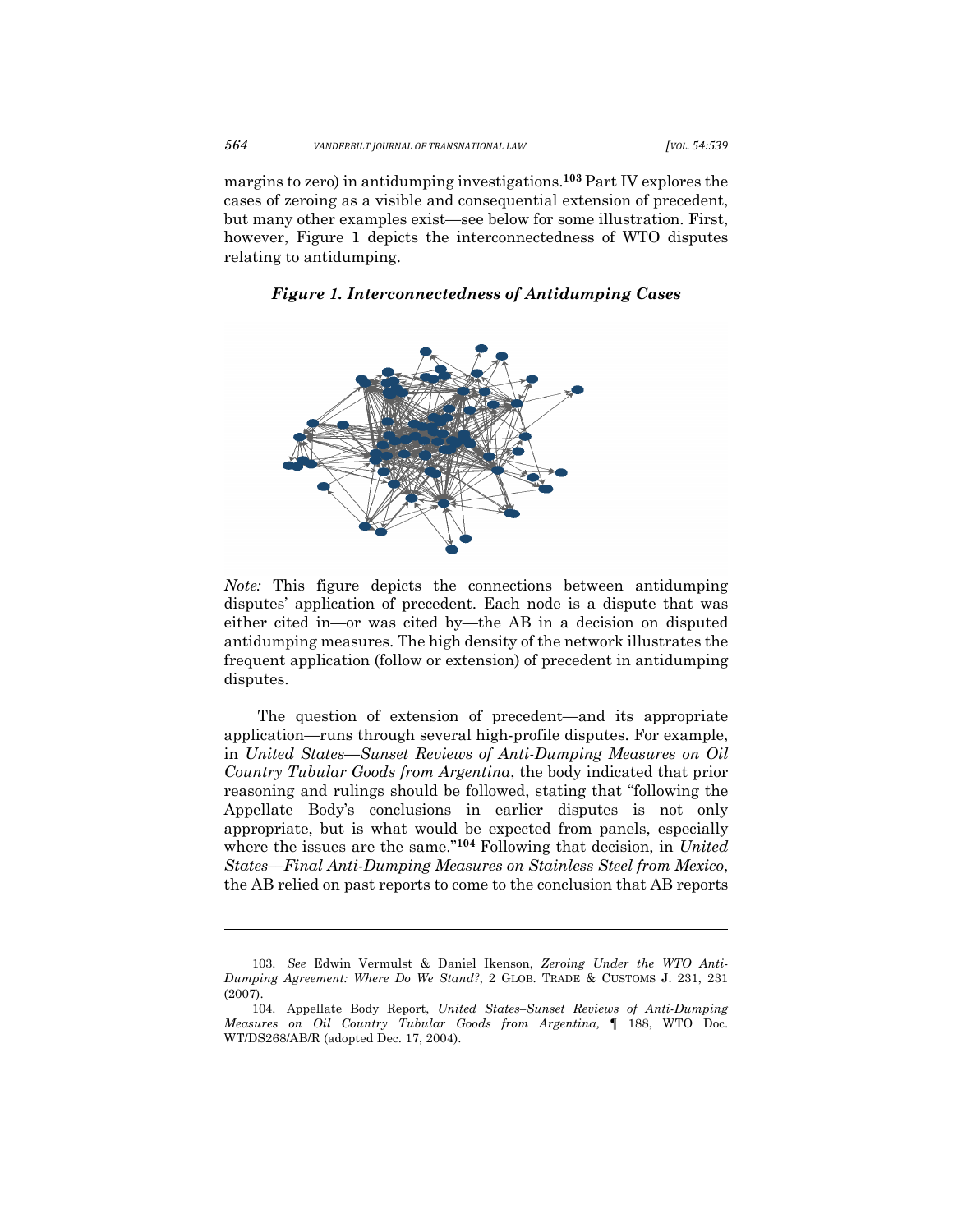*564 VANDERBILT JOURNAL OF TRANSNATIONAL LAW [VOL. 54:539*

margins to zero) in antidumping investigations.**<sup>103</sup>** Part IV explores the cases of zeroing as a visible and consequential extension of precedent, but many other examples exist—see below for some illustration. First, however, Figure 1 depicts the interconnectedness of WTO disputes relating to antidumping.

*Figure 1. Interconnectedness of Antidumping Cases*



*Note:* This figure depicts the connections between antidumping disputes' application of precedent. Each node is a dispute that was either cited in—or was cited by—the AB in a decision on disputed antidumping measures. The high density of the network illustrates the frequent application (follow or extension) of precedent in antidumping disputes.

The question of extension of precedent—and its appropriate application—runs through several high-profile disputes. For example, in *United States––Sunset Reviews of Anti-Dumping Measures on Oil Country Tubular Goods from Argentina*, the body indicated that prior reasoning and rulings should be followed, stating that "following the Appellate Body's conclusions in earlier disputes is not only appropriate, but is what would be expected from panels, especially where the issues are the same."**<sup>104</sup>** Following that decision, in *United States––Final Anti-Dumping Measures on Stainless Steel from Mexico*, the AB relied on past reports to come to the conclusion that AB reports

<sup>103.</sup> *See* Edwin Vermulst & Daniel Ikenson, *Zeroing Under the WTO Anti-Dumping Agreement: Where Do We Stand?*, 2 GLOB. TRADE & CUSTOMS J. 231, 231 (2007).

<sup>104.</sup> Appellate Body Report, *United States–Sunset Reviews of Anti-Dumping Measures on Oil Country Tubular Goods from Argentina,* ¶ 188, WTO Doc. WT/DS268/AB/R (adopted Dec. 17, 2004).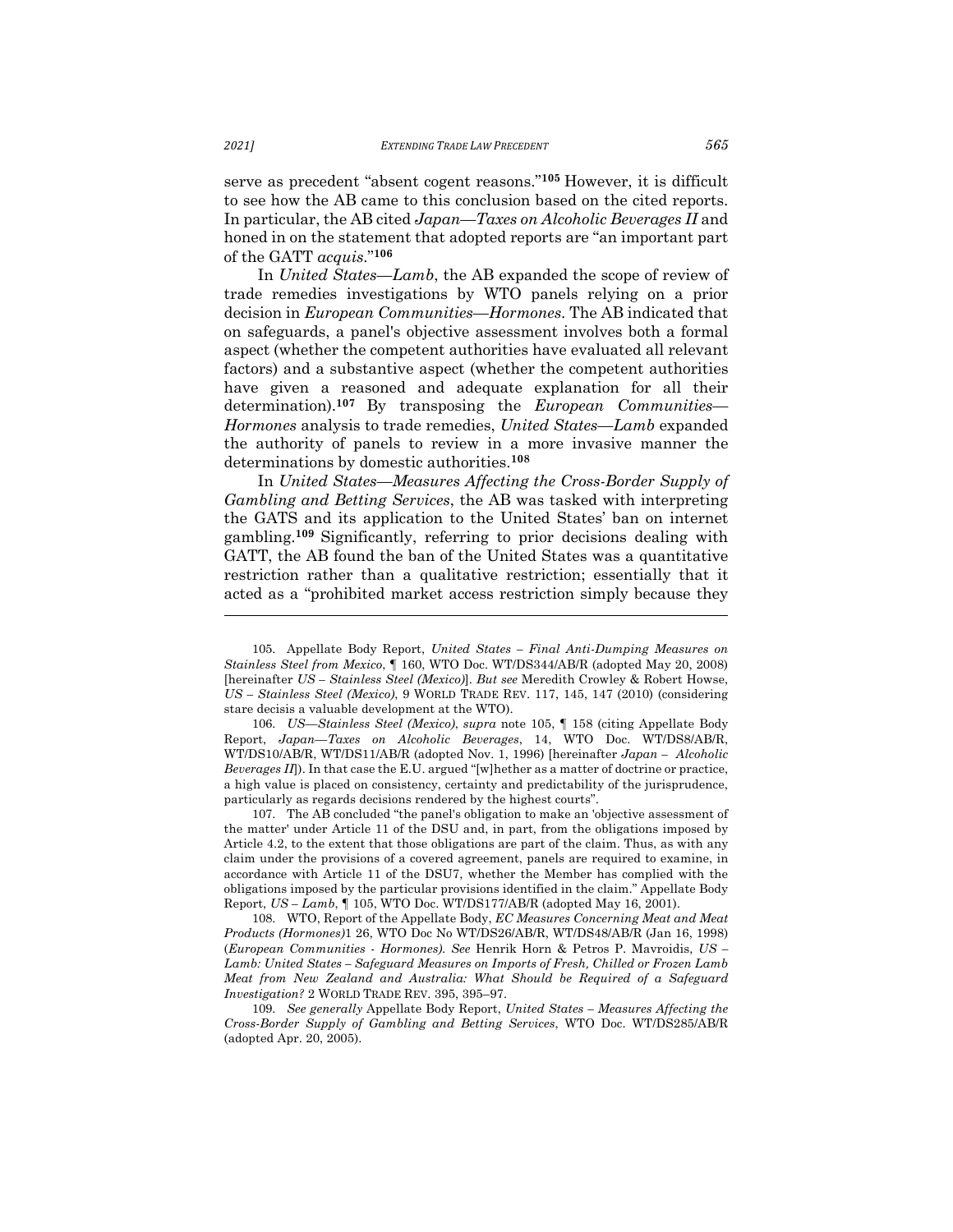serve as precedent "absent cogent reasons."**<sup>105</sup>** However, it is difficult to see how the AB came to this conclusion based on the cited reports. In particular, the AB cited *Japan––Taxes on Alcoholic Beverages II* and honed in on the statement that adopted reports are "an important part of the GATT *acquis*."**<sup>106</sup>**

In *United States––Lamb*, the AB expanded the scope of review of trade remedies investigations by WTO panels relying on a prior decision in *European Communities––Hormones*. The AB indicated that on safeguards, a panel's objective assessment involves both a formal aspect (whether the competent authorities have evaluated all relevant factors) and a substantive aspect (whether the competent authorities have given a reasoned and adequate explanation for all their determination).**<sup>107</sup>** By transposing the *European Communities–– Hormones* analysis to trade remedies, *United States––Lamb* expanded the authority of panels to review in a more invasive manner the determinations by domestic authorities.**<sup>108</sup>**

In *United States––Measures Affecting the Cross-Border Supply of Gambling and Betting Services*, the AB was tasked with interpreting the GATS and its application to the United States' ban on internet gambling.**<sup>109</sup>** Significantly, referring to prior decisions dealing with GATT, the AB found the ban of the United States was a quantitative restriction rather than a qualitative restriction; essentially that it acted as a "prohibited market access restriction simply because they

106. *US—Stainless Steel (Mexico)*, *supra* note 105, ¶ 158 (citing Appellate Body Report, *Japan—Taxes on Alcoholic Beverages*, 14, WTO Doc. WT/DS8/AB/R, WT/DS10/AB/R, WT/DS11/AB/R (adopted Nov. 1, 1996) [hereinafter *Japan – Alcoholic Beverages II*]). In that case the E.U. argued "[w]hether as a matter of doctrine or practice, a high value is placed on consistency, certainty and predictability of the jurisprudence, particularly as regards decisions rendered by the highest courts".

107. The AB concluded "the panel's obligation to make an 'objective assessment of the matter' under Article 11 of the DSU and, in part, from the obligations imposed by Article 4.2, to the extent that those obligations are part of the claim. Thus, as with any claim under the provisions of a covered agreement, panels are required to examine, in accordance with Article 11 of the DSU7, whether the Member has complied with the obligations imposed by the particular provisions identified in the claim." Appellate Body Report, *US – Lamb*, ¶ 105, WTO Doc. WT/DS177/AB/R (adopted May 16, 2001).

108. WTO, Report of the Appellate Body, *EC Measures Concerning Meat and Meat Products (Hormones)*1 26, WTO Doc No WT/DS26/AB/R, WT/DS48/AB/R (Jan 16, 1998) (*European Communities* - *Hormones). See* Henrik Horn & Petros P. Mavroidis, *US – Lamb: United States – Safeguard Measures on Imports of Fresh, Chilled or Frozen Lamb Meat from New Zealand and Australia: What Should be Required of a Safeguard Investigation?* 2 WORLD TRADE REV. 395, 395–97.

109. *See generally* Appellate Body Report, *United States – Measures Affecting the Cross-Border Supply of Gambling and Betting Services*, WTO Doc. WT/DS285/AB/R (adopted Apr. 20, 2005).

<sup>105.</sup> Appellate Body Report, *United States – Final Anti-Dumping Measures on Stainless Steel from Mexico*, ¶ 160, WTO Doc. WT/DS344/AB/R (adopted May 20, 2008) [hereinafter *US – Stainless Steel (Mexico)*]. *But see* Meredith Crowley & Robert Howse, *US – Stainless Steel (Mexico)*, 9 WORLD TRADE REV. 117, 145, 147 (2010) (considering stare decisis a valuable development at the WTO).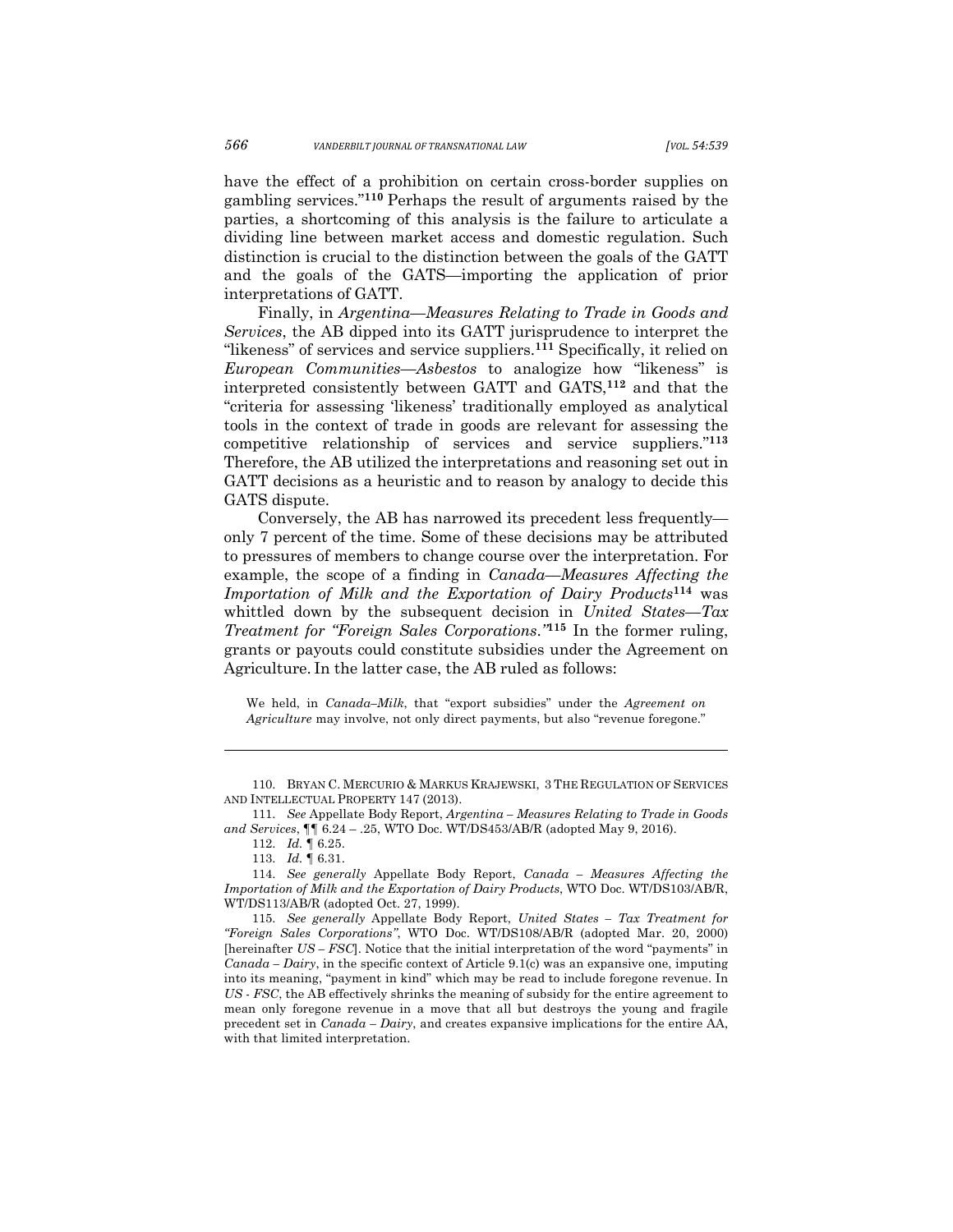have the effect of a prohibition on certain cross-border supplies on gambling services."**<sup>110</sup>** Perhaps the result of arguments raised by the parties, a shortcoming of this analysis is the failure to articulate a dividing line between market access and domestic regulation. Such distinction is crucial to the distinction between the goals of the GATT and the goals of the GATS—importing the application of prior interpretations of GATT.

Finally, in *Argentina––Measures Relating to Trade in Goods and Services*, the AB dipped into its GATT jurisprudence to interpret the "likeness" of services and service suppliers.**<sup>111</sup>** Specifically, it relied on *European Communities––Asbestos* to analogize how "likeness" is interpreted consistently between GATT and GATS,**<sup>112</sup>** and that the "criteria for assessing 'likeness' traditionally employed as analytical tools in the context of trade in goods are relevant for assessing the competitive relationship of services and service suppliers."**<sup>113</sup>** Therefore, the AB utilized the interpretations and reasoning set out in GATT decisions as a heuristic and to reason by analogy to decide this GATS dispute.

Conversely, the AB has narrowed its precedent less frequently only 7 percent of the time. Some of these decisions may be attributed to pressures of members to change course over the interpretation. For example, the scope of a finding in *Canada––Measures Affecting the Importation of Milk and the Exportation of Dairy Products***<sup>114</sup>** was whittled down by the subsequent decision in *United States––Tax Treatment for "Foreign Sales Corporations*.*"***<sup>115</sup>** In the former ruling, grants or payouts could constitute subsidies under the Agreement on Agriculture. In the latter case, the AB ruled as follows:

We held, in *Canada–Milk*, that "export subsidies" under the *Agreement on Agriculture* may involve, not only direct payments, but also "revenue foregone."

<sup>110.</sup> BRYAN C. MERCURIO & MARKUS KRAJEWSKI, 3 THE REGULATION OF SERVICES AND INTELLECTUAL PROPERTY 147 (2013).

<sup>111.</sup> *See* Appellate Body Report, *Argentina – Measures Relating to Trade in Goods and Services*, ¶¶ 6.24 – .25, WTO Doc. WT/DS453/AB/R (adopted May 9, 2016).

<sup>112.</sup> *Id.* ¶ 6.25.

<sup>113.</sup> *Id.* ¶ 6.31.

<sup>114.</sup> *See generally* Appellate Body Report, *Canada – Measures Affecting the Importation of Milk and the Exportation of Dairy Products*, WTO Doc. WT/DS103/AB/R, WT/DS113/AB/R (adopted Oct. 27, 1999).

<sup>115.</sup> *See generally* Appellate Body Report, *United States – Tax Treatment for "Foreign Sales Corporations"*, WTO Doc. WT/DS108/AB/R (adopted Mar. 20, 2000) [hereinafter *US – FSC*]. Notice that the initial interpretation of the word "payments" in *Canada – Dairy*, in the specific context of Article 9.1(c) was an expansive one, imputing into its meaning, "payment in kind" which may be read to include foregone revenue. In *US - FSC*, the AB effectively shrinks the meaning of subsidy for the entire agreement to mean only foregone revenue in a move that all but destroys the young and fragile precedent set in *Canada – Dairy*, and creates expansive implications for the entire AA, with that limited interpretation.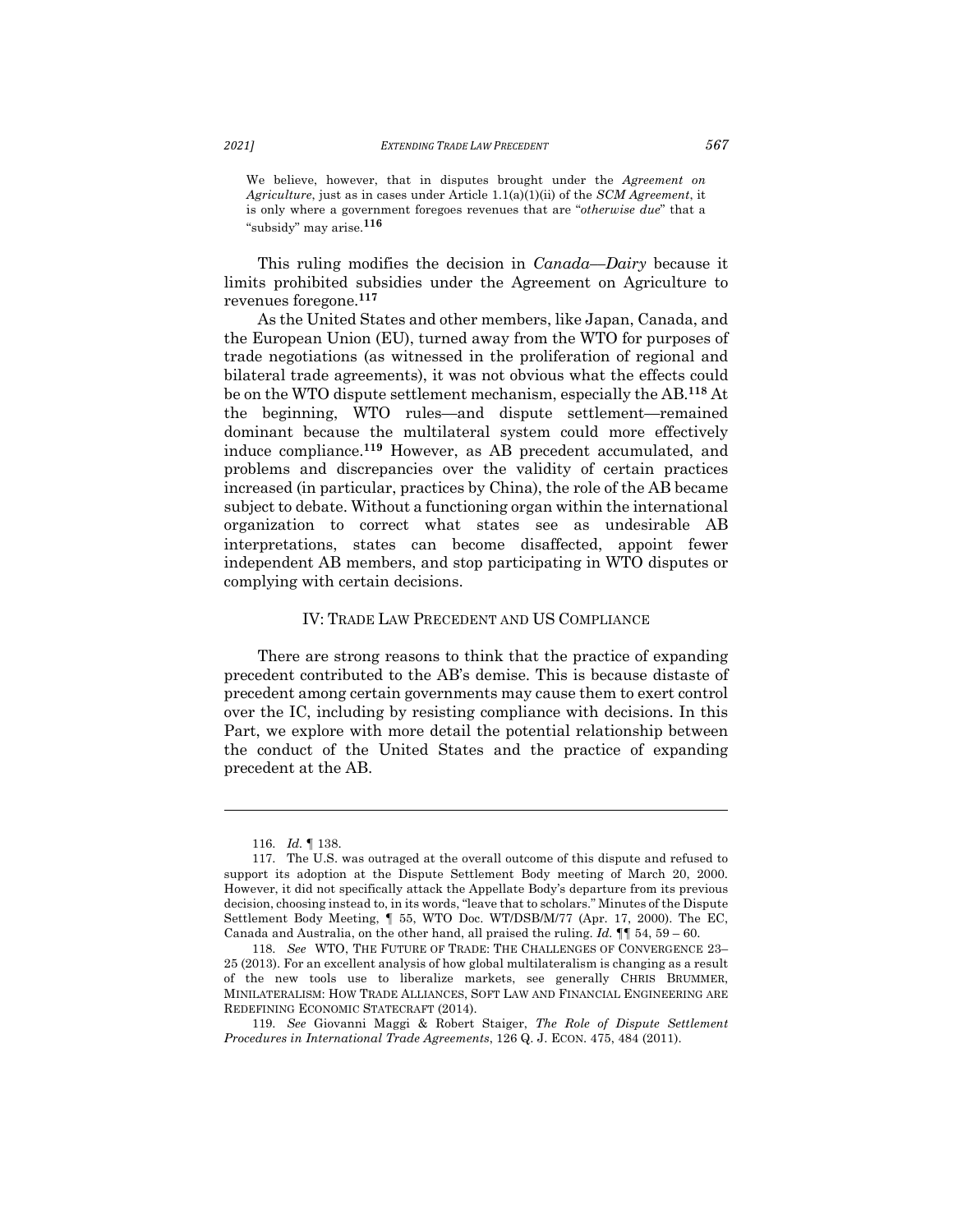We believe, however, that in disputes brought under the *Agreement on Agriculture*, just as in cases under Article 1.1(a)(1)(ii) of the *SCM Agreement*, it is only where a government foregoes revenues that are "*otherwise due*" that a "subsidy" may arise.**<sup>116</sup>**

This ruling modifies the decision in *Canada––Dairy* because it limits prohibited subsidies under the Agreement on Agriculture to revenues foregone.**<sup>117</sup>**

As the United States and other members, like Japan, Canada, and the European Union (EU), turned away from the WTO for purposes of trade negotiations (as witnessed in the proliferation of regional and bilateral trade agreements), it was not obvious what the effects could be on the WTO dispute settlement mechanism, especially the AB.**<sup>118</sup>** At the beginning, WTO rules—and dispute settlement—remained dominant because the multilateral system could more effectively induce compliance.**<sup>119</sup>** However, as AB precedent accumulated, and problems and discrepancies over the validity of certain practices increased (in particular, practices by China), the role of the AB became subject to debate. Without a functioning organ within the international organization to correct what states see as undesirable AB interpretations, states can become disaffected, appoint fewer independent AB members, and stop participating in WTO disputes or complying with certain decisions.

### IV: TRADE LAW PRECEDENT AND US COMPLIANCE

There are strong reasons to think that the practice of expanding precedent contributed to the AB's demise. This is because distaste of precedent among certain governments may cause them to exert control over the IC, including by resisting compliance with decisions. In this Part, we explore with more detail the potential relationship between the conduct of the United States and the practice of expanding precedent at the AB.

<sup>116.</sup> *Id.* ¶ 138.

<sup>117.</sup> The U.S. was outraged at the overall outcome of this dispute and refused to support its adoption at the Dispute Settlement Body meeting of March 20, 2000. However, it did not specifically attack the Appellate Body's departure from its previous decision, choosing instead to, in its words, "leave that to scholars." Minutes of the Dispute Settlement Body Meeting, ¶ 55, WTO Doc. WT/DSB/M/77 (Apr. 17, 2000). The EC, Canada and Australia, on the other hand, all praised the ruling. *Id.* ¶¶ 54, 59 – 60.

<sup>118.</sup> *See* WTO, THE FUTURE OF TRADE: THE CHALLENGES OF CONVERGENCE 23– 25 (2013). For an excellent analysis of how global multilateralism is changing as a result of the new tools use to liberalize markets, see generally CHRIS BRUMMER, MINILATERALISM: HOW TRADE ALLIANCES, SOFT LAW AND FINANCIAL ENGINEERING ARE REDEFINING ECONOMIC STATECRAFT (2014).

<sup>119.</sup> *See* Giovanni Maggi & Robert Staiger, *The Role of Dispute Settlement Procedures in International Trade Agreements*, 126 Q. J. ECON. 475, 484 (2011).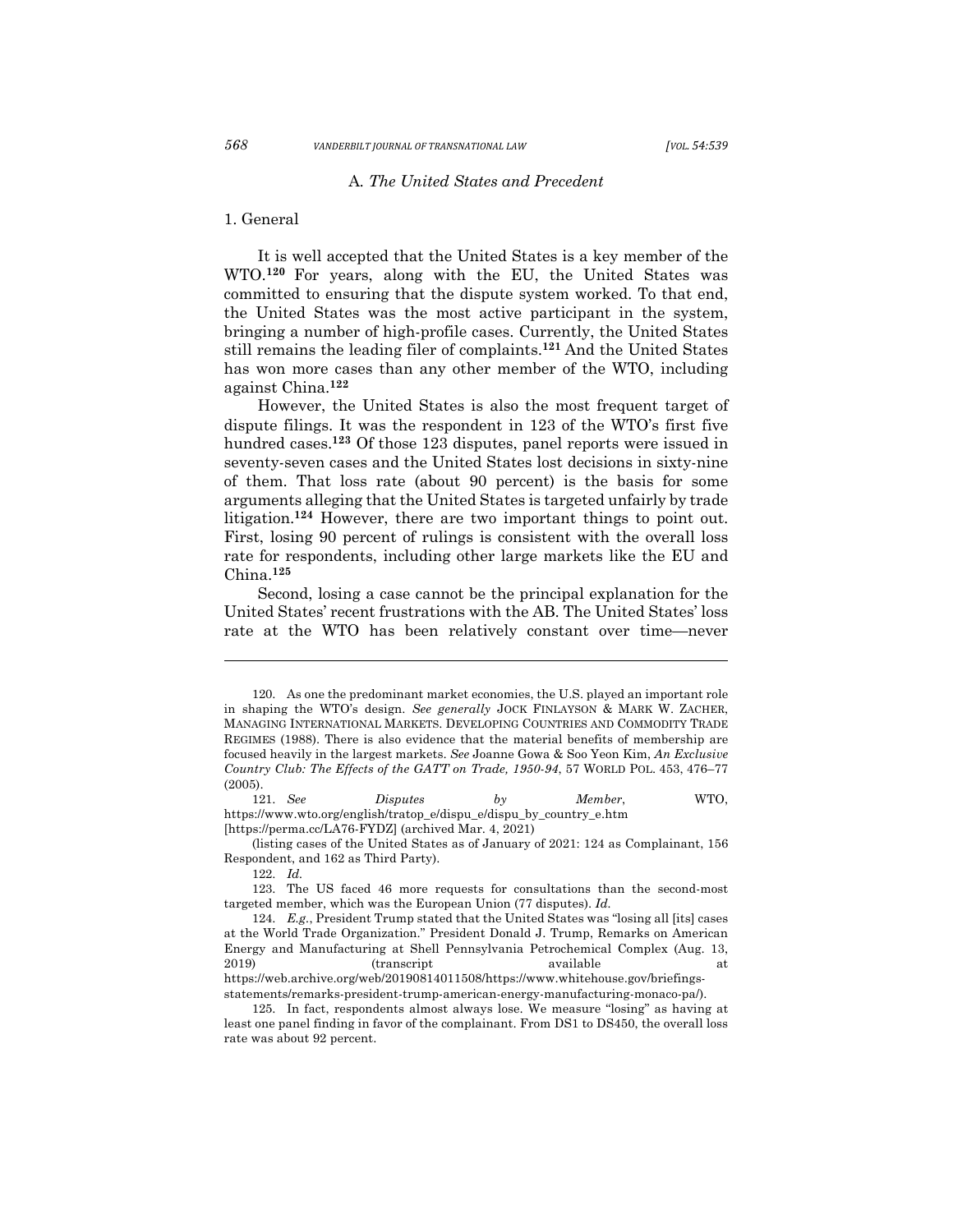## A*. The United States and Precedent*

#### 1. General

It is well accepted that the United States is a key member of the WTO.**<sup>120</sup>** For years, along with the EU, the United States was committed to ensuring that the dispute system worked. To that end, the United States was the most active participant in the system, bringing a number of high-profile cases. Currently, the United States still remains the leading filer of complaints.**<sup>121</sup>** And the United States has won more cases than any other member of the WTO, including against China.**122** 

However, the United States is also the most frequent target of dispute filings. It was the respondent in 123 of the WTO's first five hundred cases.**<sup>123</sup>** Of those 123 disputes, panel reports were issued in seventy-seven cases and the United States lost decisions in sixty-nine of them. That loss rate (about 90 percent) is the basis for some arguments alleging that the United States is targeted unfairly by trade litigation.**<sup>124</sup>** However, there are two important things to point out. First, losing 90 percent of rulings is consistent with the overall loss rate for respondents, including other large markets like the EU and China.**<sup>125</sup>**

Second, losing a case cannot be the principal explanation for the United States' recent frustrations with the AB. The United States' loss rate at the WTO has been relatively constant over time—never

121. *See Disputes by Member*, WTO, https://www.wto.org/english/tratop\_e/dispu\_e/dispu\_by\_country\_e.htm [https://perma.cc/LA76-FYDZ] (archived Mar. 4, 2021)

<sup>120.</sup> As one the predominant market economies, the U.S. played an important role in shaping the WTO's design. *See generally* JOCK FINLAYSON & MARK W. ZACHER, MANAGING INTERNATIONAL MARKETS. DEVELOPING COUNTRIES AND COMMODITY TRADE REGIMES (1988). There is also evidence that the material benefits of membership are focused heavily in the largest markets. *See* Joanne Gowa & Soo Yeon Kim, *An Exclusive Country Club: The Effects of the GATT on Trade, 1950-94*, 57 WORLD POL. 453, 476–77 (2005).

<sup>(</sup>listing cases of the United States as of January of 2021: 124 as Complainant, 156 Respondent, and 162 as Third Party).

<sup>122.</sup> *Id.*

<sup>123.</sup> The US faced 46 more requests for consultations than the second-most targeted member, which was the European Union (77 disputes). *Id.*

<sup>124.</sup> *E.g.*, President Trump stated that the United States was "losing all [its] cases at the World Trade Organization." President Donald J. Trump, Remarks on American Energy and Manufacturing at Shell Pennsylvania Petrochemical Complex (Aug. 13, 2019) (transcript available at a https://web.archive.org/web/20190814011508/https://www.whitehouse.gov/briefingsstatements/remarks-president-trump-american-energy-manufacturing-monaco-pa/).

<sup>125.</sup> In fact, respondents almost always lose. We measure "losing" as having at least one panel finding in favor of the complainant. From DS1 to DS450, the overall loss rate was about 92 percent.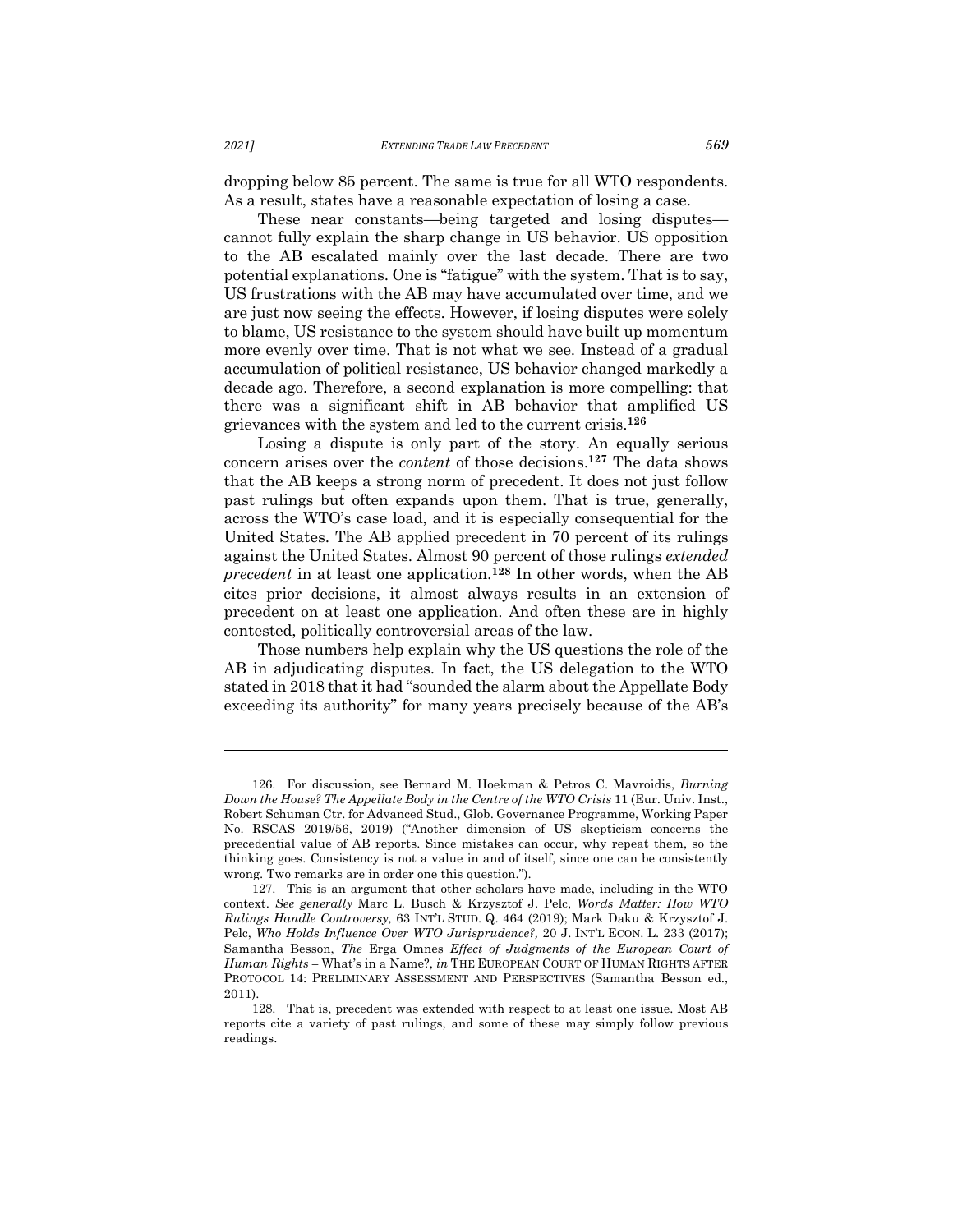dropping below 85 percent. The same is true for all WTO respondents. As a result, states have a reasonable expectation of losing a case.

These near constants—being targeted and losing disputes cannot fully explain the sharp change in US behavior. US opposition to the AB escalated mainly over the last decade. There are two potential explanations. One is "fatigue" with the system. That is to say, US frustrations with the AB may have accumulated over time, and we are just now seeing the effects. However, if losing disputes were solely to blame, US resistance to the system should have built up momentum more evenly over time. That is not what we see. Instead of a gradual accumulation of political resistance, US behavior changed markedly a decade ago. Therefore, a second explanation is more compelling: that there was a significant shift in AB behavior that amplified US grievances with the system and led to the current crisis.**<sup>126</sup>**

Losing a dispute is only part of the story. An equally serious concern arises over the *content* of those decisions.**<sup>127</sup>** The data shows that the AB keeps a strong norm of precedent. It does not just follow past rulings but often expands upon them. That is true, generally, across the WTO's case load, and it is especially consequential for the United States. The AB applied precedent in 70 percent of its rulings against the United States. Almost 90 percent of those rulings *extended precedent* in at least one application.**<sup>128</sup>** In other words, when the AB cites prior decisions, it almost always results in an extension of precedent on at least one application. And often these are in highly contested, politically controversial areas of the law.

Those numbers help explain why the US questions the role of the AB in adjudicating disputes. In fact, the US delegation to the WTO stated in 2018 that it had "sounded the alarm about the Appellate Body exceeding its authority" for many years precisely because of the AB's

<sup>126.</sup> For discussion, see Bernard M. Hoekman & Petros C. Mavroidis, *Burning Down the House? The Appellate Body in the Centre of the WTO Crisis* 11 (Eur. Univ. Inst., Robert Schuman Ctr. for Advanced Stud., Glob. Governance Programme, Working Paper No. RSCAS 2019/56, 2019) ("Another dimension of US skepticism concerns the precedential value of AB reports. Since mistakes can occur, why repeat them, so the thinking goes. Consistency is not a value in and of itself, since one can be consistently wrong. Two remarks are in order one this question.").

<sup>127.</sup> This is an argument that other scholars have made, including in the WTO context. *See generally* Marc L. Busch & Krzysztof J. Pelc, *Words Matter: How WTO Rulings Handle Controversy,* 63 INT'L STUD. Q. 464 (2019); Mark Daku & Krzysztof J. Pelc, *Who Holds Influence Over WTO Jurisprudence?,* 20 J. INT'L ECON. L. 233 (2017); Samantha Besson, *The* Erga Omnes *Effect of Judgments of the European Court of Human Rights –* What's in a Name?, *in* THE EUROPEAN COURT OF HUMAN RIGHTS AFTER PROTOCOL 14: PRELIMINARY ASSESSMENT AND PERSPECTIVES (Samantha Besson ed., 2011).

<sup>128.</sup> That is, precedent was extended with respect to at least one issue. Most AB reports cite a variety of past rulings, and some of these may simply follow previous readings.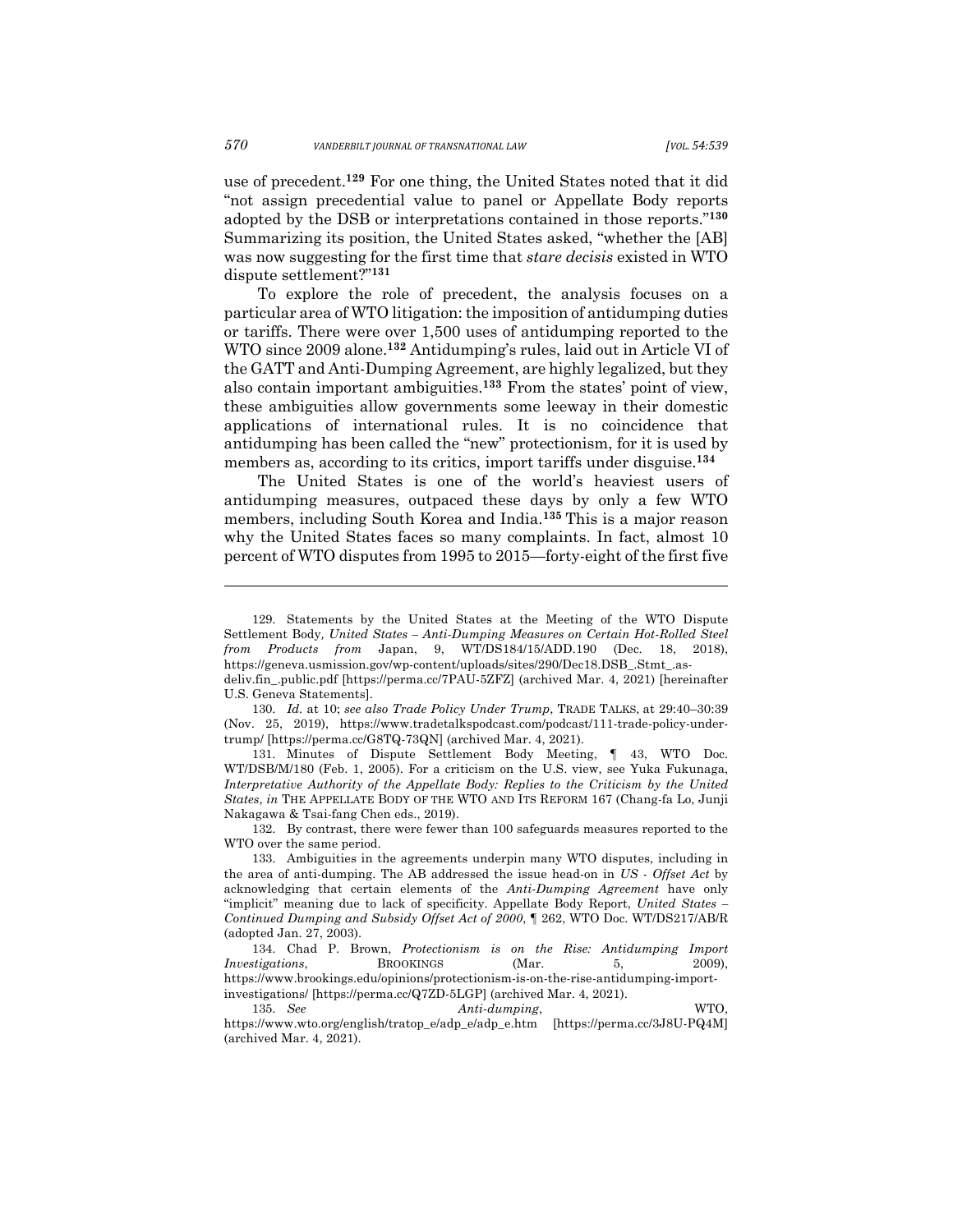use of precedent.**<sup>129</sup>** For one thing, the United States noted that it did "not assign precedential value to panel or Appellate Body reports adopted by the DSB or interpretations contained in those reports."**<sup>130</sup>** Summarizing its position, the United States asked, "whether the [AB] was now suggesting for the first time that *stare decisis* existed in WTO dispute settlement?"**<sup>131</sup>**

To explore the role of precedent, the analysis focuses on a particular area of WTO litigation: the imposition of antidumping duties or tariffs. There were over 1,500 uses of antidumping reported to the WTO since 2009 alone.**<sup>132</sup>** Antidumping's rules, laid out in Article VI of the GATT and Anti-Dumping Agreement, are highly legalized, but they also contain important ambiguities.**<sup>133</sup>** From the states' point of view, these ambiguities allow governments some leeway in their domestic applications of international rules. It is no coincidence that antidumping has been called the "new" protectionism, for it is used by members as, according to its critics, import tariffs under disguise.**<sup>134</sup>**

The United States is one of the world's heaviest users of antidumping measures, outpaced these days by only a few WTO members, including South Korea and India.**<sup>135</sup>** This is a major reason why the United States faces so many complaints. In fact, almost 10 percent of WTO disputes from 1995 to 2015—forty-eight of the first five

131. Minutes of Dispute Settlement Body Meeting, ¶ 43, WTO Doc. WT/DSB/M/180 (Feb. 1, 2005). For a criticism on the U.S. view, see Yuka Fukunaga, *Interpretative Authority of the Appellate Body: Replies to the Criticism by the United States*, *in* THE APPELLATE BODY OF THE WTO AND ITS REFORM 167 (Chang-fa Lo, Junji Nakagawa & Tsai-fang Chen eds., 2019).

132. By contrast, there were fewer than 100 safeguards measures reported to the WTO over the same period.

<sup>129.</sup> Statements by the United States at the Meeting of the WTO Dispute Settlement Body*, United States – Anti-Dumping Measures on Certain Hot-Rolled Steel from Products from* Japan, 9, WT/DS184/15/ADD.190 (Dec. 18, 2018), https://geneva.usmission.gov/wp-content/uploads/sites/290/Dec18.DSB\_.Stmt\_.asdeliv.fin\_.public.pdf [https://perma.cc/7PAU-5ZFZ] (archived Mar. 4, 2021) [hereinafter

U.S. Geneva Statements].

<sup>130.</sup> *Id.* at 10; *see also Trade Policy Under Trump*, TRADE TALKS, at 29:40–30:39 (Nov. 25, 2019), https://www.tradetalkspodcast.com/podcast/111-trade-policy-undertrump/ [https://perma.cc/G8TQ-73QN] (archived Mar. 4, 2021).

<sup>133.</sup> Ambiguities in the agreements underpin many WTO disputes, including in the area of anti-dumping. The AB addressed the issue head-on in *US - Offset Act* by acknowledging that certain elements of the *Anti-Dumping Agreement* have only "implicit" meaning due to lack of specificity. Appellate Body Report, *United States – Continued Dumping and Subsidy Offset Act of 2000*, ¶ 262, WTO Doc. WT/DS217/AB/R (adopted Jan. 27, 2003).

<sup>134.</sup> Chad P. Brown, *Protectionism is on the Rise: Antidumping Import Investigations*, BROOKINGS (Mar. 5, 2009), https://www.brookings.edu/opinions/protectionism-is-on-the-rise-antidumping-importinvestigations/ [https://perma.cc/Q7ZD-5LGP] (archived Mar. 4, 2021).

<sup>135.</sup> *See Anti-dumping*, WTO, https://www.wto.org/english/tratop\_e/adp\_e/adp\_e.htm [https://perma.cc/3J8U-PQ4M] (archived Mar. 4, 2021).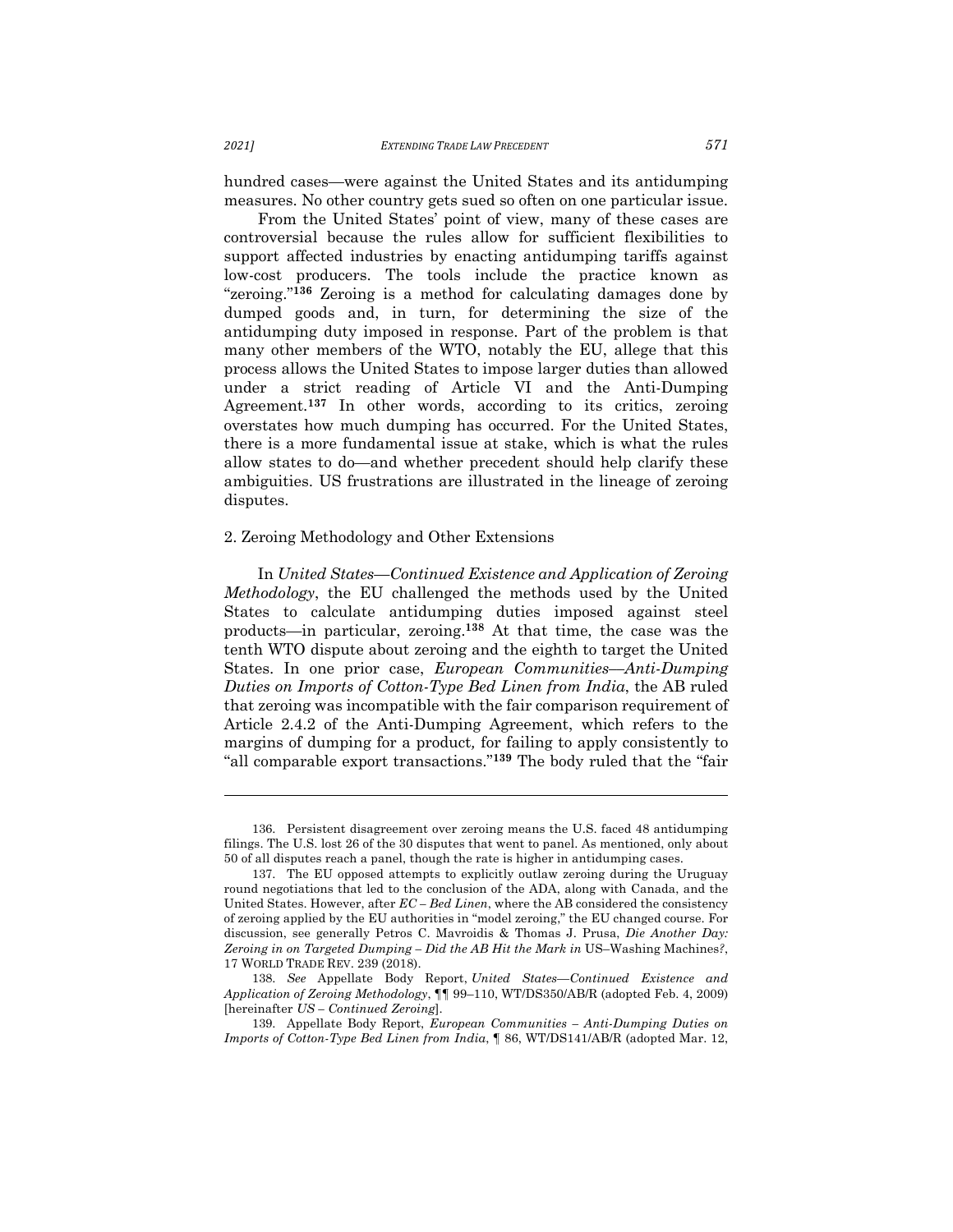hundred cases—were against the United States and its antidumping measures. No other country gets sued so often on one particular issue.

From the United States' point of view, many of these cases are controversial because the rules allow for sufficient flexibilities to support affected industries by enacting antidumping tariffs against low-cost producers. The tools include the practice known as "zeroing."**<sup>136</sup>** Zeroing is a method for calculating damages done by dumped goods and, in turn, for determining the size of the antidumping duty imposed in response. Part of the problem is that many other members of the WTO, notably the EU, allege that this process allows the United States to impose larger duties than allowed under a strict reading of Article VI and the Anti-Dumping Agreement.**<sup>137</sup>** In other words, according to its critics, zeroing overstates how much dumping has occurred. For the United States, there is a more fundamental issue at stake, which is what the rules allow states to do—and whether precedent should help clarify these ambiguities. US frustrations are illustrated in the lineage of zeroing disputes.

#### 2. Zeroing Methodology and Other Extensions

In *United States—Continued Existence and Application of Zeroing Methodology*, the EU challenged the methods used by the United States to calculate antidumping duties imposed against steel products—in particular, zeroing.**<sup>138</sup>** At that time, the case was the tenth WTO dispute about zeroing and the eighth to target the United States. In one prior case, *European Communities––Anti-Dumping Duties on Imports of Cotton-Type Bed Linen from India*, the AB ruled that zeroing was incompatible with the fair comparison requirement of Article 2.4.2 of the Anti-Dumping Agreement, which refers to the margins of dumping for a product*,* for failing to apply consistently to "all comparable export transactions."**<sup>139</sup>** The body ruled that the "fair

<sup>136.</sup> Persistent disagreement over zeroing means the U.S. faced 48 antidumping filings. The U.S. lost 26 of the 30 disputes that went to panel. As mentioned, only about 50 of all disputes reach a panel, though the rate is higher in antidumping cases.

<sup>137.</sup> The EU opposed attempts to explicitly outlaw zeroing during the Uruguay round negotiations that led to the conclusion of the ADA, along with Canada, and the United States. However, after *EC – Bed Linen*, where the AB considered the consistency of zeroing applied by the EU authorities in "model zeroing," the EU changed course. For discussion, see generally Petros C. Mavroidis & Thomas J. Prusa, *Die Another Day: Zeroing in on Targeted Dumping – Did the AB Hit the Mark in* US–Washing Machines*?*, 17 WORLD TRADE REV. 239 (2018).

<sup>138.</sup> *See* Appellate Body Report, *United States—Continued Existence and Application of Zeroing Methodology*, ¶¶ 99–110, WT/DS350/AB/R (adopted Feb. 4, 2009) [hereinafter *US – Continued Zeroing*].

<sup>139.</sup> Appellate Body Report, *European Communities – Anti-Dumping Duties on Imports of Cotton-Type Bed Linen from India*, ¶ 86, WT/DS141/AB/R (adopted Mar. 12,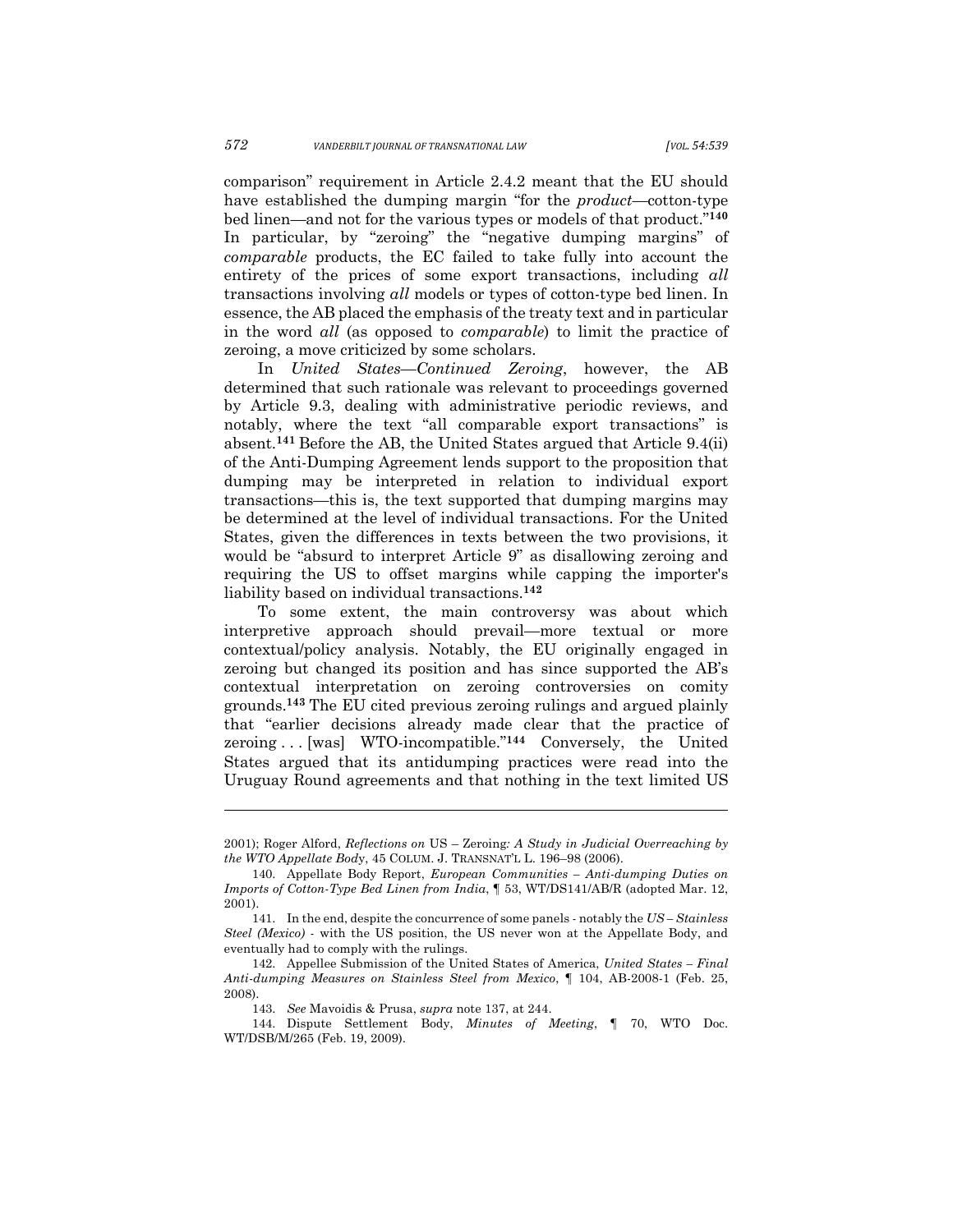comparison" requirement in Article 2.4.2 meant that the EU should have established the dumping margin "for the *product*—cotton-type bed linen—and not for the various types or models of that product."**<sup>140</sup>** In particular, by "zeroing" the "negative dumping margins" of *comparable* products, the EC failed to take fully into account the entirety of the prices of some export transactions, including *all* transactions involving *all* models or types of cotton-type bed linen. In essence, the AB placed the emphasis of the treaty text and in particular in the word *all* (as opposed to *comparable*) to limit the practice of zeroing, a move criticized by some scholars.

In *United States—Continued Zeroing*, however, the AB determined that such rationale was relevant to proceedings governed by Article 9.3, dealing with administrative periodic reviews, and notably, where the text "all comparable export transactions" is absent.**<sup>141</sup>** Before the AB, the United States argued that Article 9.4(ii) of the Anti-Dumping Agreement lends support to the proposition that dumping may be interpreted in relation to individual export transactions—this is, the text supported that dumping margins may be determined at the level of individual transactions. For the United States, given the differences in texts between the two provisions, it would be "absurd to interpret Article 9" as disallowing zeroing and requiring the US to offset margins while capping the importer's liability based on individual transactions.**<sup>142</sup>**

To some extent, the main controversy was about which interpretive approach should prevail—more textual or more contextual/policy analysis. Notably, the EU originally engaged in zeroing but changed its position and has since supported the AB's contextual interpretation on zeroing controversies on comity grounds.**<sup>143</sup>** The EU cited previous zeroing rulings and argued plainly that "earlier decisions already made clear that the practice of zeroing . . . [was] WTO-incompatible."**<sup>144</sup>** Conversely, the United States argued that its antidumping practices were read into the Uruguay Round agreements and that nothing in the text limited US

<sup>2001);</sup> Roger Alford, *Reflections on* US – Zeroing*: A Study in Judicial Overreaching by the WTO Appellate Bod*y, 45 COLUM. J. TRANSNAT'L L. 196–98 (2006).

<sup>140.</sup> Appellate Body Report, *European Communities – Anti-dumping Duties on Imports of Cotton-Type Bed Linen from India*, ¶ 53, WT/DS141/AB/R (adopted Mar. 12, 2001).

<sup>141.</sup> In the end, despite the concurrence of some panels - notably the *US – Stainless Steel (Mexico)* - with the US position, the US never won at the Appellate Body, and eventually had to comply with the rulings.

<sup>142.</sup> Appellee Submission of the United States of America, *United States – Final Anti-dumping Measures on Stainless Steel from Mexico*, ¶ 104, AB-2008-1 (Feb. 25, 2008).

<sup>143.</sup> *See* Mavoidis & Prusa, *supra* note 137, at 244.

<sup>144.</sup> Dispute Settlement Body, *Minutes of Meeting*, ¶ 70, WTO Doc. WT/DSB/M/265 (Feb. 19, 2009).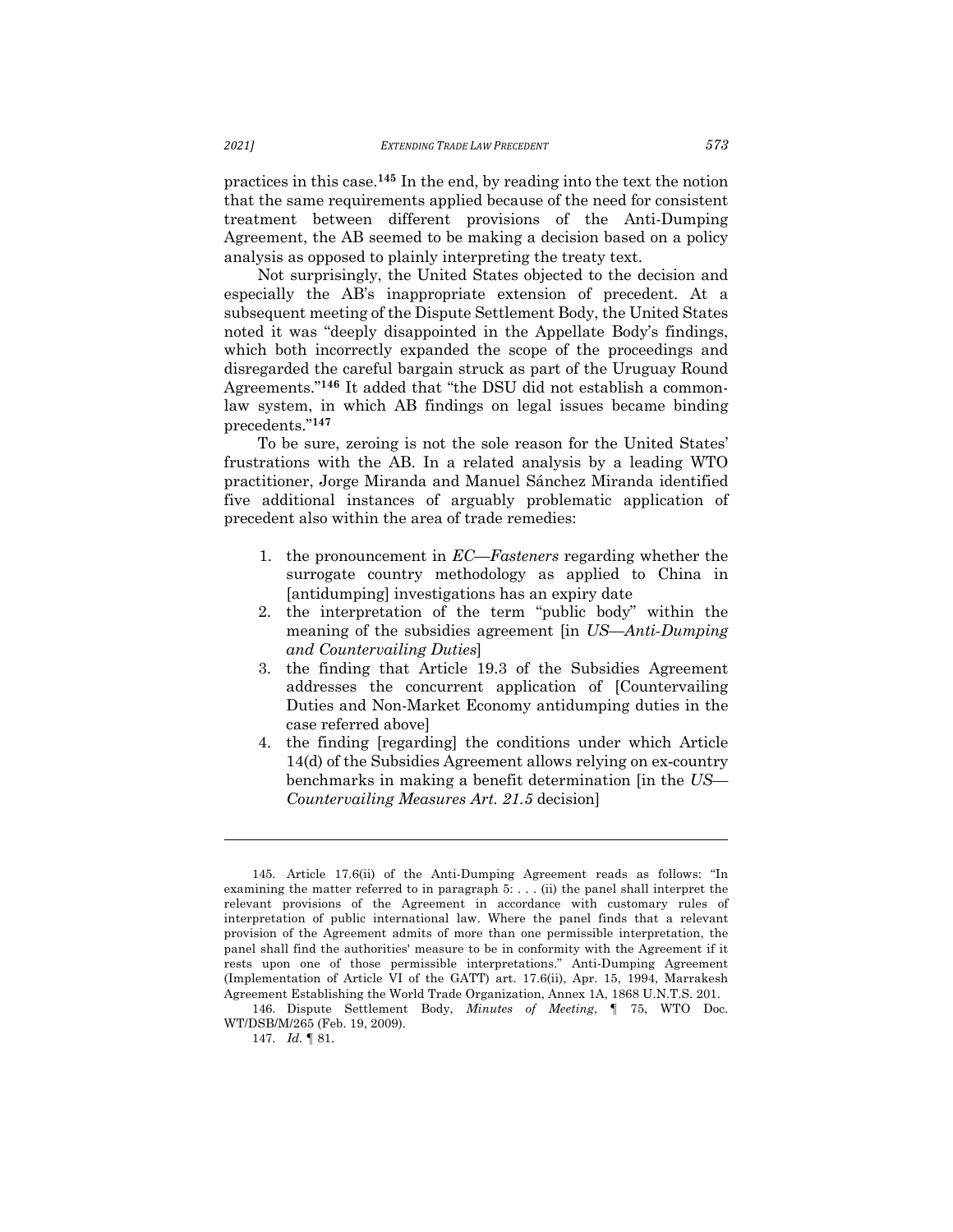practices in this case.**<sup>145</sup>** In the end, by reading into the text the notion that the same requirements applied because of the need for consistent treatment between different provisions of the Anti-Dumping Agreement, the AB seemed to be making a decision based on a policy analysis as opposed to plainly interpreting the treaty text.

Not surprisingly, the United States objected to the decision and especially the AB's inappropriate extension of precedent. At a subsequent meeting of the Dispute Settlement Body, the United States noted it was "deeply disappointed in the Appellate Body's findings, which both incorrectly expanded the scope of the proceedings and disregarded the careful bargain struck as part of the Uruguay Round Agreements."**<sup>146</sup>** It added that "the DSU did not establish a commonlaw system, in which AB findings on legal issues became binding precedents."**<sup>147</sup>**

To be sure, zeroing is not the sole reason for the United States' frustrations with the AB. In a related analysis by a leading WTO practitioner, Jorge Miranda and Manuel Sánchez Miranda identified five additional instances of arguably problematic application of precedent also within the area of trade remedies:

- 1. the pronouncement in *EC—Fasteners* regarding whether the surrogate country methodology as applied to China in [antidumping] investigations has an expiry date
- 2. the interpretation of the term "public body" within the meaning of the subsidies agreement [in *US*—*Anti‐Dumping and Countervailing Duties*]
- 3. the finding that Article 19.3 of the Subsidies Agreement addresses the concurrent application of [Countervailing Duties and Non-Market Economy antidumping duties in the case referred above]
- 4. the finding [regarding] the conditions under which Article 14(d) of the Subsidies Agreement allows relying on ex‐country benchmarks in making a benefit determination [in the *US— Countervailing Measures Art. 21.5* decision]

<sup>145.</sup> Article 17.6(ii) of the Anti-Dumping Agreement reads as follows: "In examining the matter referred to in paragraph 5: . . . (ii) the panel shall interpret the relevant provisions of the Agreement in accordance with customary rules of interpretation of public international law. Where the panel finds that a relevant provision of the Agreement admits of more than one permissible interpretation, the panel shall find the authorities' measure to be in conformity with the Agreement if it rests upon one of those permissible interpretations." Anti-Dumping Agreement (Implementation of Article VI of the GATT) art. 17.6(ii), Apr. 15, 1994, Marrakesh Agreement Establishing the World Trade Organization, Annex 1A, 1868 U.N.T.S. 201.

<sup>146.</sup> Dispute Settlement Body, *Minutes of Meeting*, ¶ 75, WTO Doc. WT/DSB/M/265 (Feb. 19, 2009).

<sup>147.</sup> *Id.* ¶ 81.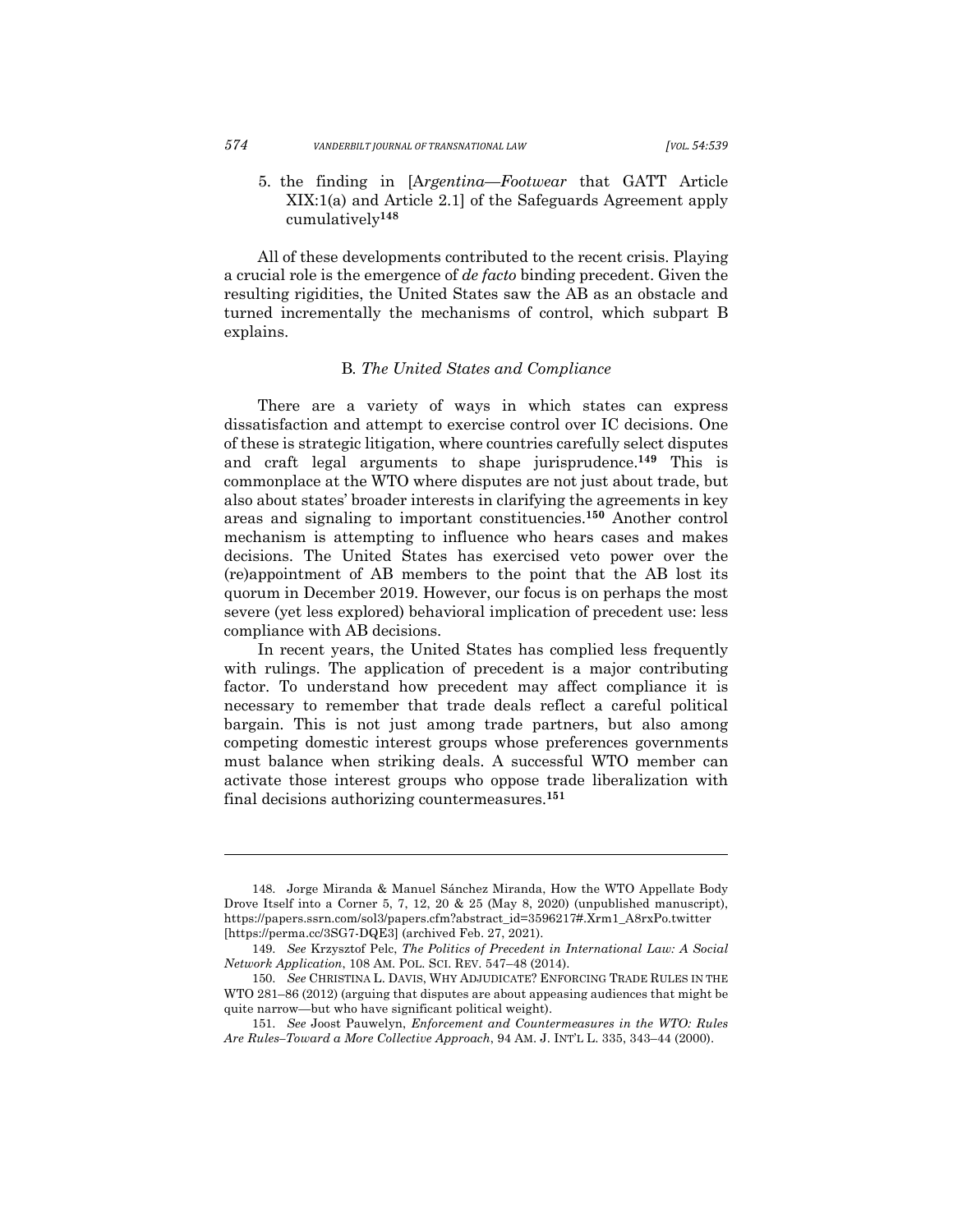5. the finding in [A*rgentina—Footwear* that GATT Article XIX:1(a) and Article 2.1] of the Safeguards Agreement apply cumulatively**<sup>148</sup>**

All of these developments contributed to the recent crisis. Playing a crucial role is the emergence of *de facto* binding precedent. Given the resulting rigidities, the United States saw the AB as an obstacle and turned incrementally the mechanisms of control, which subpart B explains.

#### B*. The United States and Compliance*

There are a variety of ways in which states can express dissatisfaction and attempt to exercise control over IC decisions. One of these is strategic litigation, where countries carefully select disputes and craft legal arguments to shape jurisprudence.**<sup>149</sup>** This is commonplace at the WTO where disputes are not just about trade, but also about states' broader interests in clarifying the agreements in key areas and signaling to important constituencies.**<sup>150</sup>** Another control mechanism is attempting to influence who hears cases and makes decisions. The United States has exercised veto power over the (re)appointment of AB members to the point that the AB lost its quorum in December 2019. However, our focus is on perhaps the most severe (yet less explored) behavioral implication of precedent use: less compliance with AB decisions.

In recent years, the United States has complied less frequently with rulings. The application of precedent is a major contributing factor. To understand how precedent may affect compliance it is necessary to remember that trade deals reflect a careful political bargain. This is not just among trade partners, but also among competing domestic interest groups whose preferences governments must balance when striking deals. A successful WTO member can activate those interest groups who oppose trade liberalization with final decisions authorizing countermeasures.**<sup>151</sup>**

<sup>148.</sup> Jorge Miranda & Manuel Sánchez Miranda, How the WTO Appellate Body Drove Itself into a Corner 5, 7, 12, 20 & 25 (May 8, 2020) (unpublished manuscript), https://papers.ssrn.com/sol3/papers.cfm?abstract\_id=3596217#.Xrm1\_A8rxPo.twitter [https://perma.cc/3SG7-DQE3] (archived Feb. 27, 2021).

<sup>149.</sup> *See* Krzysztof Pelc, *The Politics of Precedent in International Law: A Social Network Application*, 108 AM. POL. SCI. REV. 547–48 (2014).

<sup>150.</sup> *See* CHRISTINA L. DAVIS, WHY ADJUDICATE? ENFORCING TRADE RULES IN THE WTO 281–86 (2012) (arguing that disputes are about appeasing audiences that might be quite narrow—but who have significant political weight).

<sup>151.</sup> *See* Joost Pauwelyn, *Enforcement and Countermeasures in the WTO: Rules Are Rules–Toward a More Collective Approach*, 94 AM. J. INT'L L. 335, 343–44 (2000).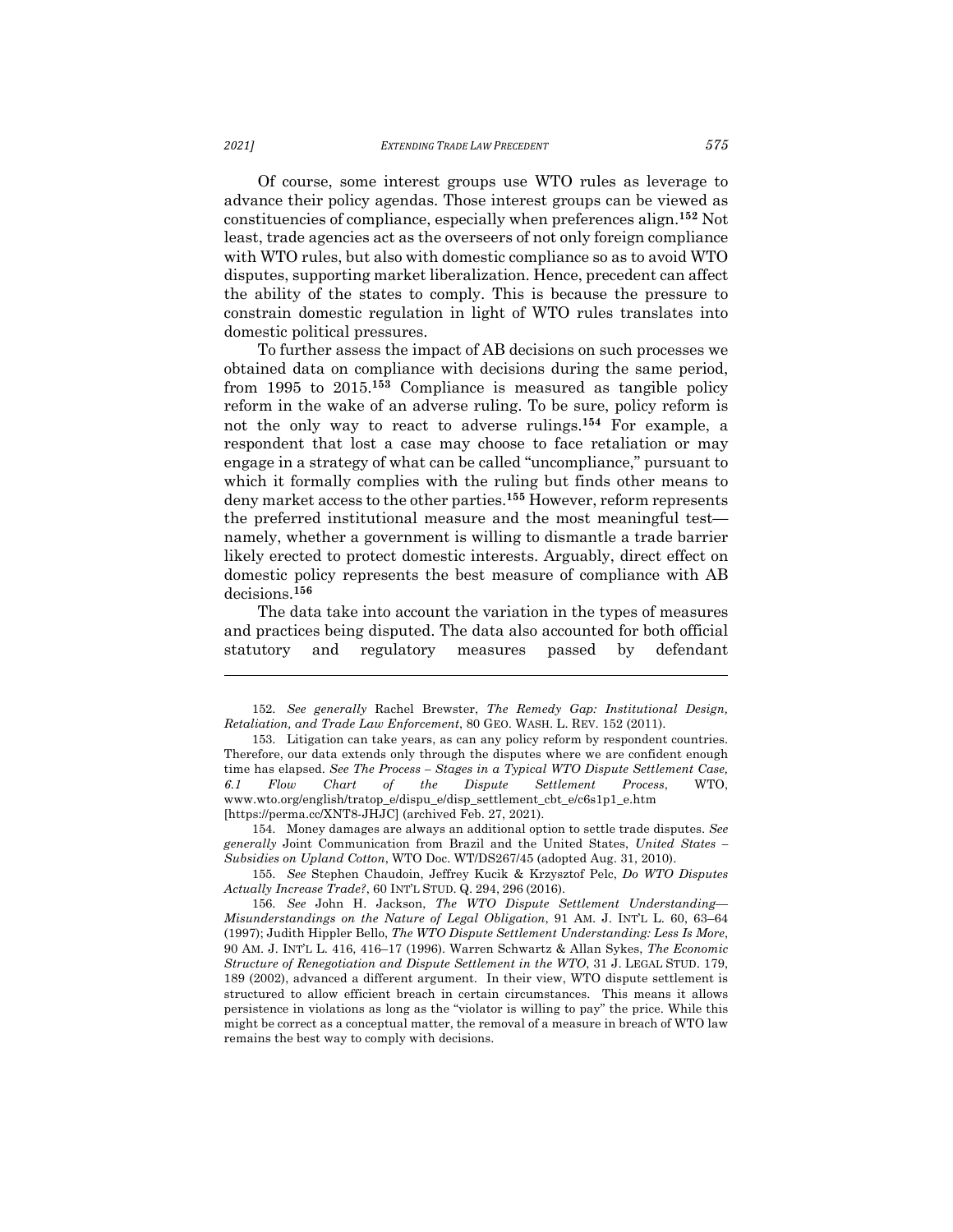Of course, some interest groups use WTO rules as leverage to advance their policy agendas. Those interest groups can be viewed as constituencies of compliance, especially when preferences align.**<sup>152</sup>** Not least, trade agencies act as the overseers of not only foreign compliance with WTO rules, but also with domestic compliance so as to avoid WTO disputes, supporting market liberalization. Hence, precedent can affect the ability of the states to comply. This is because the pressure to constrain domestic regulation in light of WTO rules translates into domestic political pressures.

To further assess the impact of AB decisions on such processes we obtained data on compliance with decisions during the same period, from 1995 to 2015.**<sup>153</sup>** Compliance is measured as tangible policy reform in the wake of an adverse ruling. To be sure, policy reform is not the only way to react to adverse rulings. **<sup>154</sup>** For example, a respondent that lost a case may choose to face retaliation or may engage in a strategy of what can be called "uncompliance," pursuant to which it formally complies with the ruling but finds other means to deny market access to the other parties.**<sup>155</sup>** However, reform represents the preferred institutional measure and the most meaningful test namely, whether a government is willing to dismantle a trade barrier likely erected to protect domestic interests. Arguably, direct effect on domestic policy represents the best measure of compliance with AB decisions. **156**

The data take into account the variation in the types of measures and practices being disputed. The data also accounted for both official statutory and regulatory measures passed by defendant

<sup>152.</sup> *See generally* Rachel Brewster, *The Remedy Gap: Institutional Design, Retaliation, and Trade Law Enforcement*, 80 GEO. WASH. L. REV. 152 (2011).

<sup>153.</sup> Litigation can take years, as can any policy reform by respondent countries. Therefore, our data extends only through the disputes where we are confident enough time has elapsed. *See The Process – Stages in a Typical WTO Dispute Settlement Case, 6.1 Flow Chart of the Dispute Settlement Process*, WTO, www.wto.org/english/tratop\_e/dispu\_e/disp\_settlement\_cbt\_e/c6s1p1\_e.htm [https://perma.cc/XNT8-JHJC] (archived Feb. 27, 2021).

<sup>154.</sup> Money damages are always an additional option to settle trade disputes. *See generally* Joint Communication from Brazil and the United States, *United States – Subsidies on Upland Cotton*, WTO Doc. WT/DS267/45 (adopted Aug. 31, 2010).

<sup>155.</sup> *See* Stephen Chaudoin, Jeffrey Kucik & Krzysztof Pelc, *Do WTO Disputes Actually Increase Trade?*, 60 INT'L STUD. Q. 294, 296 (2016).

<sup>156.</sup> *See* John H. Jackson, *The WTO Dispute Settlement Understanding— Misunderstandings on the Nature of Legal Obligation*, 91 AM. J. INT'L L. 60, 63–64 (1997); Judith Hippler Bello, *The WTO Dispute Settlement Understanding: Less Is More*, 90 AM. J. INT'L L. 416, 416–17 (1996). Warren Schwartz & Allan Sykes, *The Economic Structure of Renegotiation and Dispute Settlement in the WTO*, 31 J. LEGAL STUD. 179, 189 (2002), advanced a different argument. In their view, WTO dispute settlement is structured to allow efficient breach in certain circumstances. This means it allows persistence in violations as long as the "violator is willing to pay" the price. While this might be correct as a conceptual matter, the removal of a measure in breach of WTO law remains the best way to comply with decisions.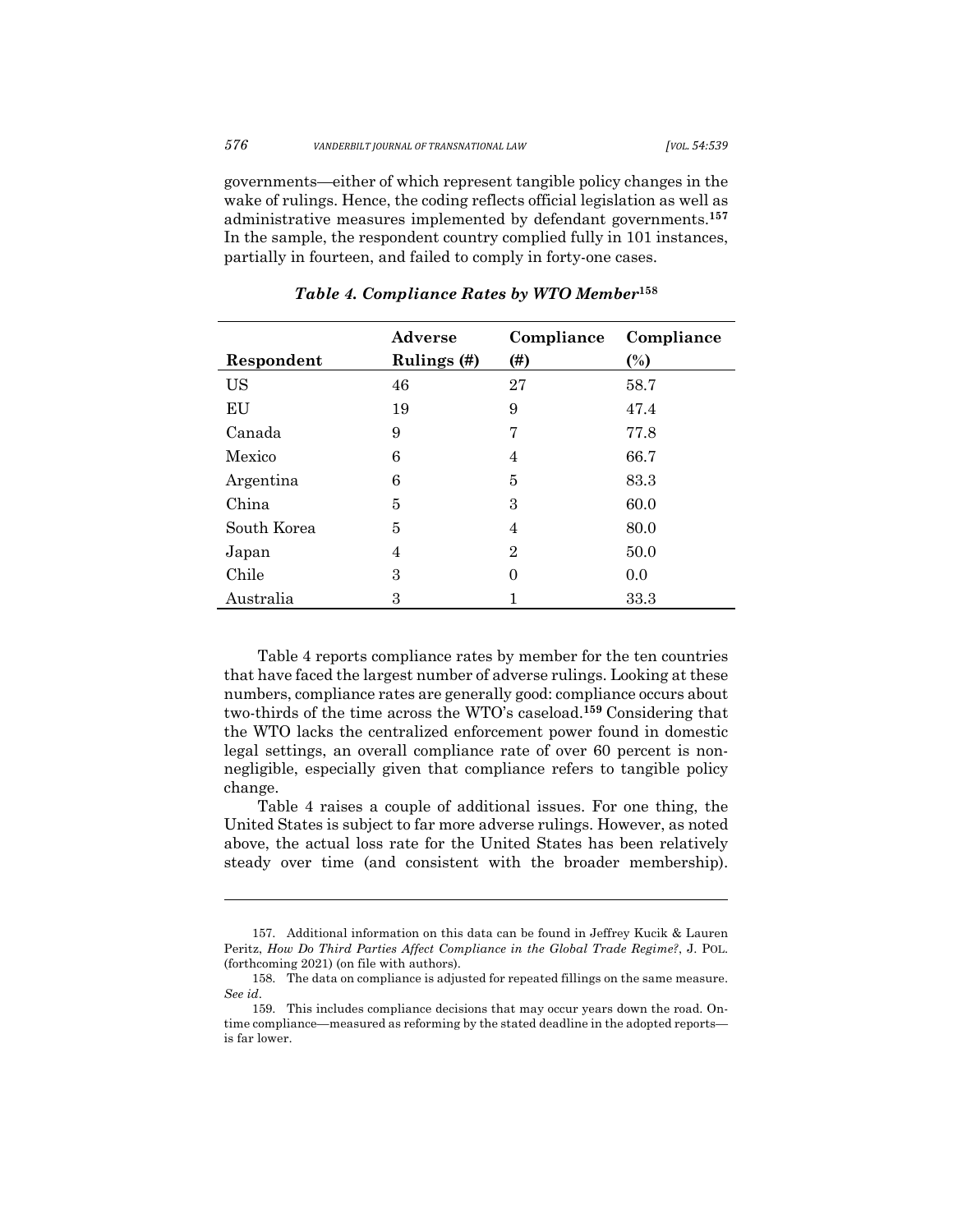governments—either of which represent tangible policy changes in the wake of rulings. Hence, the coding reflects official legislation as well as administrative measures implemented by defendant governments.**<sup>157</sup>** In the sample, the respondent country complied fully in 101 instances, partially in fourteen, and failed to comply in forty-one cases.

|             | Adverse     | Compliance     | Compliance |
|-------------|-------------|----------------|------------|
| Respondent  | Rulings (#) | (#)            | (%)        |
| <b>US</b>   | 46          | 27             | 58.7       |
| EU          | 19          | 9              | 47.4       |
| Canada      | 9           | 7              | 77.8       |
| Mexico      | 6           | 4              | 66.7       |
| Argentina   | 6           | 5              | 83.3       |
| China       | 5           | 3              | 60.0       |
| South Korea | 5           | 4              | 80.0       |
| Japan       | 4           | $\overline{2}$ | 50.0       |
| Chile       | 3           | 0              | 0.0        |
| Australia   | 3           |                | 33.3       |

*Table 4. Compliance Rates by WTO Member***<sup>158</sup>**

Table 4 reports compliance rates by member for the ten countries that have faced the largest number of adverse rulings. Looking at these numbers, compliance rates are generally good: compliance occurs about two-thirds of the time across the WTO's caseload.**<sup>159</sup>** Considering that the WTO lacks the centralized enforcement power found in domestic legal settings, an overall compliance rate of over 60 percent is nonnegligible, especially given that compliance refers to tangible policy change.

Table 4 raises a couple of additional issues. For one thing, the United States is subject to far more adverse rulings. However, as noted above, the actual loss rate for the United States has been relatively steady over time (and consistent with the broader membership).

<sup>157.</sup> Additional information on this data can be found in Jeffrey Kucik & Lauren Peritz, *How Do Third Parties Affect Compliance in the Global Trade Regime?*, J. POL. (forthcoming 2021) (on file with authors).

<sup>158.</sup> The data on compliance is adjusted for repeated fillings on the same measure. *See id*.

<sup>159.</sup> This includes compliance decisions that may occur years down the road. Ontime compliance—measured as reforming by the stated deadline in the adopted reports is far lower.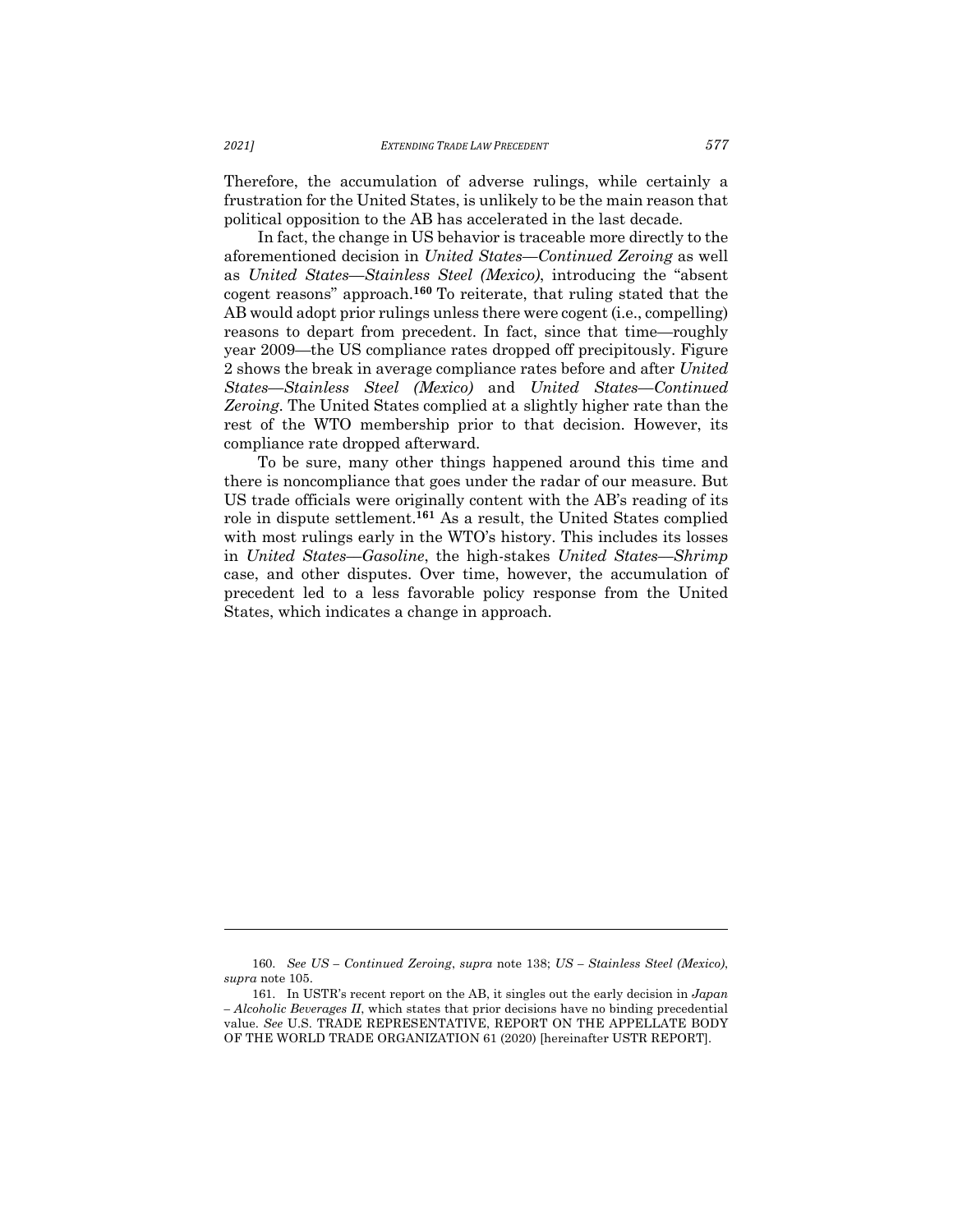Therefore, the accumulation of adverse rulings, while certainly a frustration for the United States, is unlikely to be the main reason that political opposition to the AB has accelerated in the last decade.

In fact, the change in US behavior is traceable more directly to the aforementioned decision in *United States––Continued Zeroing* as well as *United States––Stainless Steel (Mexico)*, introducing the "absent cogent reasons" approach.**<sup>160</sup>** To reiterate, that ruling stated that the AB would adopt prior rulings unless there were cogent (i.e., compelling) reasons to depart from precedent. In fact, since that time—roughly year 2009—the US compliance rates dropped off precipitously. Figure 2 shows the break in average compliance rates before and after *United States––Stainless Steel (Mexico)* and *United States––Continued Zeroing*. The United States complied at a slightly higher rate than the rest of the WTO membership prior to that decision. However, its compliance rate dropped afterward.

To be sure, many other things happened around this time and there is noncompliance that goes under the radar of our measure. But US trade officials were originally content with the AB's reading of its role in dispute settlement.**<sup>161</sup>** As a result, the United States complied with most rulings early in the WTO's history. This includes its losses in *United States––Gasoline*, the high-stakes *United States––Shrimp* case, and other disputes. Over time, however, the accumulation of precedent led to a less favorable policy response from the United States, which indicates a change in approach.

<sup>160.</sup> *See US – Continued Zeroing*, *supra* note 138; *US – Stainless Steel (Mexico)*, *supra* note 105.

<sup>161.</sup> In USTR's recent report on the AB, it singles out the early decision in *Japan – Alcoholic Beverages II*, which states that prior decisions have no binding precedential value. *See* U.S. TRADE REPRESENTATIVE, REPORT ON THE APPELLATE BODY OF THE WORLD TRADE ORGANIZATION 61 (2020) [hereinafter USTR REPORT].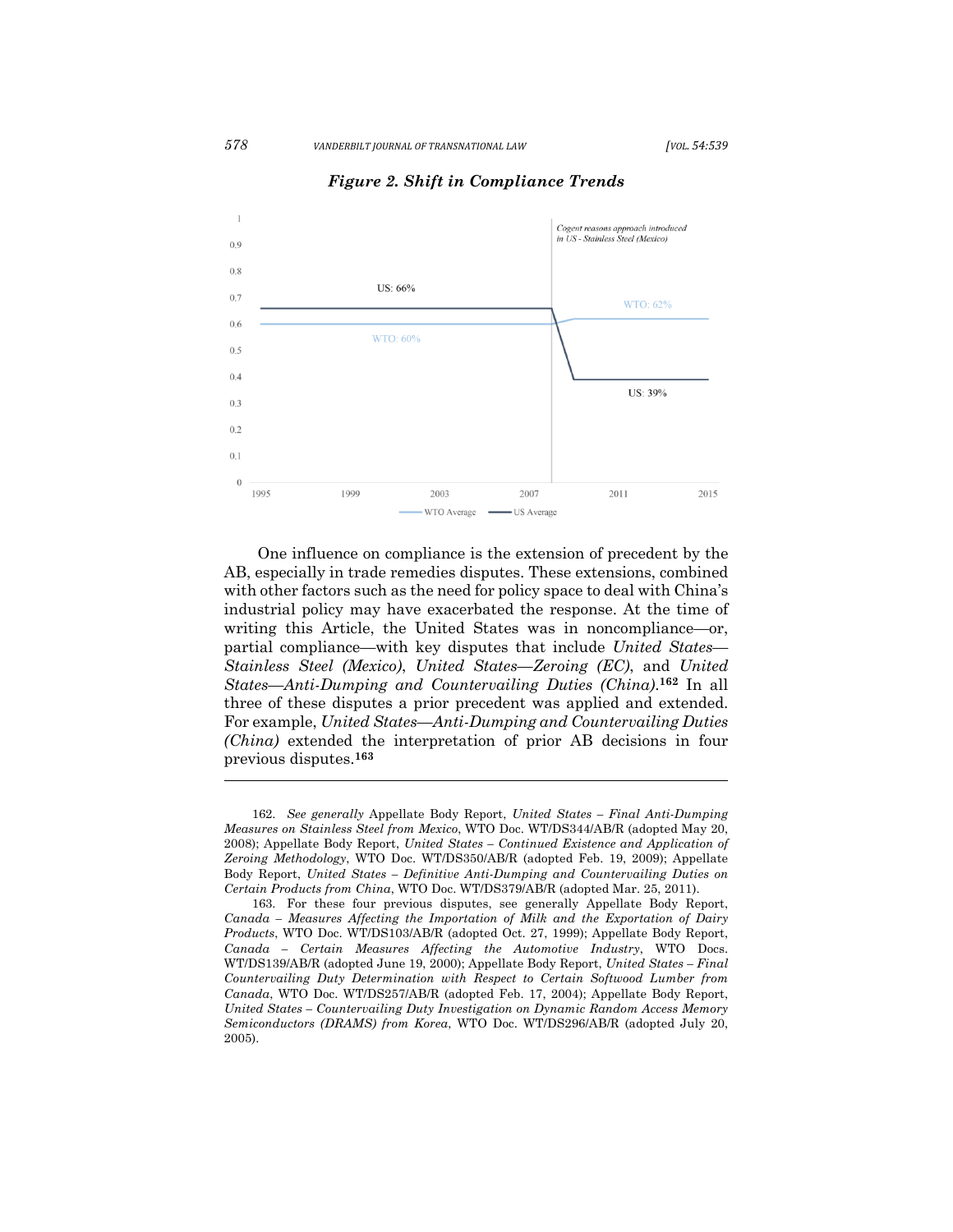

*Figure 2. Shift in Compliance Trends*

One influence on compliance is the extension of precedent by the AB, especially in trade remedies disputes. These extensions, combined with other factors such as the need for policy space to deal with China's industrial policy may have exacerbated the response. At the time of writing this Article, the United States was in noncompliance—or, partial compliance—with key disputes that include *United States–– Stainless Steel (Mexico)*, *United States––Zeroing (EC)*, and *United States––Anti-Dumping and Countervailing Duties (China)*. **<sup>162</sup>** In all three of these disputes a prior precedent was applied and extended. For example, *United States––Anti-Dumping and Countervailing Duties (China)* extended the interpretation of prior AB decisions in four previous disputes.**<sup>163</sup>**

<sup>162.</sup> *See generally* Appellate Body Report, *United States – Final Anti-Dumping Measures on Stainless Steel from Mexico*, WTO Doc. WT/DS344/AB/R (adopted May 20, 2008); Appellate Body Report, *United States – Continued Existence and Application of Zeroing Methodology*, WTO Doc. WT/DS350/AB/R (adopted Feb. 19, 2009); Appellate Body Report, *United States – Definitive Anti-Dumping and Countervailing Duties on Certain Products from China*, WTO Doc. WT/DS379/AB/R (adopted Mar. 25, 2011).

<sup>163.</sup> For these four previous disputes, see generally Appellate Body Report, *Canada – Measures Affecting the Importation of Milk and the Exportation of Dairy Products*, WTO Doc. WT/DS103/AB/R (adopted Oct. 27, 1999); Appellate Body Report, *Canada – Certain Measures Affecting the Automotive Industry*, WTO Docs. WT/DS139/AB/R (adopted June 19, 2000); Appellate Body Report, *United States – Final Countervailing Duty Determination with Respect to Certain Softwood Lumber from Canada*, WTO Doc. WT/DS257/AB/R (adopted Feb. 17, 2004); Appellate Body Report, *United States – Countervailing Duty Investigation on Dynamic Random Access Memory Semiconductors (DRAMS) from Korea*, WTO Doc. WT/DS296/AB/R (adopted July 20, 2005).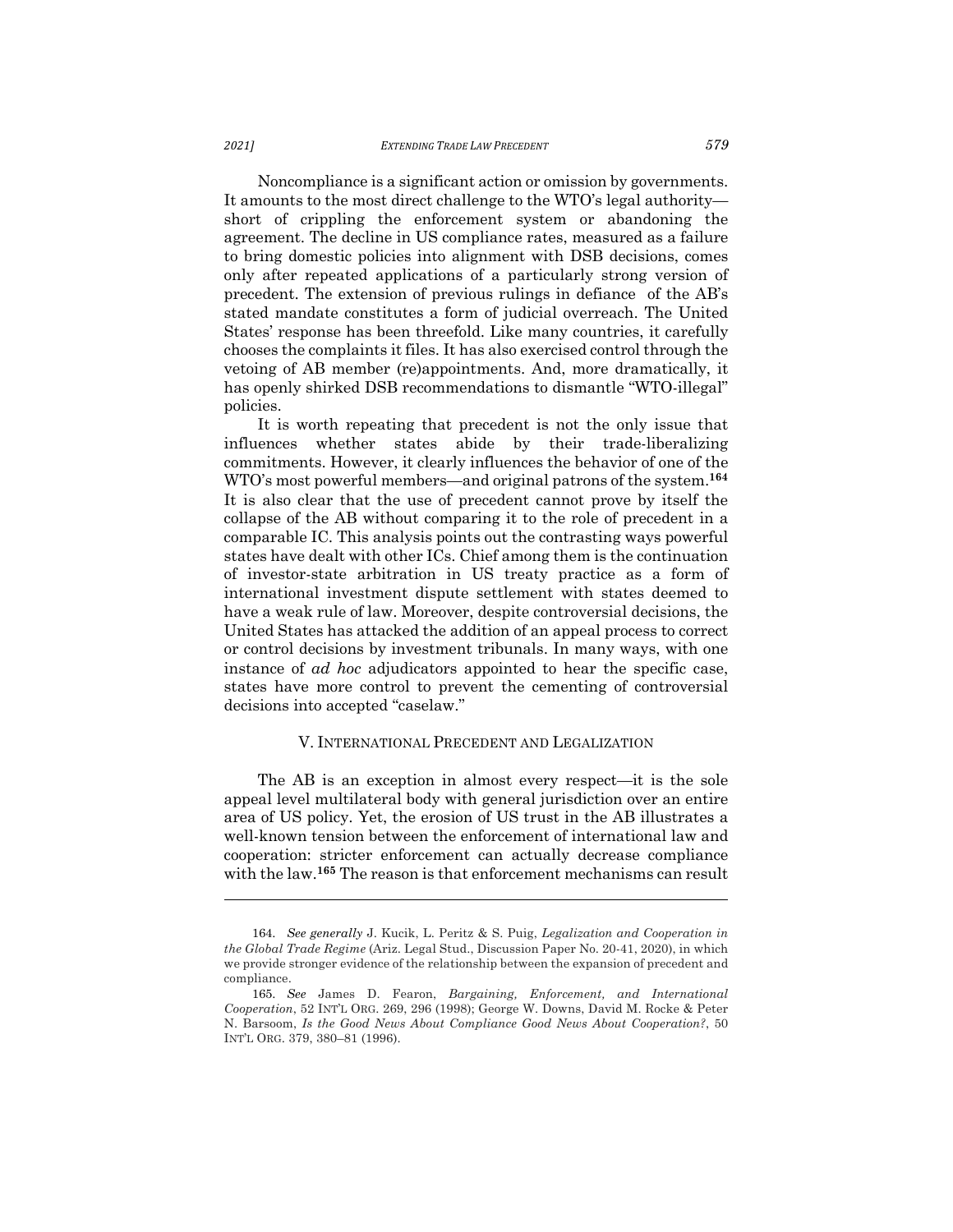Noncompliance is a significant action or omission by governments. It amounts to the most direct challenge to the WTO's legal authority short of crippling the enforcement system or abandoning the agreement. The decline in US compliance rates, measured as a failure to bring domestic policies into alignment with DSB decisions, comes only after repeated applications of a particularly strong version of precedent. The extension of previous rulings in defiance of the AB's stated mandate constitutes a form of judicial overreach. The United States' response has been threefold. Like many countries, it carefully chooses the complaints it files. It has also exercised control through the vetoing of AB member (re)appointments. And, more dramatically, it has openly shirked DSB recommendations to dismantle "WTO-illegal" policies.

It is worth repeating that precedent is not the only issue that influences whether states abide by their trade-liberalizing commitments. However, it clearly influences the behavior of one of the WTO's most powerful members—and original patrons of the system.**<sup>164</sup>** It is also clear that the use of precedent cannot prove by itself the collapse of the AB without comparing it to the role of precedent in a comparable IC. This analysis points out the contrasting ways powerful states have dealt with other ICs. Chief among them is the continuation of investor-state arbitration in US treaty practice as a form of international investment dispute settlement with states deemed to have a weak rule of law. Moreover, despite controversial decisions, the United States has attacked the addition of an appeal process to correct or control decisions by investment tribunals. In many ways, with one instance of *ad hoc* adjudicators appointed to hear the specific case, states have more control to prevent the cementing of controversial decisions into accepted "caselaw."

#### V. INTERNATIONAL PRECEDENT AND LEGALIZATION

The AB is an exception in almost every respect—it is the sole appeal level multilateral body with general jurisdiction over an entire area of US policy. Yet, the erosion of US trust in the AB illustrates a well-known tension between the enforcement of international law and cooperation: stricter enforcement can actually decrease compliance with the law.**<sup>165</sup>** The reason is that enforcement mechanisms can result

<sup>164.</sup> *See generally* J. Kucik, L. Peritz & S. Puig, *Legalization and Cooperation in the Global Trade Regime* (Ariz. Legal Stud., Discussion Paper No. 20-41, 2020), in which we provide stronger evidence of the relationship between the expansion of precedent and compliance.

<sup>165.</sup> *See* James D. Fearon, *Bargaining, Enforcement, and International Cooperation*, 52 INT'L ORG. 269, 296 (1998); George W. Downs, David M. Rocke & Peter N. Barsoom, *Is the Good News About Compliance Good News About Cooperation?*, 50 INT'L ORG. 379, 380–81 (1996).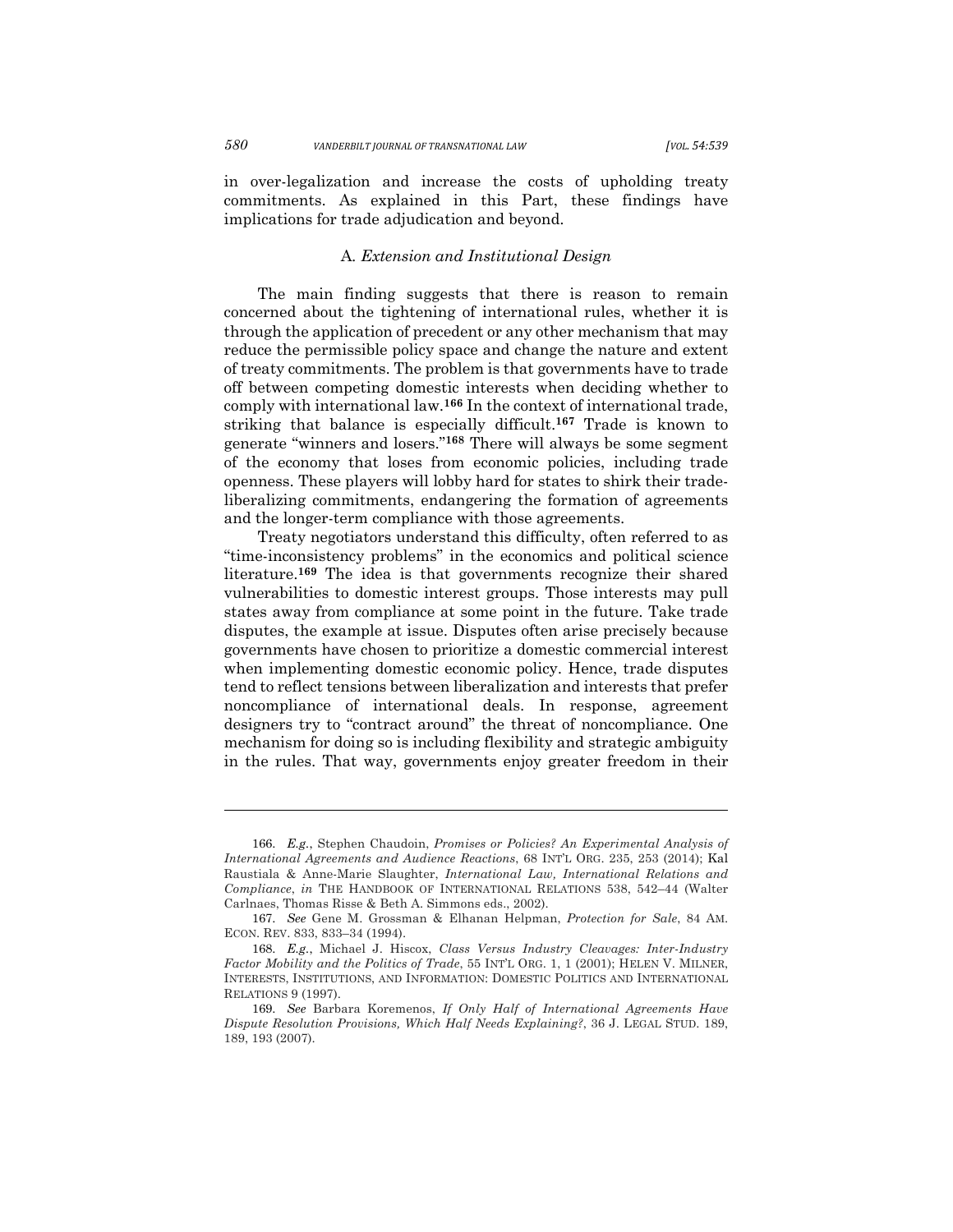in over-legalization and increase the costs of upholding treaty commitments. As explained in this Part, these findings have implications for trade adjudication and beyond.

# A*. Extension and Institutional Design*

The main finding suggests that there is reason to remain concerned about the tightening of international rules, whether it is through the application of precedent or any other mechanism that may reduce the permissible policy space and change the nature and extent of treaty commitments. The problem is that governments have to trade off between competing domestic interests when deciding whether to comply with international law.**<sup>166</sup>** In the context of international trade, striking that balance is especially difficult.**<sup>167</sup>** Trade is known to generate "winners and losers."**<sup>168</sup>** There will always be some segment of the economy that loses from economic policies, including trade openness. These players will lobby hard for states to shirk their tradeliberalizing commitments, endangering the formation of agreements and the longer-term compliance with those agreements.

Treaty negotiators understand this difficulty, often referred to as "time-inconsistency problems" in the economics and political science literature.**<sup>169</sup>** The idea is that governments recognize their shared vulnerabilities to domestic interest groups. Those interests may pull states away from compliance at some point in the future. Take trade disputes, the example at issue. Disputes often arise precisely because governments have chosen to prioritize a domestic commercial interest when implementing domestic economic policy. Hence, trade disputes tend to reflect tensions between liberalization and interests that prefer noncompliance of international deals. In response, agreement designers try to "contract around" the threat of noncompliance. One mechanism for doing so is including flexibility and strategic ambiguity in the rules. That way, governments enjoy greater freedom in their

<sup>166.</sup> *E.g.*, Stephen Chaudoin, *Promises or Policies? An Experimental Analysis of International Agreements and Audience Reactions*, 68 INT'L ORG. 235, 253 (2014); Kal Raustiala & Anne-Marie Slaughter, *International Law, International Relations and Compliance*, *in* THE HANDBOOK OF INTERNATIONAL RELATIONS 538, 542–44 (Walter Carlnaes, Thomas Risse & Beth A. Simmons eds., 2002).

<sup>167.</sup> *See* Gene M. Grossman & Elhanan Helpman, *Protection for Sale*, 84 AM. ECON. REV. 833, 833–34 (1994).

<sup>168.</sup> *E.g.*, Michael J. Hiscox, *Class Versus Industry Cleavages: Inter-Industry Factor Mobility and the Politics of Trade*, 55 INT'L ORG. 1, 1 (2001); HELEN V. MILNER, INTERESTS, INSTITUTIONS, AND INFORMATION: DOMESTIC POLITICS AND INTERNATIONAL RELATIONS 9 (1997).

<sup>169.</sup> *See* Barbara Koremenos, *If Only Half of International Agreements Have Dispute Resolution Provisions, Which Half Needs Explaining?*, 36 J. LEGAL STUD. 189, 189, 193 (2007).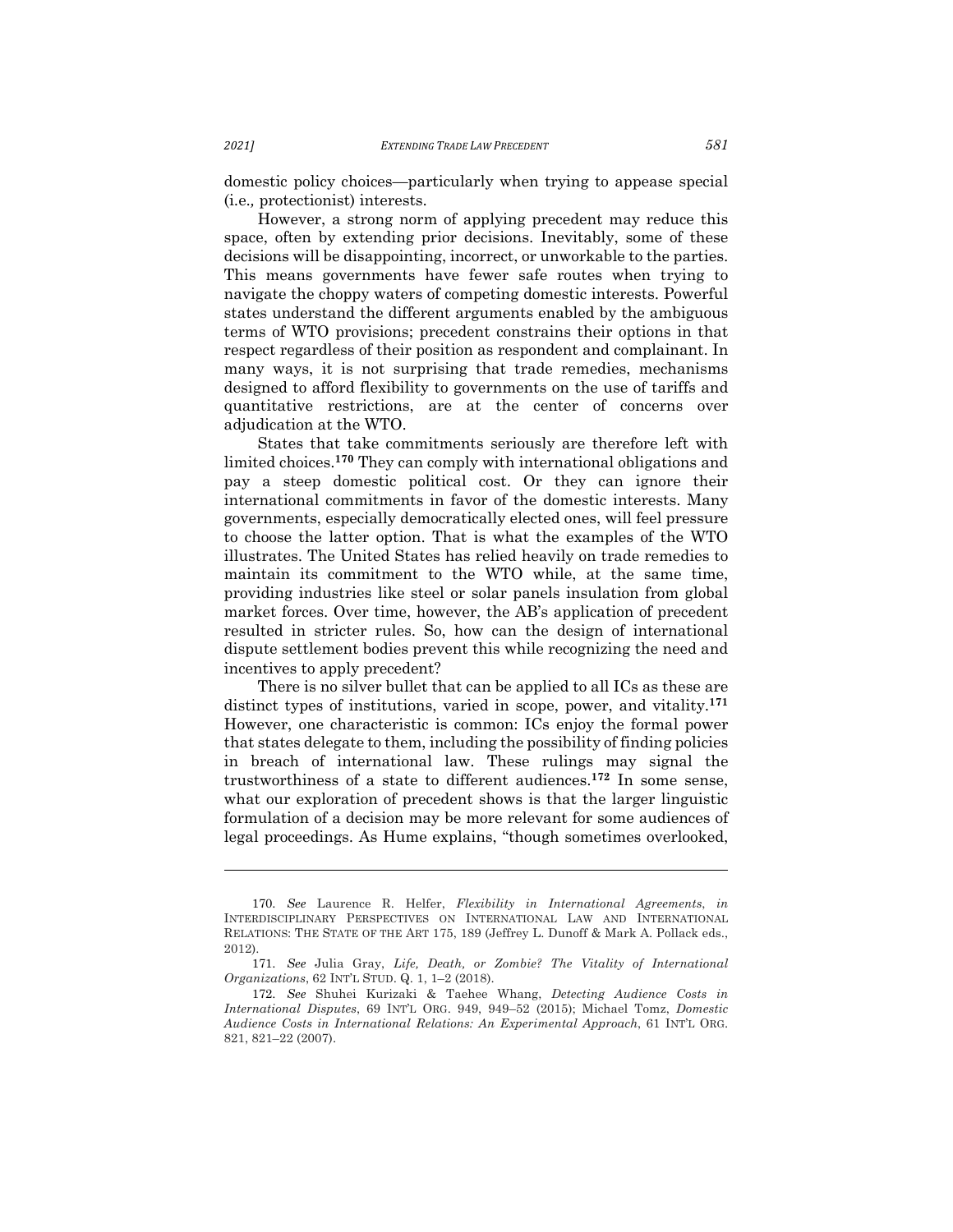domestic policy choices—particularly when trying to appease special (i.e.*,* protectionist) interests.

However, a strong norm of applying precedent may reduce this space, often by extending prior decisions. Inevitably, some of these decisions will be disappointing, incorrect, or unworkable to the parties. This means governments have fewer safe routes when trying to navigate the choppy waters of competing domestic interests. Powerful states understand the different arguments enabled by the ambiguous terms of WTO provisions; precedent constrains their options in that respect regardless of their position as respondent and complainant. In many ways, it is not surprising that trade remedies, mechanisms designed to afford flexibility to governments on the use of tariffs and quantitative restrictions, are at the center of concerns over adjudication at the WTO.

States that take commitments seriously are therefore left with limited choices.**<sup>170</sup>** They can comply with international obligations and pay a steep domestic political cost. Or they can ignore their international commitments in favor of the domestic interests. Many governments, especially democratically elected ones, will feel pressure to choose the latter option. That is what the examples of the WTO illustrates. The United States has relied heavily on trade remedies to maintain its commitment to the WTO while, at the same time, providing industries like steel or solar panels insulation from global market forces. Over time, however, the AB's application of precedent resulted in stricter rules. So, how can the design of international dispute settlement bodies prevent this while recognizing the need and incentives to apply precedent?

There is no silver bullet that can be applied to all ICs as these are distinct types of institutions, varied in scope, power, and vitality.**<sup>171</sup>** However, one characteristic is common: ICs enjoy the formal power that states delegate to them, including the possibility of finding policies in breach of international law. These rulings may signal the trustworthiness of a state to different audiences.**<sup>172</sup>** In some sense, what our exploration of precedent shows is that the larger linguistic formulation of a decision may be more relevant for some audiences of legal proceedings. As Hume explains, "though sometimes overlooked,

<sup>170.</sup> *See* Laurence R. Helfer, *Flexibility in International Agreements*, *in* INTERDISCIPLINARY PERSPECTIVES ON INTERNATIONAL LAW AND INTERNATIONAL RELATIONS: THE STATE OF THE ART 175, 189 (Jeffrey L. Dunoff & Mark A. Pollack eds., 2012).

<sup>171.</sup> *See* Julia Gray, *Life, Death, or Zombie? The Vitality of International Organizations*, 62 INT'L STUD. Q. 1, 1–2 (2018).

<sup>172.</sup> *See* Shuhei Kurizaki & Taehee Whang, *Detecting Audience Costs in International Disputes*, 69 INT'L ORG. 949, 949–52 (2015); Michael Tomz, *Domestic Audience Costs in International Relations: An Experimental Approach*, 61 INT'L ORG. 821, 821–22 (2007).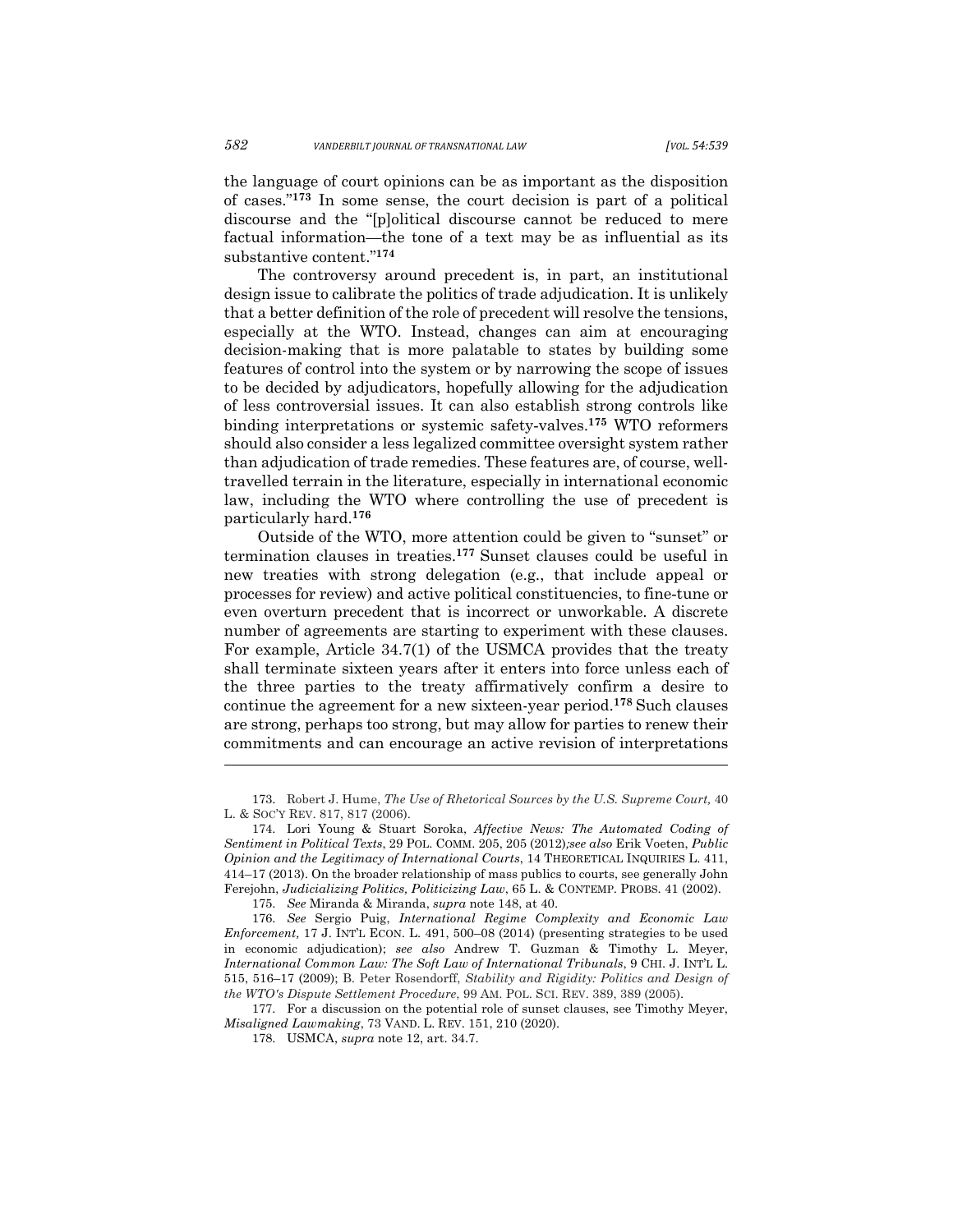the language of court opinions can be as important as the disposition of cases."**<sup>173</sup>** In some sense, the court decision is part of a political discourse and the "[p]olitical discourse cannot be reduced to mere factual information—the tone of a text may be as influential as its substantive content."**<sup>174</sup>**

The controversy around precedent is, in part, an institutional design issue to calibrate the politics of trade adjudication. It is unlikely that a better definition of the role of precedent will resolve the tensions, especially at the WTO. Instead, changes can aim at encouraging decision-making that is more palatable to states by building some features of control into the system or by narrowing the scope of issues to be decided by adjudicators, hopefully allowing for the adjudication of less controversial issues. It can also establish strong controls like binding interpretations or systemic safety‐valves.**<sup>175</sup>** WTO reformers should also consider a less legalized committee oversight system rather than adjudication of trade remedies. These features are, of course, welltravelled terrain in the literature, especially in international economic law, including the WTO where controlling the use of precedent is particularly hard.**<sup>176</sup>**

Outside of the WTO, more attention could be given to "sunset" or termination clauses in treaties.**<sup>177</sup>** Sunset clauses could be useful in new treaties with strong delegation (e.g., that include appeal or processes for review) and active political constituencies, to fine‐tune or even overturn precedent that is incorrect or unworkable. A discrete number of agreements are starting to experiment with these clauses. For example, Article 34.7(1) of the USMCA provides that the treaty shall terminate sixteen years after it enters into force unless each of the three parties to the treaty affirmatively confirm a desire to continue the agreement for a new sixteen-year period.**<sup>178</sup>** Such clauses are strong, perhaps too strong, but may allow for parties to renew their commitments and can encourage an active revision of interpretations

<sup>173.</sup> Robert J. Hume, *The Use of Rhetorical Sources by the U.S. Supreme Court,* 40 L. & SOC'Y REV. 817, 817 (2006).

<sup>174.</sup> Lori Young & Stuart Soroka, *Affective News: The Automated Coding of Sentiment in Political Texts*, 29 POL. COMM. 205, 205 (2012)*;see also* Erik Voeten, *Public Opinion and the Legitimacy of International Courts*, 14 THEORETICAL INQUIRIES L. 411, 414–17 (2013). On the broader relationship of mass publics to courts, see generally John Ferejohn, *Judicializing Politics, Politicizing Law*, 65 L. & CONTEMP. PROBS. 41 (2002).

<sup>175.</sup> *See* Miranda & Miranda, *supra* note 148, at 40.

<sup>176.</sup> *See* Sergio Puig, *International Regime Complexity and Economic Law Enforcement,* 17 J. INT'L ECON. L. 491, 500–08 (2014) (presenting strategies to be used in economic adjudication); *see also* Andrew T. Guzman & Timothy L. Meyer, *International Common Law: The Soft Law of International Tribunals*, 9 CHI. J. INT'L L. 515, 516–17 (2009); B. Peter Rosendorff, *Stability and Rigidity: Politics and Design of the WTO's Dispute Settlement Procedure*, 99 AM. POL. SCI. REV. 389, 389 (2005).

<sup>177.</sup> For a discussion on the potential role of sunset clauses, see Timothy Meyer, *Misaligned Lawmaking*, 73 VAND. L. REV. 151, 210 (2020).

<sup>178.</sup> USMCA, *supra* note 12, art. 34.7.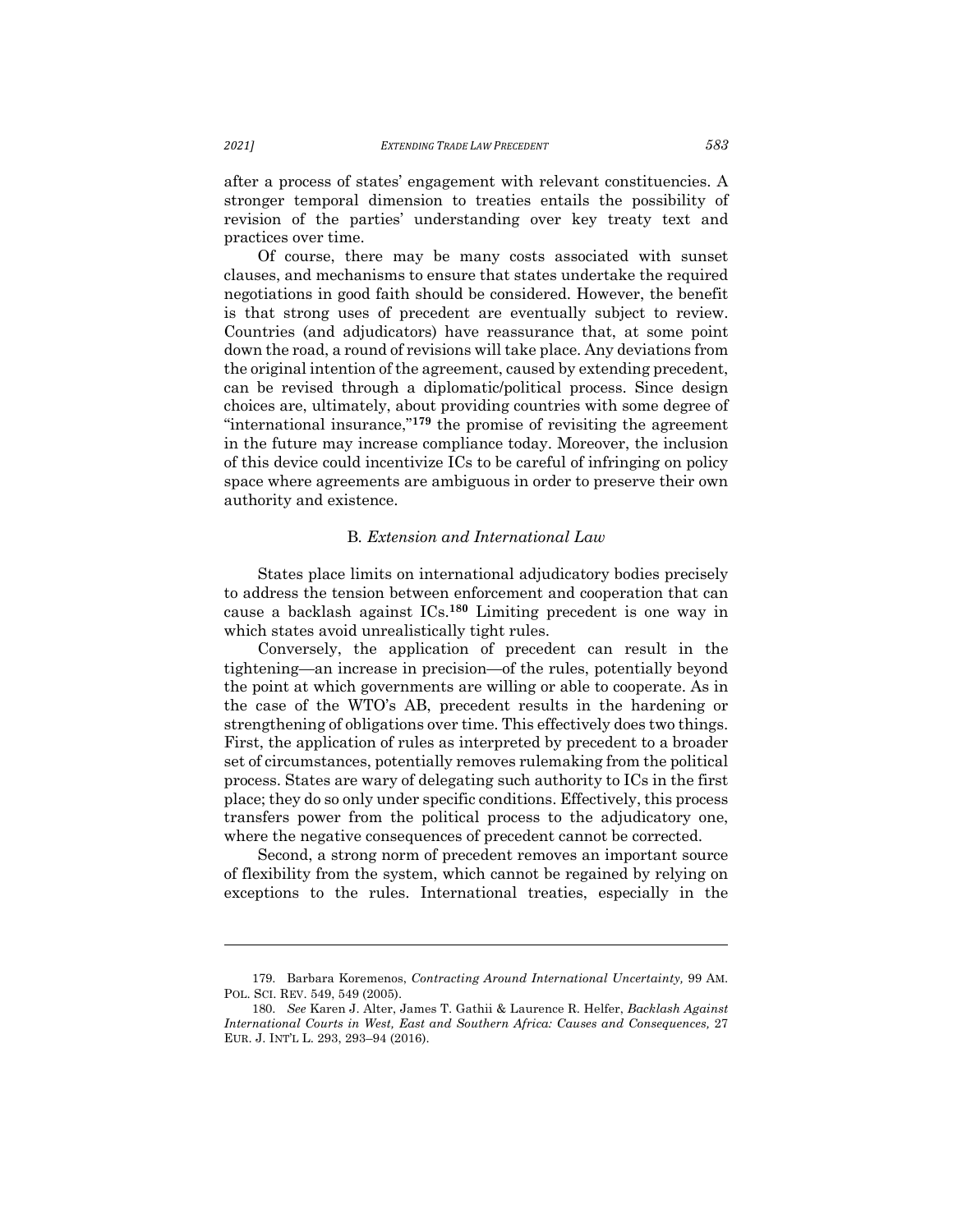after a process of states' engagement with relevant constituencies. A stronger temporal dimension to treaties entails the possibility of revision of the parties' understanding over key treaty text and practices over time.

Of course, there may be many costs associated with sunset clauses, and mechanisms to ensure that states undertake the required negotiations in good faith should be considered. However, the benefit is that strong uses of precedent are eventually subject to review. Countries (and adjudicators) have reassurance that, at some point down the road, a round of revisions will take place. Any deviations from the original intention of the agreement, caused by extending precedent, can be revised through a diplomatic/political process. Since design choices are, ultimately, about providing countries with some degree of "international insurance,"**<sup>179</sup>** the promise of revisiting the agreement in the future may increase compliance today. Moreover, the inclusion of this device could incentivize ICs to be careful of infringing on policy space where agreements are ambiguous in order to preserve their own authority and existence.

# B*. Extension and International Law*

States place limits on international adjudicatory bodies precisely to address the tension between enforcement and cooperation that can cause a backlash against ICs.**<sup>180</sup>** Limiting precedent is one way in which states avoid unrealistically tight rules.

Conversely, the application of precedent can result in the tightening—an increase in precision—of the rules, potentially beyond the point at which governments are willing or able to cooperate. As in the case of the WTO's AB, precedent results in the hardening or strengthening of obligations over time. This effectively does two things. First, the application of rules as interpreted by precedent to a broader set of circumstances, potentially removes rulemaking from the political process. States are wary of delegating such authority to ICs in the first place; they do so only under specific conditions. Effectively, this process transfers power from the political process to the adjudicatory one, where the negative consequences of precedent cannot be corrected.

Second, a strong norm of precedent removes an important source of flexibility from the system, which cannot be regained by relying on exceptions to the rules. International treaties, especially in the

<sup>179.</sup> Barbara Koremenos, *Contracting Around International Uncertainty,* 99 AM. POL. SCI. REV. 549, 549 (2005).

<sup>180.</sup> *See* Karen J. Alter, James T. Gathii & Laurence R. Helfer, *Backlash Against International Courts in West, East and Southern Africa: Causes and Consequences,* 27 EUR. J. INT'L L. 293, 293–94 (2016).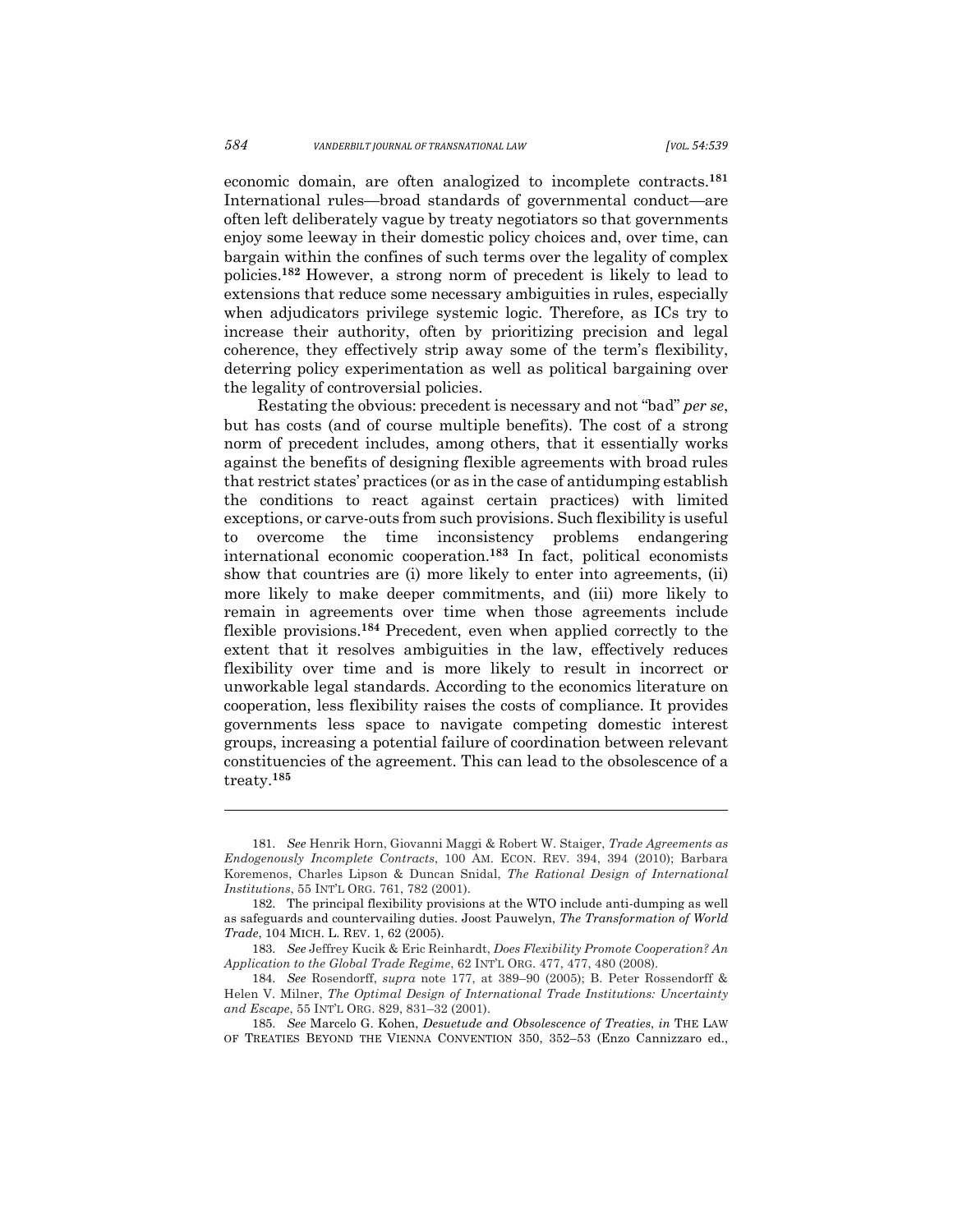economic domain, are often analogized to incomplete contracts.**<sup>181</sup>** International rules—broad standards of governmental conduct—are often left deliberately vague by treaty negotiators so that governments enjoy some leeway in their domestic policy choices and, over time, can bargain within the confines of such terms over the legality of complex policies.**<sup>182</sup>** However, a strong norm of precedent is likely to lead to extensions that reduce some necessary ambiguities in rules, especially when adjudicators privilege systemic logic. Therefore, as ICs try to increase their authority, often by prioritizing precision and legal coherence, they effectively strip away some of the term's flexibility, deterring policy experimentation as well as political bargaining over the legality of controversial policies.

Restating the obvious: precedent is necessary and not "bad" *per se*, but has costs (and of course multiple benefits). The cost of a strong norm of precedent includes, among others, that it essentially works against the benefits of designing flexible agreements with broad rules that restrict states' practices (or as in the case of antidumping establish the conditions to react against certain practices) with limited exceptions, or carve-outs from such provisions. Such flexibility is useful to overcome the time inconsistency problems endangering international economic cooperation.**<sup>183</sup>** In fact, political economists show that countries are (i) more likely to enter into agreements, (ii) more likely to make deeper commitments, and (iii) more likely to remain in agreements over time when those agreements include flexible provisions.**<sup>184</sup>** Precedent, even when applied correctly to the extent that it resolves ambiguities in the law, effectively reduces flexibility over time and is more likely to result in incorrect or unworkable legal standards. According to the economics literature on cooperation, less flexibility raises the costs of compliance. It provides governments less space to navigate competing domestic interest groups, increasing a potential failure of coordination between relevant constituencies of the agreement. This can lead to the obsolescence of a treaty.**<sup>185</sup>**

<sup>181.</sup> *See* Henrik Horn, Giovanni Maggi & Robert W. Staiger, *Trade Agreements as Endogenously Incomplete Contracts*, 100 AM. ECON. REV. 394, 394 (2010); Barbara Koremenos, Charles Lipson & Duncan Snidal, *The Rational Design of International Institutions*, 55 INT'L ORG. 761, 782 (2001).

<sup>182.</sup> The principal flexibility provisions at the WTO include anti-dumping as well as safeguards and countervailing duties. Joost Pauwelyn, *The Transformation of World Trade*, 104 MICH. L. REV. 1, 62 (2005).

<sup>183.</sup> *See* Jeffrey Kucik & Eric Reinhardt, *Does Flexibility Promote Cooperation? An Application to the Global Trade Regime*, 62 INT'L ORG. 477, 477, 480 (2008).

<sup>184.</sup> *See* Rosendorff, *supra* note 177, at 389–90 (2005); B. Peter Rossendorff & Helen V. Milner, *The Optimal Design of International Trade Institutions: Uncertainty and Escape*, 55 INT'L ORG. 829, 831–32 (2001).

<sup>185.</sup> *See* Marcelo G. Kohen, *Desuetude and Obsolescence of Treaties*, *in* THE LAW OF TREATIES BEYOND THE VIENNA CONVENTION 350, 352–53 (Enzo Cannizzaro ed.,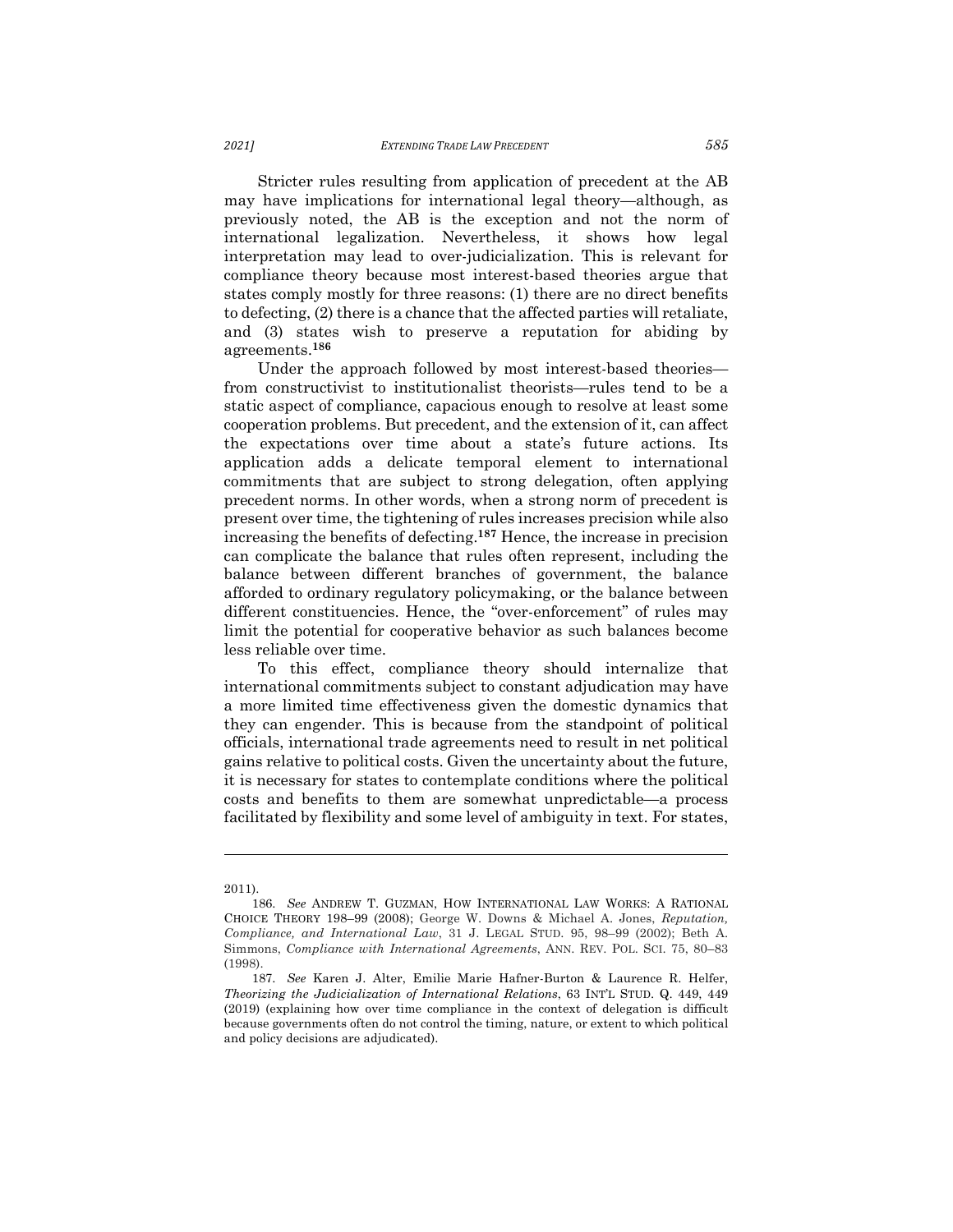Stricter rules resulting from application of precedent at the AB may have implications for international legal theory—although, as previously noted, the AB is the exception and not the norm of international legalization. Nevertheless, it shows how legal interpretation may lead to over-judicialization. This is relevant for compliance theory because most interest-based theories argue that states comply mostly for three reasons: (1) there are no direct benefits to defecting, (2) there is a chance that the affected parties will retaliate, and (3) states wish to preserve a reputation for abiding by agreements.**<sup>186</sup>**

Under the approach followed by most interest-based theories from constructivist to institutionalist theorists—rules tend to be a static aspect of compliance, capacious enough to resolve at least some cooperation problems. But precedent, and the extension of it, can affect the expectations over time about a state's future actions. Its application adds a delicate temporal element to international commitments that are subject to strong delegation, often applying precedent norms. In other words, when a strong norm of precedent is present over time, the tightening of rules increases precision while also increasing the benefits of defecting.**<sup>187</sup>** Hence, the increase in precision can complicate the balance that rules often represent, including the balance between different branches of government, the balance afforded to ordinary regulatory policymaking, or the balance between different constituencies. Hence, the "over-enforcement" of rules may limit the potential for cooperative behavior as such balances become less reliable over time.

To this effect, compliance theory should internalize that international commitments subject to constant adjudication may have a more limited time effectiveness given the domestic dynamics that they can engender. This is because from the standpoint of political officials, international trade agreements need to result in net political gains relative to political costs. Given the uncertainty about the future, it is necessary for states to contemplate conditions where the political costs and benefits to them are somewhat unpredictable—a process facilitated by flexibility and some level of ambiguity in text. For states,

<sup>2011).</sup>

<sup>186.</sup> *See* ANDREW T. GUZMAN, HOW INTERNATIONAL LAW WORKS: A RATIONAL CHOICE THEORY 198–99 (2008); George W. Downs & Michael A. Jones, *Reputation, Compliance, and International Law*, 31 J. LEGAL STUD. 95, 98–99 (2002); Beth A. Simmons, *Compliance with International Agreements*, ANN. REV. POL. SCI. 75, 80–83 (1998).

<sup>187.</sup> *See* Karen J. Alter, Emilie Marie Hafner-Burton & Laurence R. Helfer, *Theorizing the Judicialization of International Relations*, 63 INT'L STUD. Q. 449, 449 (2019) (explaining how over time compliance in the context of delegation is difficult because governments often do not control the timing, nature, or extent to which political and policy decisions are adjudicated).